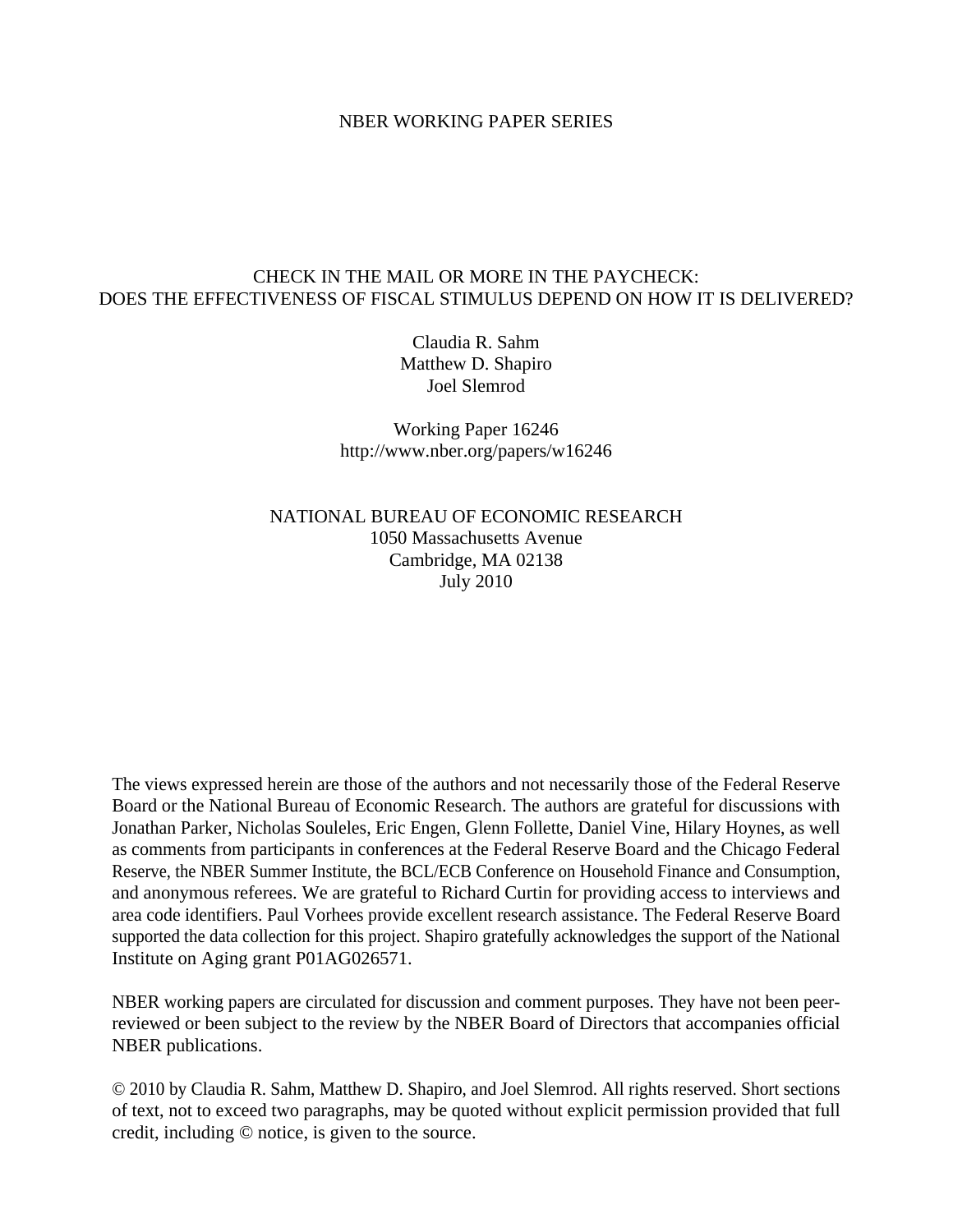# NBER WORKING PAPER SERIES

# CHECK IN THE MAIL OR MORE IN THE PAYCHECK: DOES THE EFFECTIVENESS OF FISCAL STIMULUS DEPEND ON HOW IT IS DELIVERED?

Claudia R. Sahm Matthew D. Shapiro Joel Slemrod

Working Paper 16246 http://www.nber.org/papers/w16246

NATIONAL BUREAU OF ECONOMIC RESEARCH 1050 Massachusetts Avenue Cambridge, MA 02138 July 2010

The views expressed herein are those of the authors and not necessarily those of the Federal Reserve Board or the National Bureau of Economic Research. The authors are grateful for discussions with Jonathan Parker, Nicholas Souleles, Eric Engen, Glenn Follette, Daniel Vine, Hilary Hoynes, as well as comments from participants in conferences at the Federal Reserve Board and the Chicago Federal Reserve, the NBER Summer Institute, the BCL/ECB Conference on Household Finance and Consumption, and anonymous referees. We are grateful to Richard Curtin for providing access to interviews and area code identifiers. Paul Vorhees provide excellent research assistance. The Federal Reserve Board supported the data collection for this project. Shapiro gratefully acknowledges the support of the National Institute on Aging grant P01AG026571.

NBER working papers are circulated for discussion and comment purposes. They have not been peerreviewed or been subject to the review by the NBER Board of Directors that accompanies official NBER publications.

© 2010 by Claudia R. Sahm, Matthew D. Shapiro, and Joel Slemrod. All rights reserved. Short sections of text, not to exceed two paragraphs, may be quoted without explicit permission provided that full credit, including © notice, is given to the source.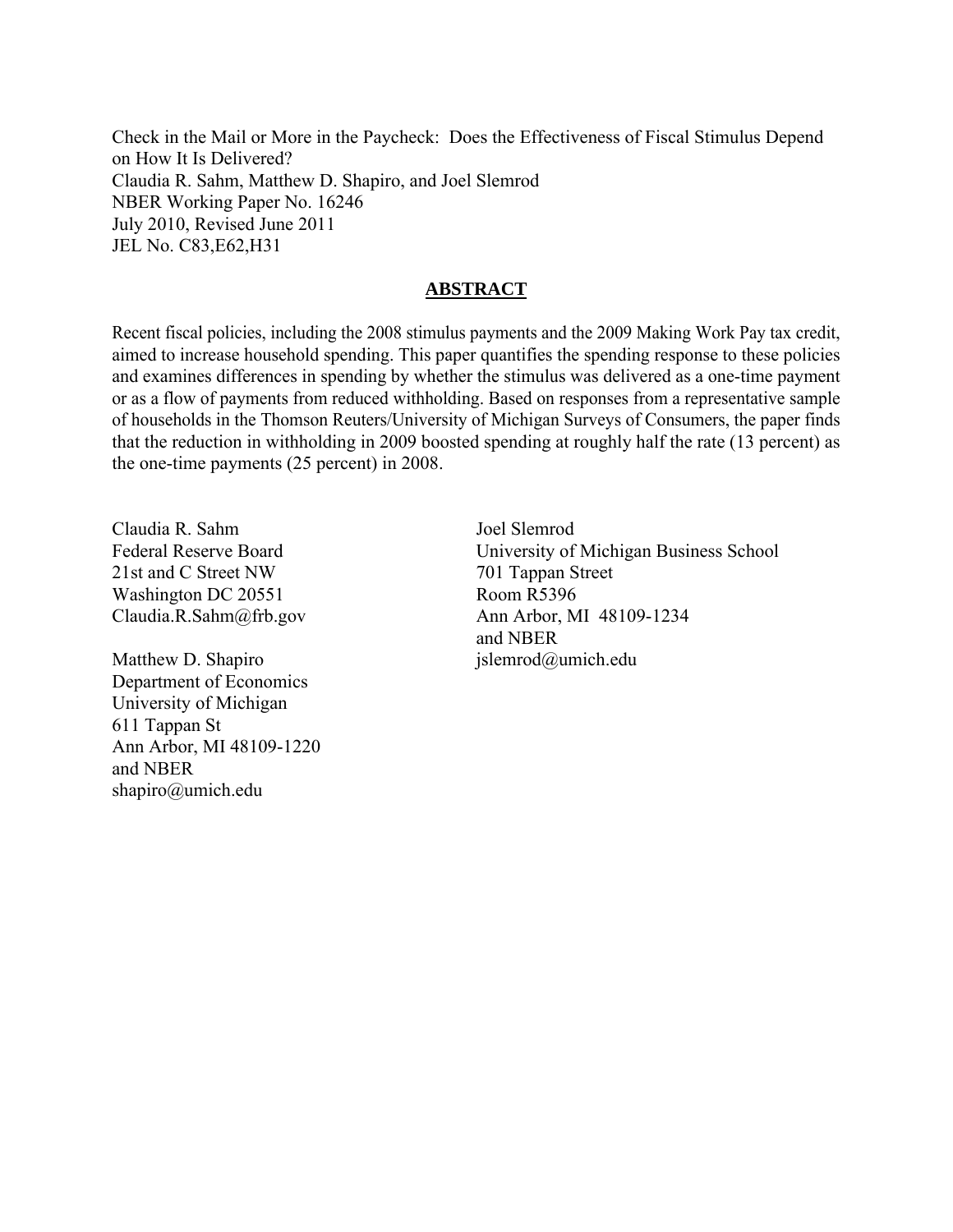Check in the Mail or More in the Paycheck: Does the Effectiveness of Fiscal Stimulus Depend on How It Is Delivered? Claudia R. Sahm, Matthew D. Shapiro, and Joel Slemrod NBER Working Paper No. 16246 July 2010, Revised June 2011 JEL No. C83,E62,H31

# **ABSTRACT**

Recent fiscal policies, including the 2008 stimulus payments and the 2009 Making Work Pay tax credit, aimed to increase household spending. This paper quantifies the spending response to these policies and examines differences in spending by whether the stimulus was delivered as a one-time payment or as a flow of payments from reduced withholding. Based on responses from a representative sample of households in the Thomson Reuters/University of Michigan Surveys of Consumers, the paper finds that the reduction in withholding in 2009 boosted spending at roughly half the rate (13 percent) as the one-time payments (25 percent) in 2008.

Claudia R. Sahm Federal Reserve Board 21st and C Street NW Washington DC 20551 Claudia.R.Sahm@frb.gov

Matthew D. Shapiro Department of Economics University of Michigan 611 Tappan St Ann Arbor, MI 48109-1220 and NBER shapiro@umich.edu

Joel Slemrod University of Michigan Business School 701 Tappan Street Room R5396 Ann Arbor, MI 48109-1234 and NBER jslemrod@umich.edu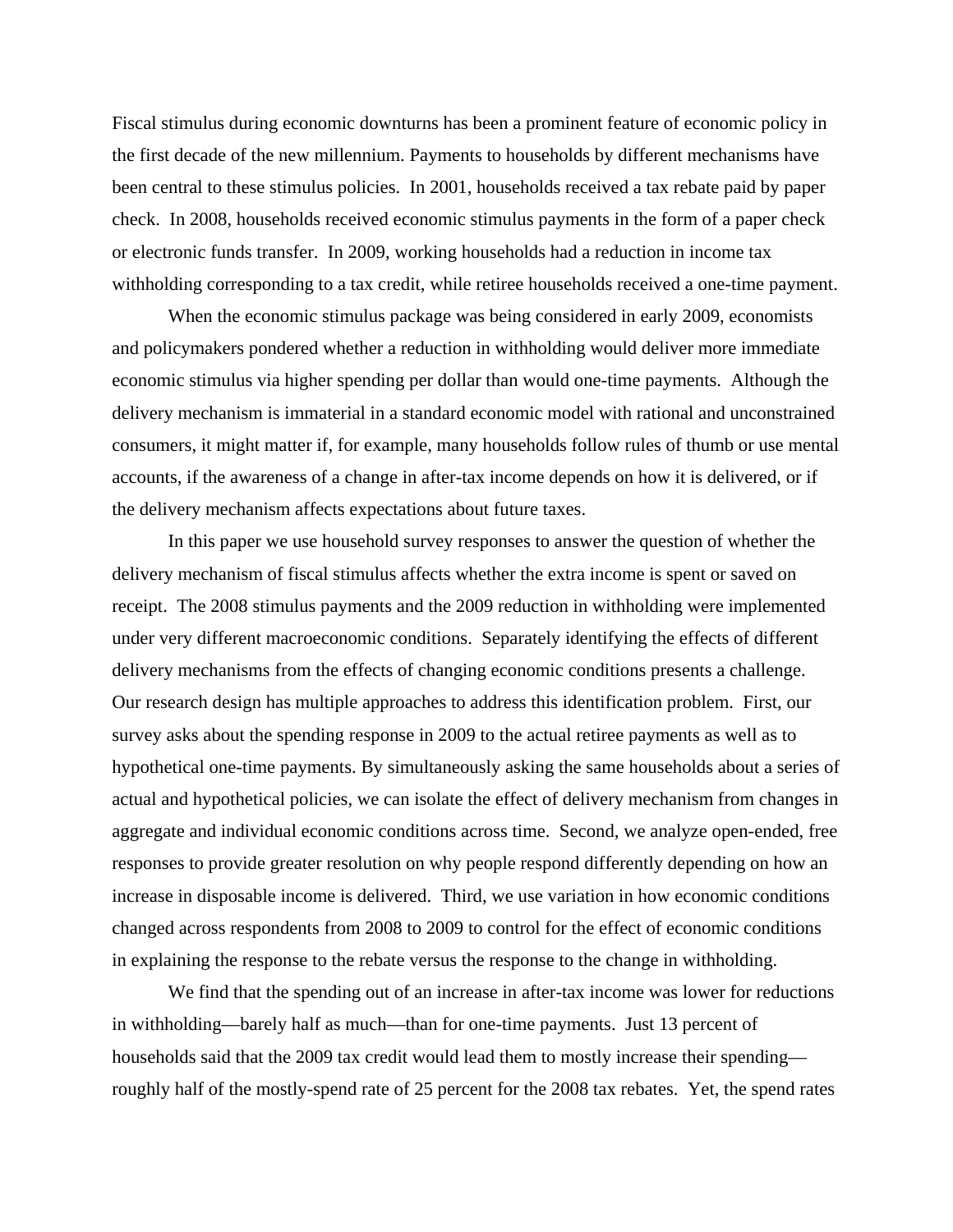Fiscal stimulus during economic downturns has been a prominent feature of economic policy in the first decade of the new millennium. Payments to households by different mechanisms have been central to these stimulus policies. In 2001, households received a tax rebate paid by paper check. In 2008, households received economic stimulus payments in the form of a paper check or electronic funds transfer. In 2009, working households had a reduction in income tax withholding corresponding to a tax credit, while retiree households received a one-time payment.

 When the economic stimulus package was being considered in early 2009, economists and policymakers pondered whether a reduction in withholding would deliver more immediate economic stimulus via higher spending per dollar than would one-time payments. Although the delivery mechanism is immaterial in a standard economic model with rational and unconstrained consumers, it might matter if, for example, many households follow rules of thumb or use mental accounts, if the awareness of a change in after-tax income depends on how it is delivered, or if the delivery mechanism affects expectations about future taxes.

In this paper we use household survey responses to answer the question of whether the delivery mechanism of fiscal stimulus affects whether the extra income is spent or saved on receipt. The 2008 stimulus payments and the 2009 reduction in withholding were implemented under very different macroeconomic conditions. Separately identifying the effects of different delivery mechanisms from the effects of changing economic conditions presents a challenge. Our research design has multiple approaches to address this identification problem. First, our survey asks about the spending response in 2009 to the actual retiree payments as well as to hypothetical one-time payments. By simultaneously asking the same households about a series of actual and hypothetical policies, we can isolate the effect of delivery mechanism from changes in aggregate and individual economic conditions across time. Second, we analyze open-ended, free responses to provide greater resolution on why people respond differently depending on how an increase in disposable income is delivered. Third, we use variation in how economic conditions changed across respondents from 2008 to 2009 to control for the effect of economic conditions in explaining the response to the rebate versus the response to the change in withholding.

We find that the spending out of an increase in after-tax income was lower for reductions in withholding—barely half as much—than for one-time payments. Just 13 percent of households said that the 2009 tax credit would lead them to mostly increase their spending roughly half of the mostly-spend rate of 25 percent for the 2008 tax rebates. Yet, the spend rates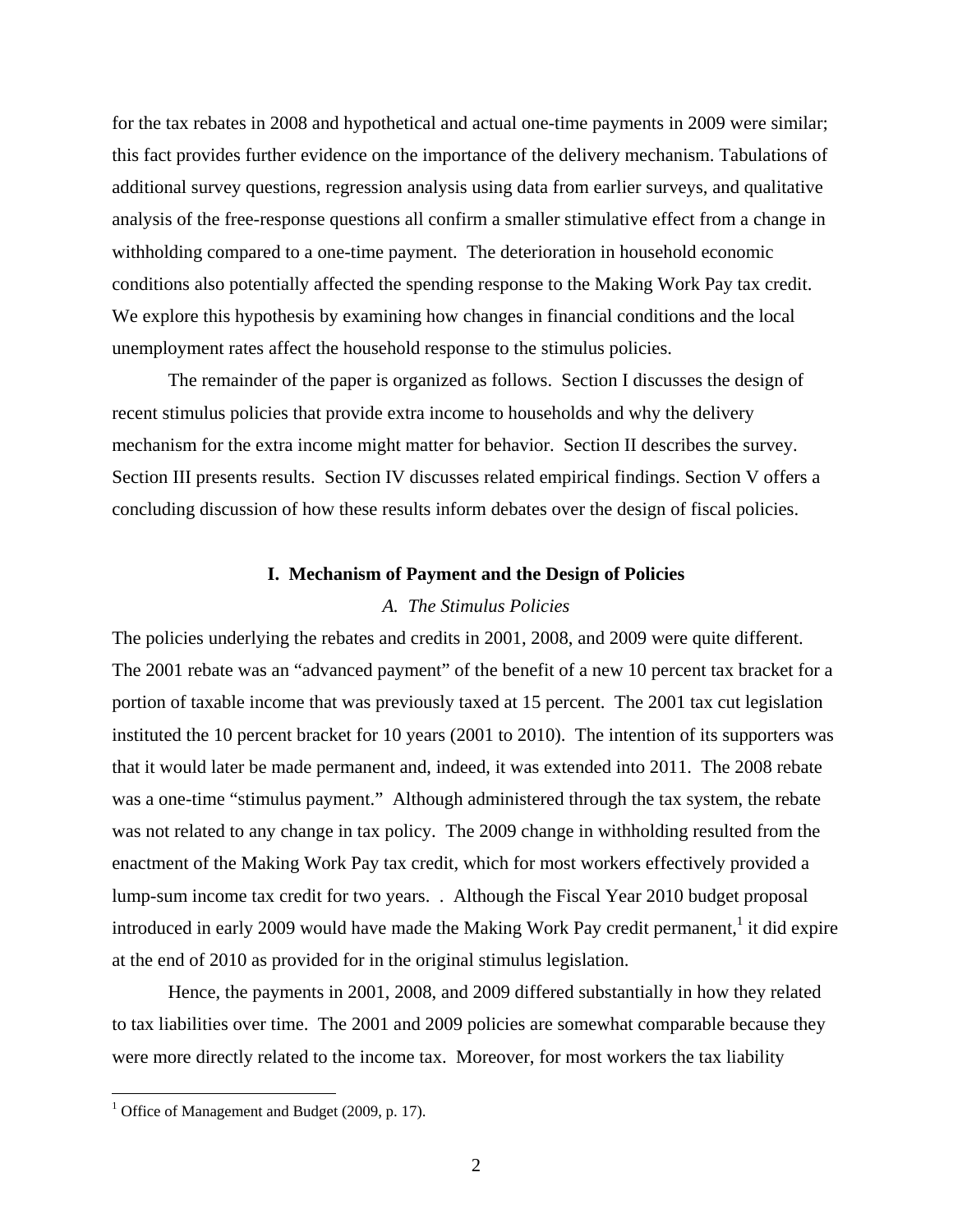for the tax rebates in 2008 and hypothetical and actual one-time payments in 2009 were similar; this fact provides further evidence on the importance of the delivery mechanism. Tabulations of additional survey questions, regression analysis using data from earlier surveys, and qualitative analysis of the free-response questions all confirm a smaller stimulative effect from a change in withholding compared to a one-time payment. The deterioration in household economic conditions also potentially affected the spending response to the Making Work Pay tax credit. We explore this hypothesis by examining how changes in financial conditions and the local unemployment rates affect the household response to the stimulus policies.

The remainder of the paper is organized as follows. Section I discusses the design of recent stimulus policies that provide extra income to households and why the delivery mechanism for the extra income might matter for behavior. Section II describes the survey. Section III presents results. Section IV discusses related empirical findings. Section V offers a concluding discussion of how these results inform debates over the design of fiscal policies.

#### **I. Mechanism of Payment and the Design of Policies**

## *A. The Stimulus Policies*

The policies underlying the rebates and credits in 2001, 2008, and 2009 were quite different. The 2001 rebate was an "advanced payment" of the benefit of a new 10 percent tax bracket for a portion of taxable income that was previously taxed at 15 percent. The 2001 tax cut legislation instituted the 10 percent bracket for 10 years (2001 to 2010). The intention of its supporters was that it would later be made permanent and, indeed, it was extended into 2011. The 2008 rebate was a one-time "stimulus payment." Although administered through the tax system, the rebate was not related to any change in tax policy. The 2009 change in withholding resulted from the enactment of the Making Work Pay tax credit, which for most workers effectively provided a lump-sum income tax credit for two years. . Although the Fiscal Year 2010 budget proposal introduced in early 2009 would have made the Making Work Pay credit permanent,<sup>1</sup> it did expire at the end of 2010 as provided for in the original stimulus legislation.

Hence, the payments in 2001, 2008, and 2009 differed substantially in how they related to tax liabilities over time. The 2001 and 2009 policies are somewhat comparable because they were more directly related to the income tax. Moreover, for most workers the tax liability

<sup>&</sup>lt;sup>1</sup> Office of Management and Budget (2009, p. 17).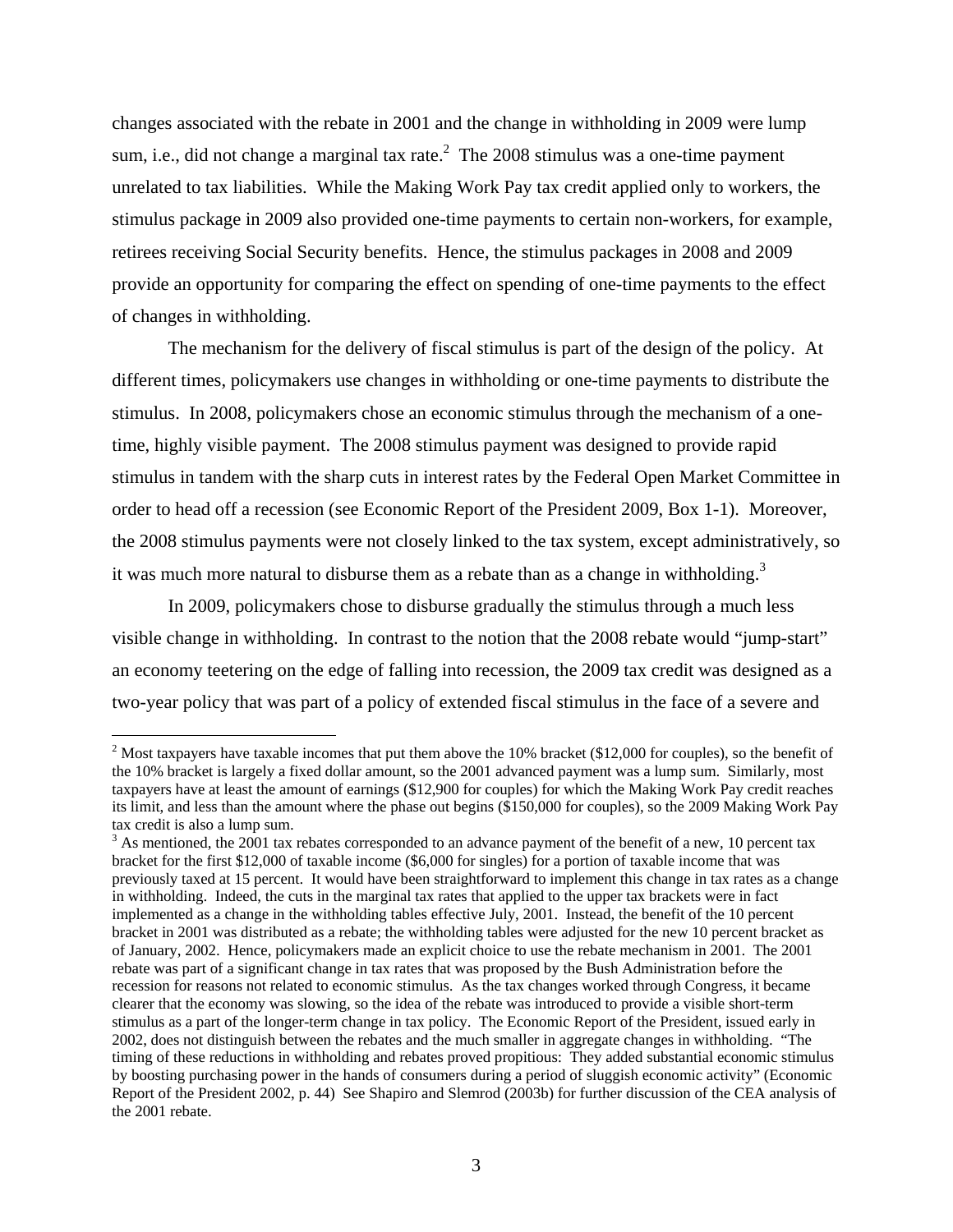changes associated with the rebate in 2001 and the change in withholding in 2009 were lump sum, i.e., did not change a marginal tax rate. $^2$  The 2008 stimulus was a one-time payment unrelated to tax liabilities. While the Making Work Pay tax credit applied only to workers, the stimulus package in 2009 also provided one-time payments to certain non-workers, for example, retirees receiving Social Security benefits. Hence, the stimulus packages in 2008 and 2009 provide an opportunity for comparing the effect on spending of one-time payments to the effect of changes in withholding.

The mechanism for the delivery of fiscal stimulus is part of the design of the policy. At different times, policymakers use changes in withholding or one-time payments to distribute the stimulus. In 2008, policymakers chose an economic stimulus through the mechanism of a onetime, highly visible payment. The 2008 stimulus payment was designed to provide rapid stimulus in tandem with the sharp cuts in interest rates by the Federal Open Market Committee in order to head off a recession (see Economic Report of the President 2009, Box 1-1). Moreover, the 2008 stimulus payments were not closely linked to the tax system, except administratively, so it was much more natural to disburse them as a rebate than as a change in withholding.<sup>3</sup>

In 2009, policymakers chose to disburse gradually the stimulus through a much less visible change in withholding. In contrast to the notion that the 2008 rebate would "jump-start" an economy teetering on the edge of falling into recession, the 2009 tax credit was designed as a two-year policy that was part of a policy of extended fiscal stimulus in the face of a severe and

 $2^{2}$  Most taxpayers have taxable incomes that put them above the 10% bracket (\$12,000 for couples), so the benefit of the 10% bracket is largely a fixed dollar amount, so the 2001 advanced payment was a lump sum. Similarly, most taxpayers have at least the amount of earnings (\$12,900 for couples) for which the Making Work Pay credit reaches its limit, and less than the amount where the phase out begins (\$150,000 for couples), so the 2009 Making Work Pay tax credit is also a lump sum.

 $3$  As mentioned, the 2001 tax rebates corresponded to an advance payment of the benefit of a new, 10 percent tax bracket for the first \$12,000 of taxable income (\$6,000 for singles) for a portion of taxable income that was previously taxed at 15 percent. It would have been straightforward to implement this change in tax rates as a change in withholding. Indeed, the cuts in the marginal tax rates that applied to the upper tax brackets were in fact implemented as a change in the withholding tables effective July, 2001. Instead, the benefit of the 10 percent bracket in 2001 was distributed as a rebate; the withholding tables were adjusted for the new 10 percent bracket as of January, 2002. Hence, policymakers made an explicit choice to use the rebate mechanism in 2001. The 2001 rebate was part of a significant change in tax rates that was proposed by the Bush Administration before the recession for reasons not related to economic stimulus. As the tax changes worked through Congress, it became clearer that the economy was slowing, so the idea of the rebate was introduced to provide a visible short-term stimulus as a part of the longer-term change in tax policy. The Economic Report of the President, issued early in 2002, does not distinguish between the rebates and the much smaller in aggregate changes in withholding. "The timing of these reductions in withholding and rebates proved propitious: They added substantial economic stimulus by boosting purchasing power in the hands of consumers during a period of sluggish economic activity" (Economic Report of the President 2002, p. 44) See Shapiro and Slemrod (2003b) for further discussion of the CEA analysis of the 2001 rebate.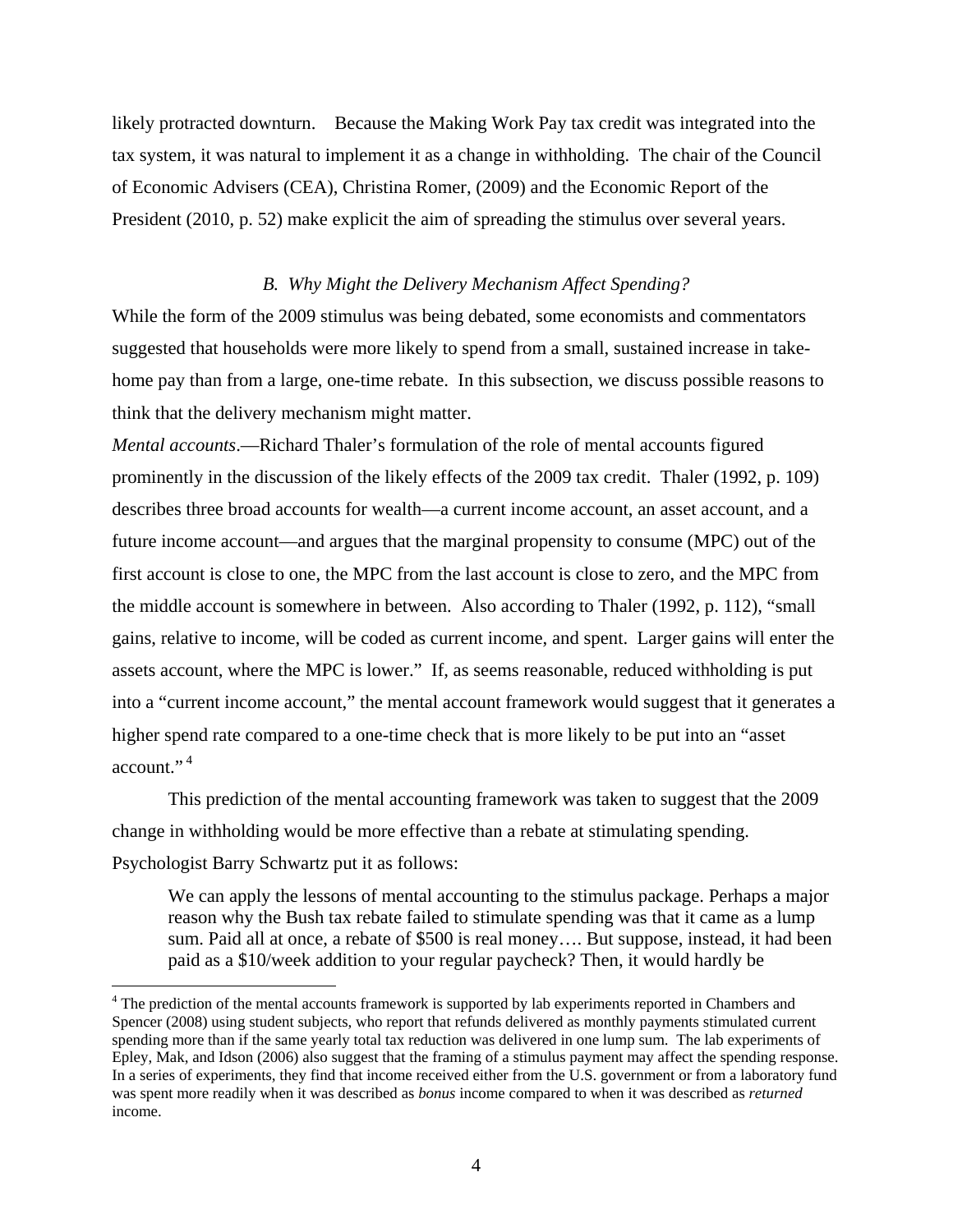likely protracted downturn. Because the Making Work Pay tax credit was integrated into the tax system, it was natural to implement it as a change in withholding. The chair of the Council of Economic Advisers (CEA), Christina Romer, (2009) and the Economic Report of the President (2010, p. 52) make explicit the aim of spreading the stimulus over several years.

## *B. Why Might the Delivery Mechanism Affect Spending?*

While the form of the 2009 stimulus was being debated, some economists and commentators suggested that households were more likely to spend from a small, sustained increase in takehome pay than from a large, one-time rebate. In this subsection, we discuss possible reasons to think that the delivery mechanism might matter.

*Mental accounts*.—Richard Thaler's formulation of the role of mental accounts figured prominently in the discussion of the likely effects of the 2009 tax credit. Thaler (1992, p. 109) describes three broad accounts for wealth—a current income account, an asset account, and a future income account—and argues that the marginal propensity to consume (MPC) out of the first account is close to one, the MPC from the last account is close to zero, and the MPC from the middle account is somewhere in between. Also according to Thaler (1992, p. 112), "small gains, relative to income, will be coded as current income, and spent. Larger gains will enter the assets account, where the MPC is lower." If, as seems reasonable, reduced withholding is put into a "current income account," the mental account framework would suggest that it generates a higher spend rate compared to a one-time check that is more likely to be put into an "asset account." 4

This prediction of the mental accounting framework was taken to suggest that the 2009 change in withholding would be more effective than a rebate at stimulating spending. Psychologist Barry Schwartz put it as follows:

We can apply the lessons of mental accounting to the stimulus package. Perhaps a major reason why the Bush tax rebate failed to stimulate spending was that it came as a lump sum. Paid all at once, a rebate of \$500 is real money…. But suppose, instead, it had been paid as a \$10/week addition to your regular paycheck? Then, it would hardly be

<u>.</u>

<sup>&</sup>lt;sup>4</sup> The prediction of the mental accounts framework is supported by lab experiments reported in Chambers and Spencer (2008) using student subjects, who report that refunds delivered as monthly payments stimulated current spending more than if the same yearly total tax reduction was delivered in one lump sum. The lab experiments of Epley, Mak, and Idson (2006) also suggest that the framing of a stimulus payment may affect the spending response. In a series of experiments, they find that income received either from the U.S. government or from a laboratory fund was spent more readily when it was described as *bonus* income compared to when it was described as *returned* income.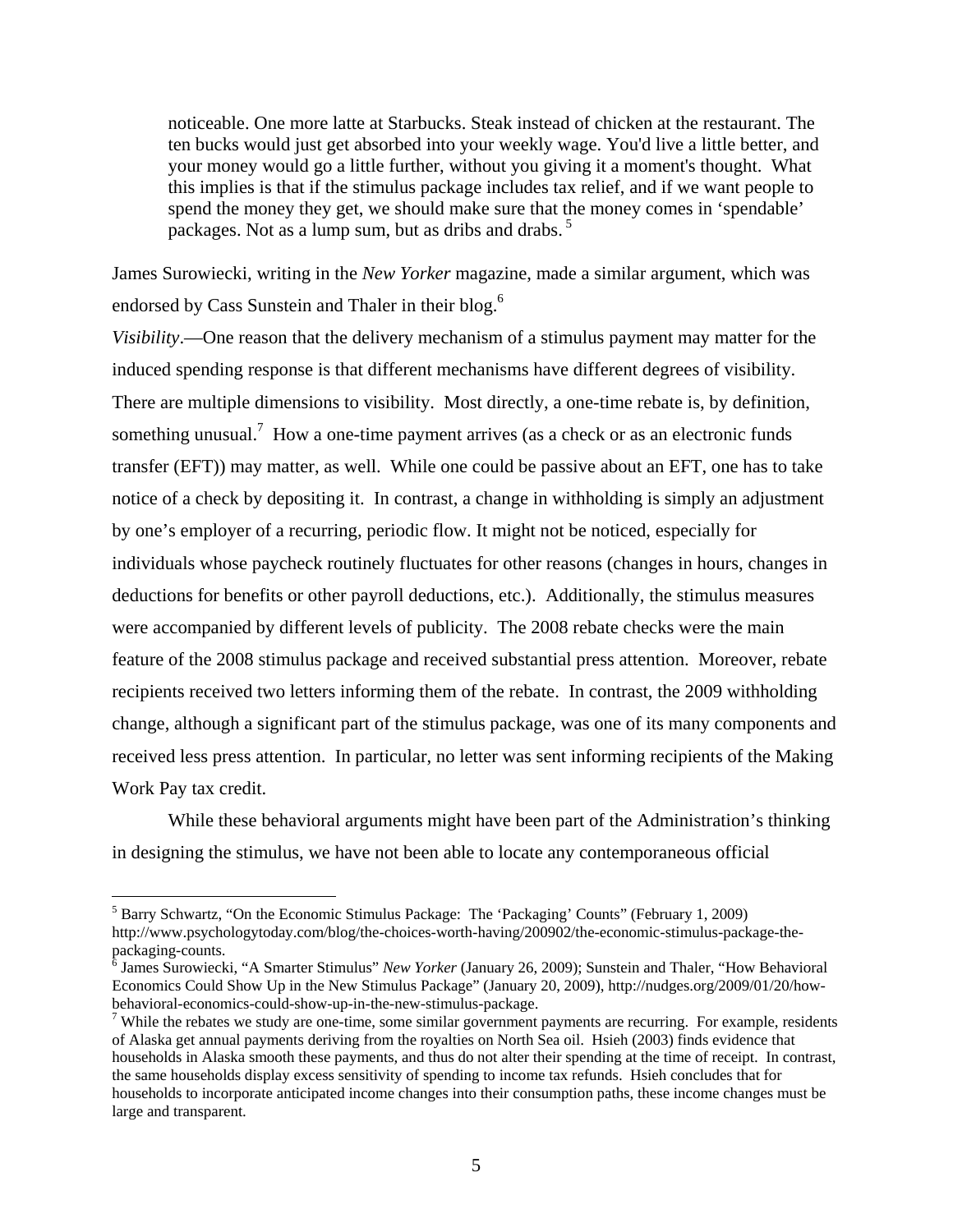noticeable. One more latte at Starbucks. Steak instead of chicken at the restaurant. The ten bucks would just get absorbed into your weekly wage. You'd live a little better, and your money would go a little further, without you giving it a moment's thought. What this implies is that if the stimulus package includes tax relief, and if we want people to spend the money they get, we should make sure that the money comes in 'spendable' packages. Not as a lump sum, but as dribs and drabs.<sup>5</sup>

James Surowiecki, writing in the *New Yorker* magazine, made a similar argument, which was endorsed by Cass Sunstein and Thaler in their blog.<sup>6</sup>

*Visibility*.—One reason that the delivery mechanism of a stimulus payment may matter for the induced spending response is that different mechanisms have different degrees of visibility. There are multiple dimensions to visibility. Most directly, a one-time rebate is, by definition, something unusual.<sup>7</sup> How a one-time payment arrives (as a check or as an electronic funds transfer (EFT)) may matter, as well. While one could be passive about an EFT, one has to take notice of a check by depositing it. In contrast, a change in withholding is simply an adjustment by one's employer of a recurring, periodic flow. It might not be noticed, especially for individuals whose paycheck routinely fluctuates for other reasons (changes in hours, changes in deductions for benefits or other payroll deductions, etc.). Additionally, the stimulus measures were accompanied by different levels of publicity. The 2008 rebate checks were the main feature of the 2008 stimulus package and received substantial press attention. Moreover, rebate recipients received two letters informing them of the rebate. In contrast, the 2009 withholding change, although a significant part of the stimulus package, was one of its many components and received less press attention. In particular, no letter was sent informing recipients of the Making Work Pay tax credit.

While these behavioral arguments might have been part of the Administration's thinking in designing the stimulus, we have not been able to locate any contemporaneous official

<sup>&</sup>lt;sup>5</sup> Barry Schwartz, "On the Economic Stimulus Package: The 'Packaging' Counts'' (February 1, 2009) http://www.psychologytoday.com/blog/the-choices-worth-having/200902/the-economic-stimulus-package-thepackaging-counts.

<sup>6</sup> James Surowiecki, "A Smarter Stimulus" *New Yorker* (January 26, 2009); Sunstein and Thaler, "How Behavioral Economics Could Show Up in the New Stimulus Package" (January 20, 2009), http://nudges.org/2009/01/20/howbehavioral-economics-could-show-up-in-the-new-stimulus-package.

<sup>&</sup>lt;sup>7</sup> While the rebates we study are one-time, some similar government payments are recurring. For example, residents of Alaska get annual payments deriving from the royalties on North Sea oil. Hsieh (2003) finds evidence that households in Alaska smooth these payments, and thus do not alter their spending at the time of receipt. In contrast, the same households display excess sensitivity of spending to income tax refunds. Hsieh concludes that for households to incorporate anticipated income changes into their consumption paths, these income changes must be large and transparent.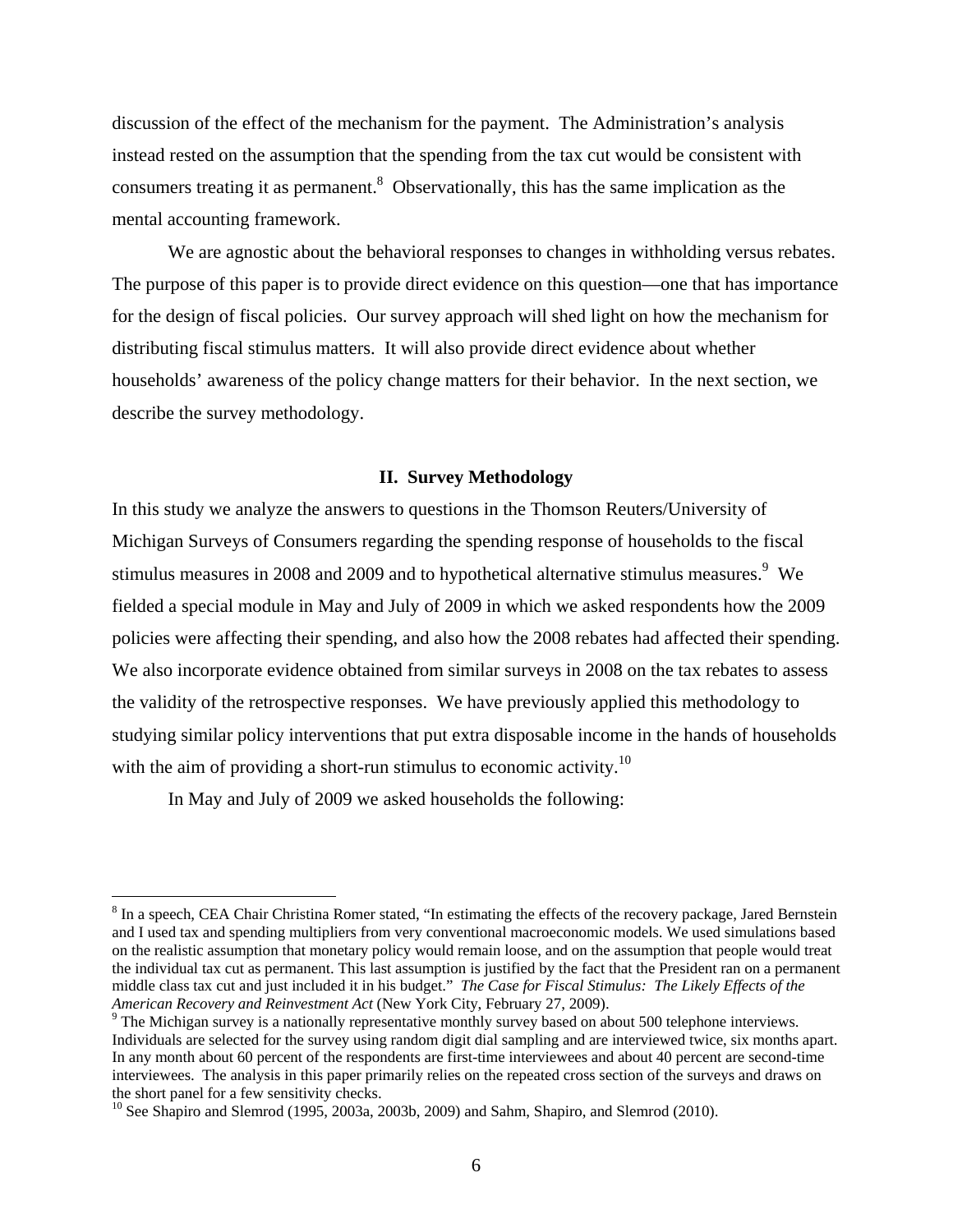discussion of the effect of the mechanism for the payment. The Administration's analysis instead rested on the assumption that the spending from the tax cut would be consistent with consumers treating it as permanent.<sup>8</sup> Observationally, this has the same implication as the mental accounting framework.

We are agnostic about the behavioral responses to changes in withholding versus rebates. The purpose of this paper is to provide direct evidence on this question—one that has importance for the design of fiscal policies. Our survey approach will shed light on how the mechanism for distributing fiscal stimulus matters. It will also provide direct evidence about whether households' awareness of the policy change matters for their behavior. In the next section, we describe the survey methodology.

#### **II. Survey Methodology**

In this study we analyze the answers to questions in the Thomson Reuters/University of Michigan Surveys of Consumers regarding the spending response of households to the fiscal stimulus measures in 2008 and 2009 and to hypothetical alternative stimulus measures.<sup>9</sup> We fielded a special module in May and July of 2009 in which we asked respondents how the 2009 policies were affecting their spending, and also how the 2008 rebates had affected their spending. We also incorporate evidence obtained from similar surveys in 2008 on the tax rebates to assess the validity of the retrospective responses. We have previously applied this methodology to studying similar policy interventions that put extra disposable income in the hands of households with the aim of providing a short-run stimulus to economic activity.<sup>10</sup>

In May and July of 2009 we asked households the following:

 $8$  In a speech, CEA Chair Christina Romer stated, "In estimating the effects of the recovery package, Jared Bernstein and I used tax and spending multipliers from very conventional macroeconomic models. We used simulations based on the realistic assumption that monetary policy would remain loose, and on the assumption that people would treat the individual tax cut as permanent. This last assumption is justified by the fact that the President ran on a permanent middle class tax cut and just included it in his budget." *The Case for Fiscal Stimulus: The Likely Effects of the American Recovery and Reinvestment Act* (New York City, February 27, 2009).

<sup>&</sup>lt;sup>9</sup> The Michigan survey is a nationally representative monthly survey based on about 500 telephone interviews. Individuals are selected for the survey using random digit dial sampling and are interviewed twice, six months apart. In any month about 60 percent of the respondents are first-time interviewees and about 40 percent are second-time interviewees. The analysis in this paper primarily relies on the repeated cross section of the surveys and draws on the short panel for a few sensitivity checks.

<sup>&</sup>lt;sup>10</sup> See Shapiro and Slemrod (1995, 2003a, 2003b, 2009) and Sahm, Shapiro, and Slemrod (2010).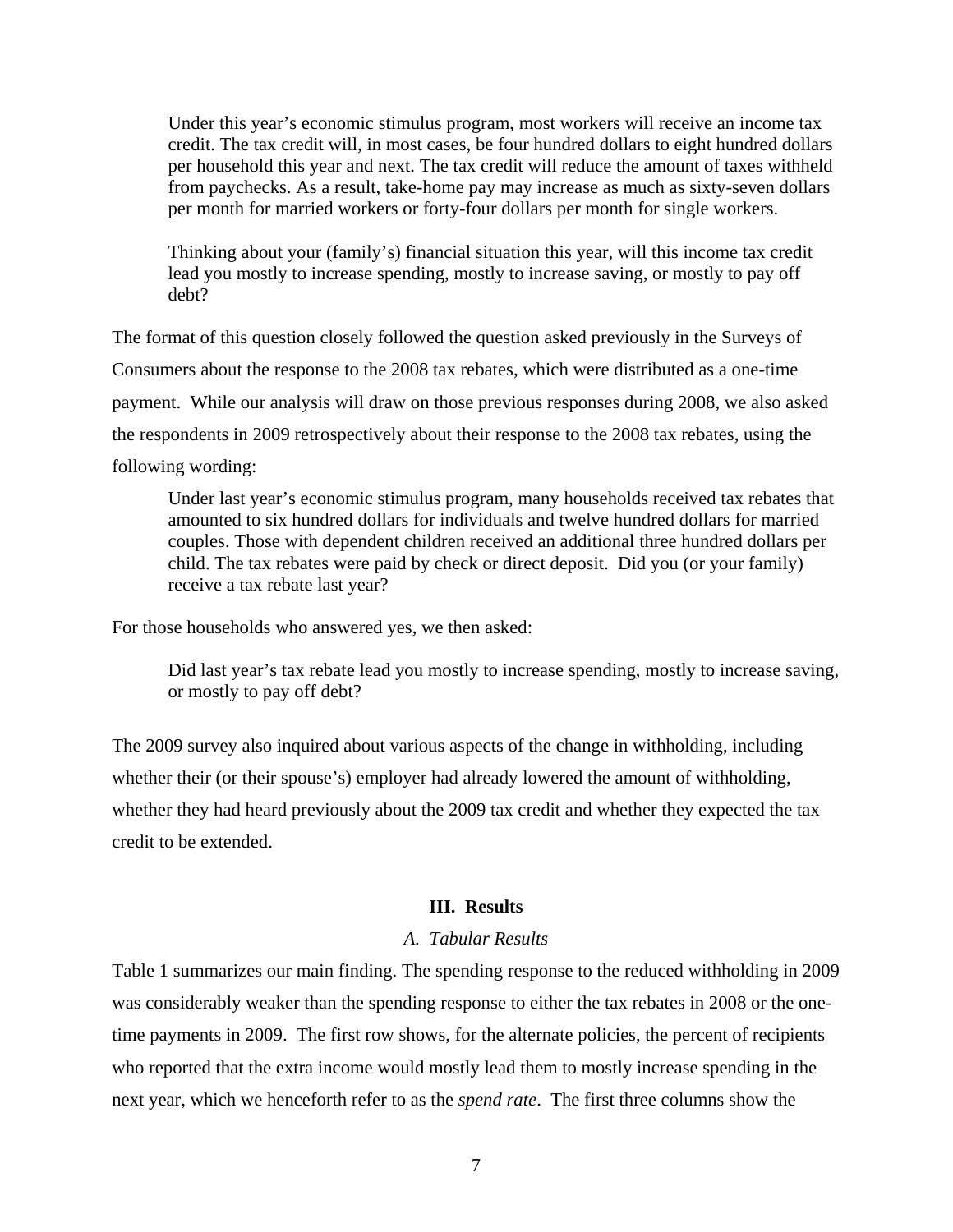Under this year's economic stimulus program, most workers will receive an income tax credit. The tax credit will, in most cases, be four hundred dollars to eight hundred dollars per household this year and next. The tax credit will reduce the amount of taxes withheld from paychecks. As a result, take-home pay may increase as much as sixty-seven dollars per month for married workers or forty-four dollars per month for single workers.

Thinking about your (family's) financial situation this year, will this income tax credit lead you mostly to increase spending, mostly to increase saving, or mostly to pay off debt?

The format of this question closely followed the question asked previously in the Surveys of Consumers about the response to the 2008 tax rebates, which were distributed as a one-time payment. While our analysis will draw on those previous responses during 2008, we also asked the respondents in 2009 retrospectively about their response to the 2008 tax rebates, using the following wording:

Under last year's economic stimulus program, many households received tax rebates that amounted to six hundred dollars for individuals and twelve hundred dollars for married couples. Those with dependent children received an additional three hundred dollars per child. The tax rebates were paid by check or direct deposit. Did you (or your family) receive a tax rebate last year?

For those households who answered yes, we then asked:

Did last year's tax rebate lead you mostly to increase spending, mostly to increase saving, or mostly to pay off debt?

The 2009 survey also inquired about various aspects of the change in withholding, including whether their (or their spouse's) employer had already lowered the amount of withholding, whether they had heard previously about the 2009 tax credit and whether they expected the tax credit to be extended.

# **III. Results**

# *A. Tabular Results*

Table 1 summarizes our main finding. The spending response to the reduced withholding in 2009 was considerably weaker than the spending response to either the tax rebates in 2008 or the onetime payments in 2009. The first row shows, for the alternate policies, the percent of recipients who reported that the extra income would mostly lead them to mostly increase spending in the next year, which we henceforth refer to as the *spend rate*. The first three columns show the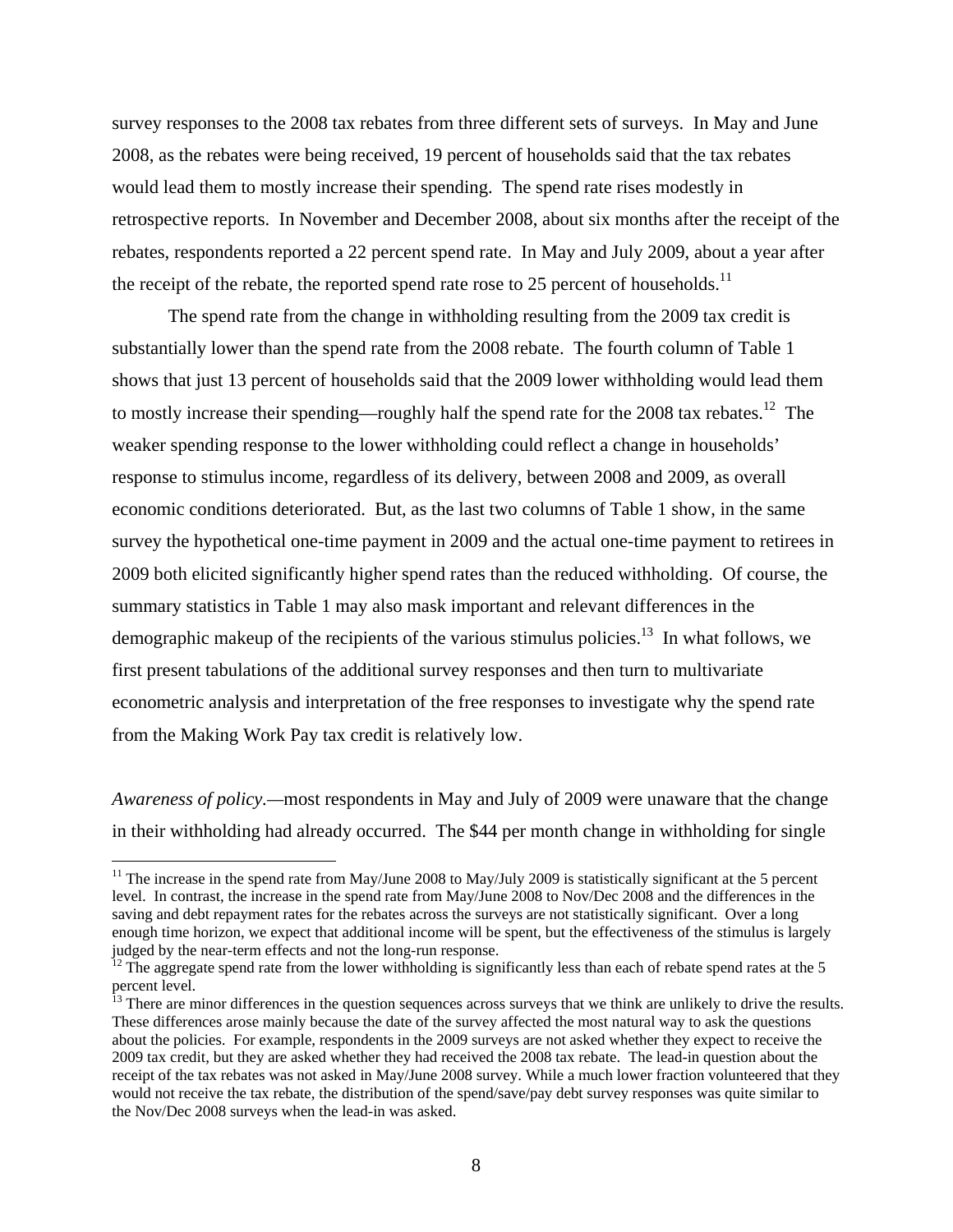survey responses to the 2008 tax rebates from three different sets of surveys. In May and June 2008, as the rebates were being received, 19 percent of households said that the tax rebates would lead them to mostly increase their spending. The spend rate rises modestly in retrospective reports. In November and December 2008, about six months after the receipt of the rebates, respondents reported a 22 percent spend rate. In May and July 2009, about a year after the receipt of the rebate, the reported spend rate rose to 25 percent of households.<sup>11</sup>

The spend rate from the change in withholding resulting from the 2009 tax credit is substantially lower than the spend rate from the 2008 rebate. The fourth column of Table 1 shows that just 13 percent of households said that the 2009 lower withholding would lead them to mostly increase their spending—roughly half the spend rate for the 2008 tax rebates.<sup>12</sup> The weaker spending response to the lower withholding could reflect a change in households' response to stimulus income, regardless of its delivery, between 2008 and 2009, as overall economic conditions deteriorated. But, as the last two columns of Table 1 show, in the same survey the hypothetical one-time payment in 2009 and the actual one-time payment to retirees in 2009 both elicited significantly higher spend rates than the reduced withholding. Of course, the summary statistics in Table 1 may also mask important and relevant differences in the demographic makeup of the recipients of the various stimulus policies.<sup>13</sup> In what follows, we first present tabulations of the additional survey responses and then turn to multivariate econometric analysis and interpretation of the free responses to investigate why the spend rate from the Making Work Pay tax credit is relatively low.

*Awareness of policy.—*most respondents in May and July of 2009 were unaware that the change in their withholding had already occurred. The \$44 per month change in withholding for single

 $11$  The increase in the spend rate from May/June 2008 to May/July 2009 is statistically significant at the 5 percent level. In contrast, the increase in the spend rate from May/June 2008 to Nov/Dec 2008 and the differences in the saving and debt repayment rates for the rebates across the surveys are not statistically significant. Over a long enough time horizon, we expect that additional income will be spent, but the effectiveness of the stimulus is largely judged by the near-term effects and not the long-run response.

 $\tilde{p}^{12}$  The aggregate spend rate from the lower withholding is significantly less than each of rebate spend rates at the 5 percent level.

<sup>&</sup>lt;sup>13</sup> There are minor differences in the question sequences across surveys that we think are unlikely to drive the results. These differences arose mainly because the date of the survey affected the most natural way to ask the questions about the policies. For example, respondents in the 2009 surveys are not asked whether they expect to receive the 2009 tax credit, but they are asked whether they had received the 2008 tax rebate. The lead-in question about the receipt of the tax rebates was not asked in May/June 2008 survey. While a much lower fraction volunteered that they would not receive the tax rebate, the distribution of the spend/save/pay debt survey responses was quite similar to the Nov/Dec 2008 surveys when the lead-in was asked.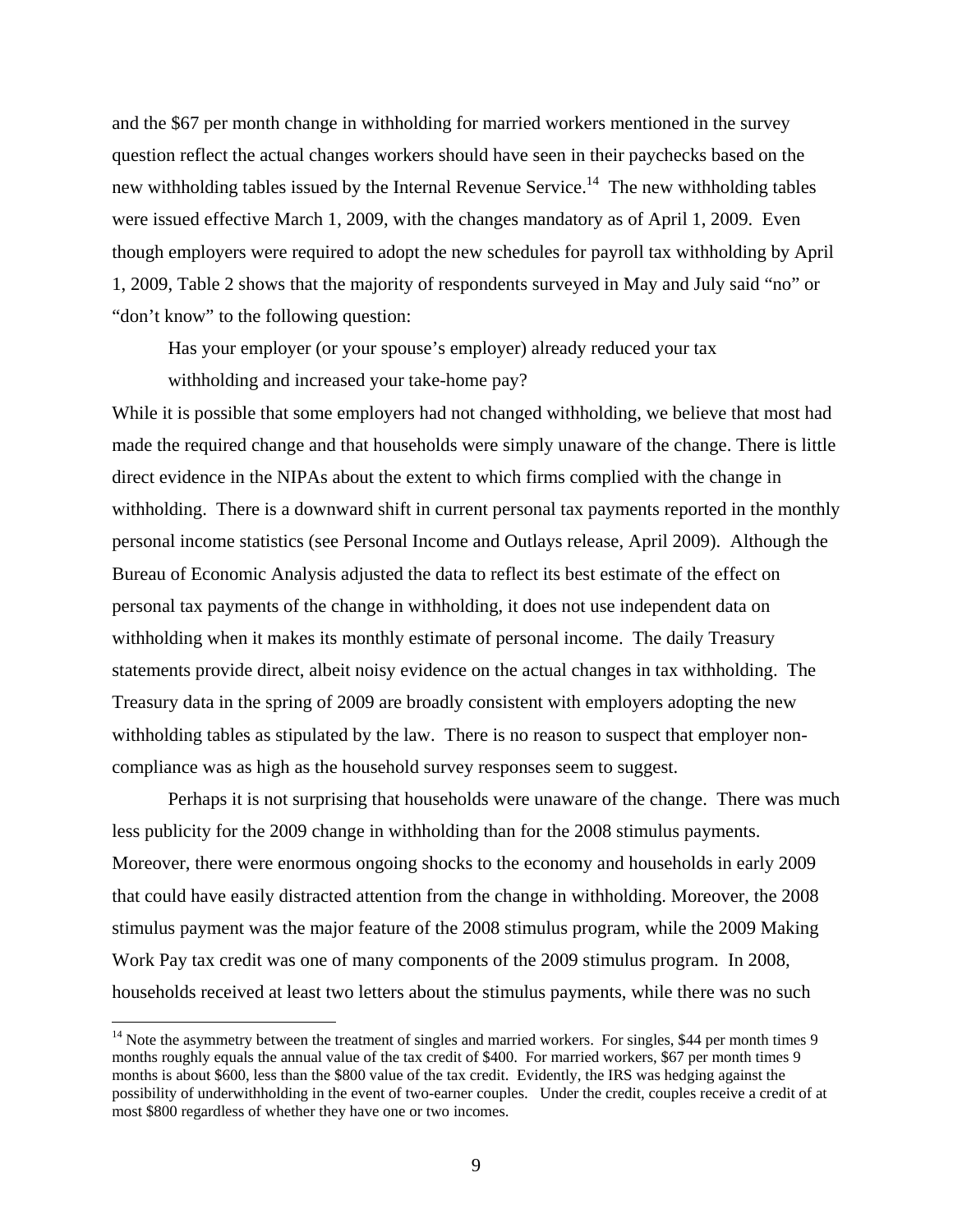and the \$67 per month change in withholding for married workers mentioned in the survey question reflect the actual changes workers should have seen in their paychecks based on the new withholding tables issued by the Internal Revenue Service.<sup>14</sup> The new withholding tables were issued effective March 1, 2009, with the changes mandatory as of April 1, 2009. Even though employers were required to adopt the new schedules for payroll tax withholding by April 1, 2009, Table 2 shows that the majority of respondents surveyed in May and July said "no" or "don't know" to the following question:

Has your employer (or your spouse's employer) already reduced your tax withholding and increased your take-home pay?

While it is possible that some employers had not changed withholding, we believe that most had made the required change and that households were simply unaware of the change. There is little direct evidence in the NIPAs about the extent to which firms complied with the change in withholding. There is a downward shift in current personal tax payments reported in the monthly personal income statistics (see Personal Income and Outlays release, April 2009). Although the Bureau of Economic Analysis adjusted the data to reflect its best estimate of the effect on personal tax payments of the change in withholding, it does not use independent data on withholding when it makes its monthly estimate of personal income. The daily Treasury statements provide direct, albeit noisy evidence on the actual changes in tax withholding. The Treasury data in the spring of 2009 are broadly consistent with employers adopting the new withholding tables as stipulated by the law. There is no reason to suspect that employer noncompliance was as high as the household survey responses seem to suggest.

Perhaps it is not surprising that households were unaware of the change. There was much less publicity for the 2009 change in withholding than for the 2008 stimulus payments. Moreover, there were enormous ongoing shocks to the economy and households in early 2009 that could have easily distracted attention from the change in withholding. Moreover, the 2008 stimulus payment was the major feature of the 2008 stimulus program, while the 2009 Making Work Pay tax credit was one of many components of the 2009 stimulus program. In 2008, households received at least two letters about the stimulus payments, while there was no such

<sup>&</sup>lt;sup>14</sup> Note the asymmetry between the treatment of singles and married workers. For singles, \$44 per month times 9 months roughly equals the annual value of the tax credit of \$400. For married workers, \$67 per month times 9 months is about \$600, less than the \$800 value of the tax credit. Evidently, the IRS was hedging against the possibility of underwithholding in the event of two-earner couples. Under the credit, couples receive a credit of at most \$800 regardless of whether they have one or two incomes.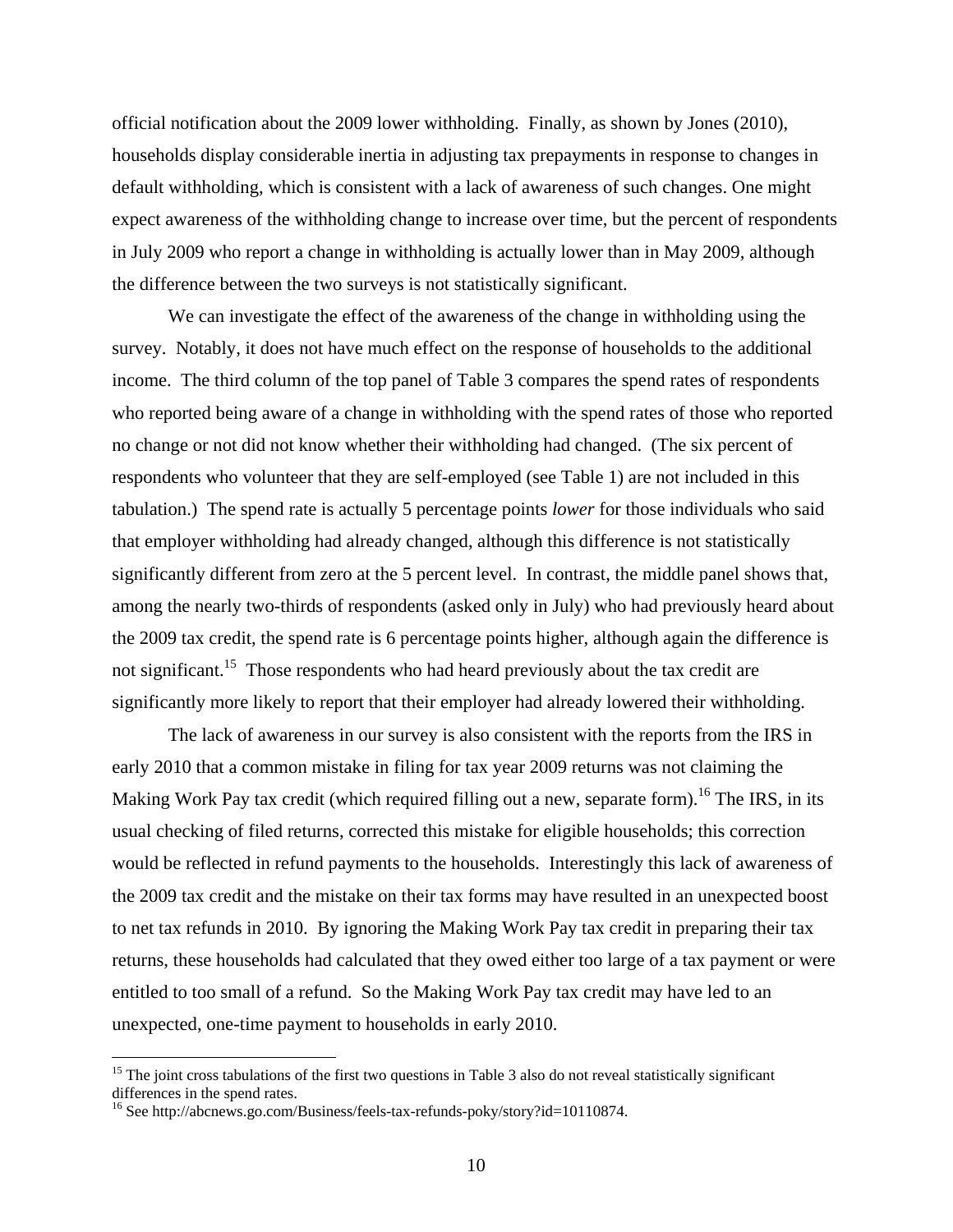official notification about the 2009 lower withholding. Finally, as shown by Jones (2010), households display considerable inertia in adjusting tax prepayments in response to changes in default withholding, which is consistent with a lack of awareness of such changes. One might expect awareness of the withholding change to increase over time, but the percent of respondents in July 2009 who report a change in withholding is actually lower than in May 2009, although the difference between the two surveys is not statistically significant.

We can investigate the effect of the awareness of the change in withholding using the survey. Notably, it does not have much effect on the response of households to the additional income. The third column of the top panel of Table 3 compares the spend rates of respondents who reported being aware of a change in withholding with the spend rates of those who reported no change or not did not know whether their withholding had changed. (The six percent of respondents who volunteer that they are self-employed (see Table 1) are not included in this tabulation.) The spend rate is actually 5 percentage points *lower* for those individuals who said that employer withholding had already changed, although this difference is not statistically significantly different from zero at the 5 percent level. In contrast, the middle panel shows that, among the nearly two-thirds of respondents (asked only in July) who had previously heard about the 2009 tax credit, the spend rate is 6 percentage points higher, although again the difference is not significant.<sup>15</sup> Those respondents who had heard previously about the tax credit are significantly more likely to report that their employer had already lowered their withholding.

The lack of awareness in our survey is also consistent with the reports from the IRS in early 2010 that a common mistake in filing for tax year 2009 returns was not claiming the Making Work Pay tax credit (which required filling out a new, separate form).<sup>16</sup> The IRS, in its usual checking of filed returns, corrected this mistake for eligible households; this correction would be reflected in refund payments to the households. Interestingly this lack of awareness of the 2009 tax credit and the mistake on their tax forms may have resulted in an unexpected boost to net tax refunds in 2010. By ignoring the Making Work Pay tax credit in preparing their tax returns, these households had calculated that they owed either too large of a tax payment or were entitled to too small of a refund. So the Making Work Pay tax credit may have led to an unexpected, one-time payment to households in early 2010.

 $15$  The joint cross tabulations of the first two questions in Table 3 also do not reveal statistically significant differences in the spend rates.

<sup>16</sup> See http://abcnews.go.com/Business/feels-tax-refunds-poky/story?id=10110874.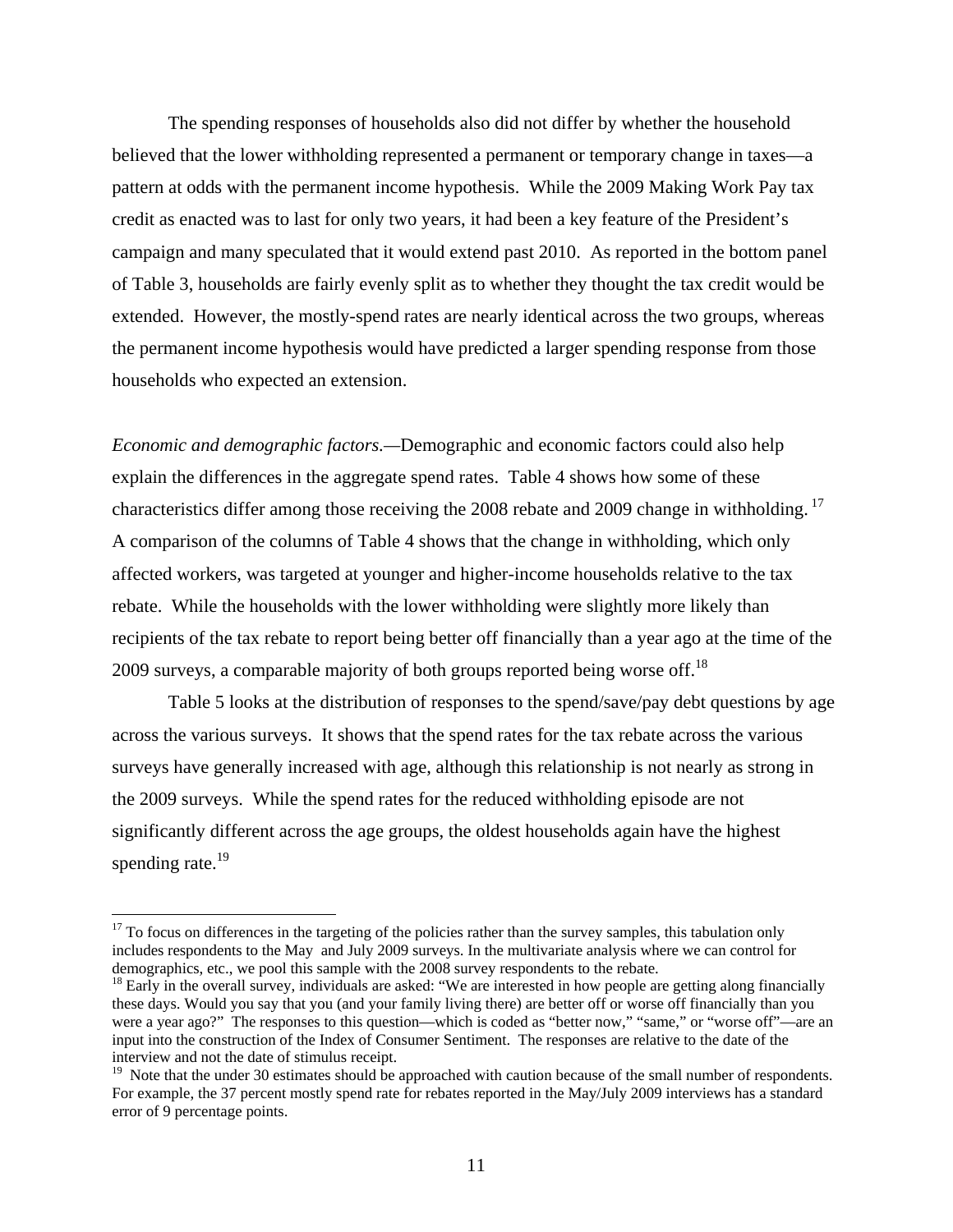The spending responses of households also did not differ by whether the household believed that the lower withholding represented a permanent or temporary change in taxes—a pattern at odds with the permanent income hypothesis. While the 2009 Making Work Pay tax credit as enacted was to last for only two years, it had been a key feature of the President's campaign and many speculated that it would extend past 2010. As reported in the bottom panel of Table 3, households are fairly evenly split as to whether they thought the tax credit would be extended. However, the mostly-spend rates are nearly identical across the two groups, whereas the permanent income hypothesis would have predicted a larger spending response from those households who expected an extension.

*Economic and demographic factors.—*Demographic and economic factors could also help explain the differences in the aggregate spend rates. Table 4 shows how some of these characteristics differ among those receiving the 2008 rebate and 2009 change in withholding.<sup>17</sup> A comparison of the columns of Table 4 shows that the change in withholding, which only affected workers, was targeted at younger and higher-income households relative to the tax rebate. While the households with the lower withholding were slightly more likely than recipients of the tax rebate to report being better off financially than a year ago at the time of the 2009 surveys, a comparable majority of both groups reported being worse off.<sup>18</sup>

Table 5 looks at the distribution of responses to the spend/save/pay debt questions by age across the various surveys. It shows that the spend rates for the tax rebate across the various surveys have generally increased with age, although this relationship is not nearly as strong in the 2009 surveys. While the spend rates for the reduced withholding episode are not significantly different across the age groups, the oldest households again have the highest spending rate. $^{19}$ 

 $17$  To focus on differences in the targeting of the policies rather than the survey samples, this tabulation only includes respondents to the May and July 2009 surveys. In the multivariate analysis where we can control for demographics, etc., we pool this sample with the 2008 survey respondents to the rebate.

 $18$  Early in the overall survey, individuals are asked: "We are interested in how people are getting along financially these days. Would you say that you (and your family living there) are better off or worse off financially than you were a year ago?" The responses to this question—which is coded as "better now," "same," or "worse off"—are an input into the construction of the Index of Consumer Sentiment. The responses are relative to the date of the interview and not the date of stimulus receipt.

<sup>&</sup>lt;sup>19</sup> Note that the under 30 estimates should be approached with caution because of the small number of respondents. For example, the 37 percent mostly spend rate for rebates reported in the May/July 2009 interviews has a standard error of 9 percentage points.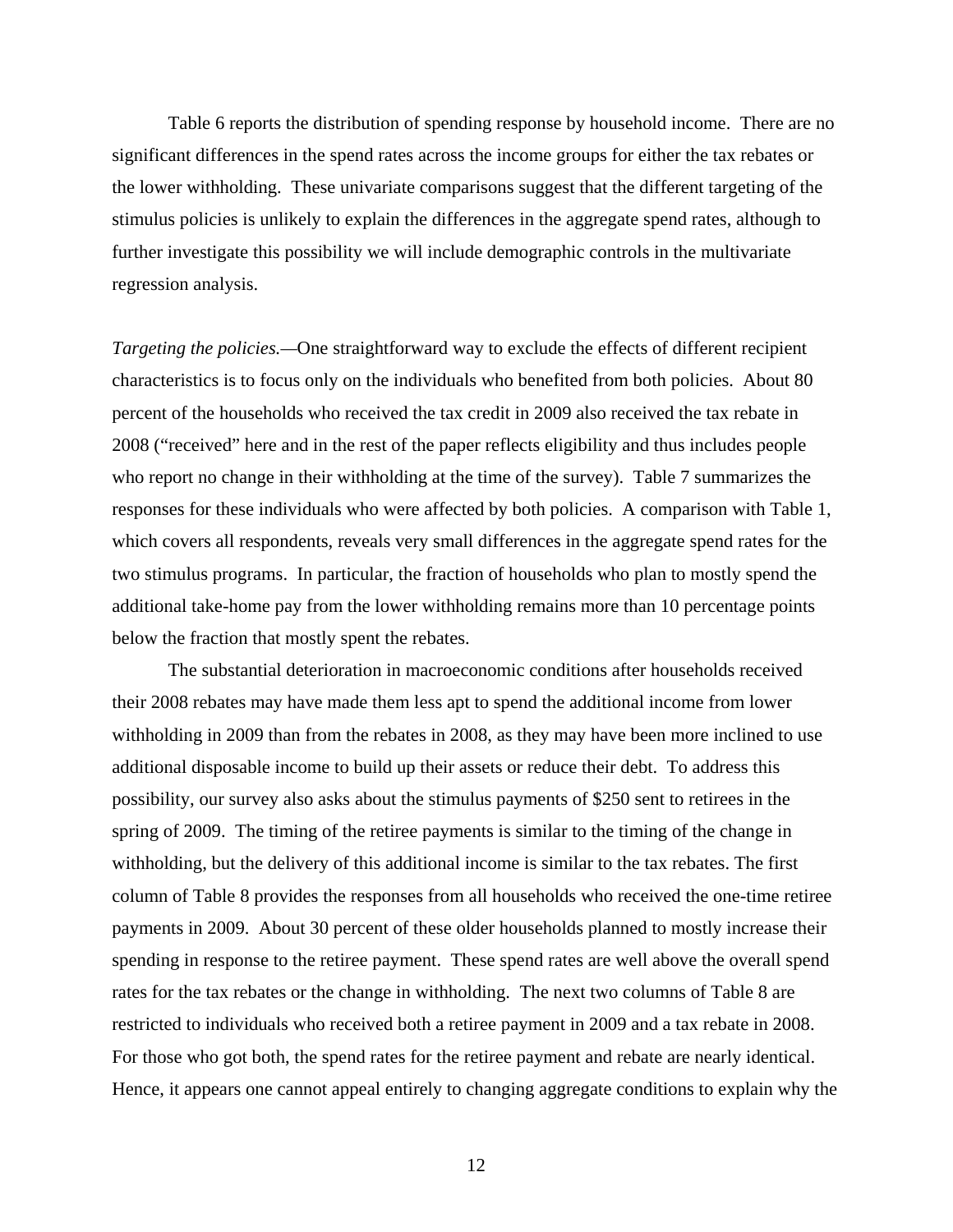Table 6 reports the distribution of spending response by household income. There are no significant differences in the spend rates across the income groups for either the tax rebates or the lower withholding. These univariate comparisons suggest that the different targeting of the stimulus policies is unlikely to explain the differences in the aggregate spend rates, although to further investigate this possibility we will include demographic controls in the multivariate regression analysis.

*Targeting the policies.—*One straightforward way to exclude the effects of different recipient characteristics is to focus only on the individuals who benefited from both policies. About 80 percent of the households who received the tax credit in 2009 also received the tax rebate in 2008 ("received" here and in the rest of the paper reflects eligibility and thus includes people who report no change in their withholding at the time of the survey). Table 7 summarizes the responses for these individuals who were affected by both policies. A comparison with Table 1, which covers all respondents, reveals very small differences in the aggregate spend rates for the two stimulus programs. In particular, the fraction of households who plan to mostly spend the additional take-home pay from the lower withholding remains more than 10 percentage points below the fraction that mostly spent the rebates.

The substantial deterioration in macroeconomic conditions after households received their 2008 rebates may have made them less apt to spend the additional income from lower withholding in 2009 than from the rebates in 2008, as they may have been more inclined to use additional disposable income to build up their assets or reduce their debt. To address this possibility, our survey also asks about the stimulus payments of \$250 sent to retirees in the spring of 2009. The timing of the retiree payments is similar to the timing of the change in withholding, but the delivery of this additional income is similar to the tax rebates. The first column of Table 8 provides the responses from all households who received the one-time retiree payments in 2009. About 30 percent of these older households planned to mostly increase their spending in response to the retiree payment. These spend rates are well above the overall spend rates for the tax rebates or the change in withholding. The next two columns of Table 8 are restricted to individuals who received both a retiree payment in 2009 and a tax rebate in 2008. For those who got both, the spend rates for the retiree payment and rebate are nearly identical. Hence, it appears one cannot appeal entirely to changing aggregate conditions to explain why the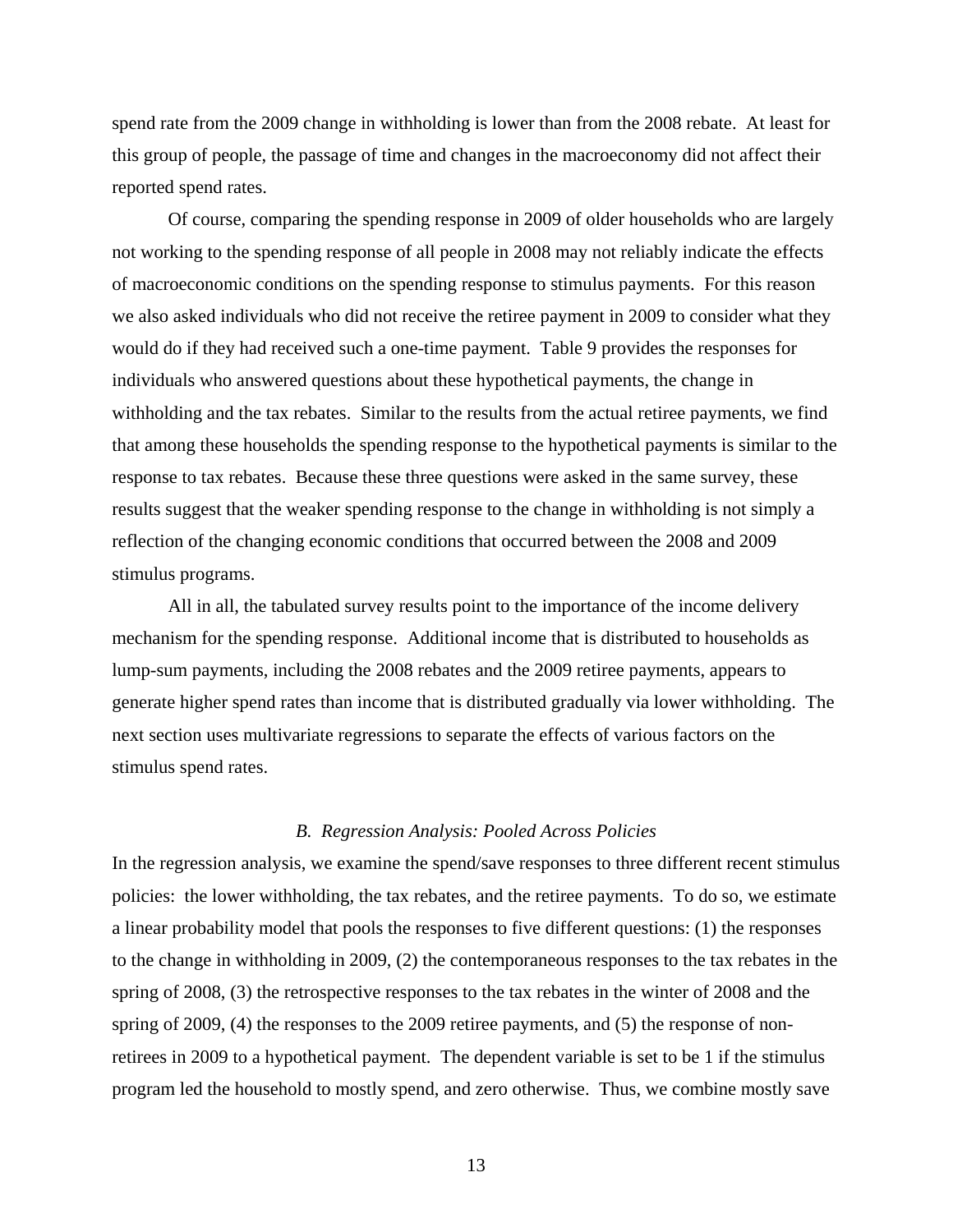spend rate from the 2009 change in withholding is lower than from the 2008 rebate. At least for this group of people, the passage of time and changes in the macroeconomy did not affect their reported spend rates.

Of course, comparing the spending response in 2009 of older households who are largely not working to the spending response of all people in 2008 may not reliably indicate the effects of macroeconomic conditions on the spending response to stimulus payments. For this reason we also asked individuals who did not receive the retiree payment in 2009 to consider what they would do if they had received such a one-time payment. Table 9 provides the responses for individuals who answered questions about these hypothetical payments, the change in withholding and the tax rebates. Similar to the results from the actual retiree payments, we find that among these households the spending response to the hypothetical payments is similar to the response to tax rebates. Because these three questions were asked in the same survey, these results suggest that the weaker spending response to the change in withholding is not simply a reflection of the changing economic conditions that occurred between the 2008 and 2009 stimulus programs.

 All in all, the tabulated survey results point to the importance of the income delivery mechanism for the spending response. Additional income that is distributed to households as lump-sum payments, including the 2008 rebates and the 2009 retiree payments, appears to generate higher spend rates than income that is distributed gradually via lower withholding. The next section uses multivariate regressions to separate the effects of various factors on the stimulus spend rates.

# *B. Regression Analysis: Pooled Across Policies*

In the regression analysis, we examine the spend/save responses to three different recent stimulus policies: the lower withholding, the tax rebates, and the retiree payments. To do so, we estimate a linear probability model that pools the responses to five different questions: (1) the responses to the change in withholding in 2009, (2) the contemporaneous responses to the tax rebates in the spring of 2008, (3) the retrospective responses to the tax rebates in the winter of 2008 and the spring of 2009, (4) the responses to the 2009 retiree payments, and (5) the response of nonretirees in 2009 to a hypothetical payment. The dependent variable is set to be 1 if the stimulus program led the household to mostly spend, and zero otherwise. Thus, we combine mostly save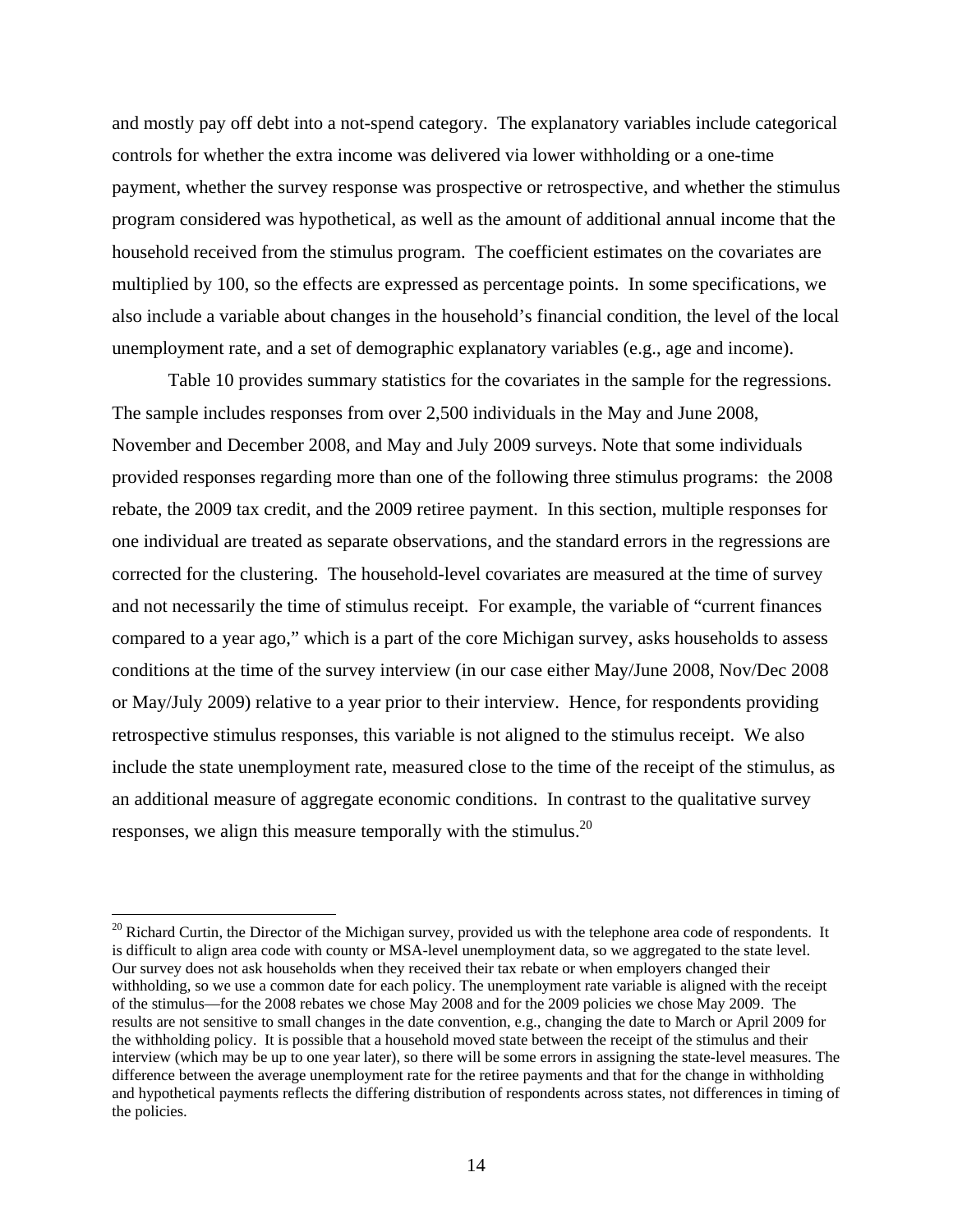and mostly pay off debt into a not-spend category. The explanatory variables include categorical controls for whether the extra income was delivered via lower withholding or a one-time payment, whether the survey response was prospective or retrospective, and whether the stimulus program considered was hypothetical, as well as the amount of additional annual income that the household received from the stimulus program. The coefficient estimates on the covariates are multiplied by 100, so the effects are expressed as percentage points. In some specifications, we also include a variable about changes in the household's financial condition, the level of the local unemployment rate, and a set of demographic explanatory variables (e.g., age and income).

Table 10 provides summary statistics for the covariates in the sample for the regressions. The sample includes responses from over 2,500 individuals in the May and June 2008, November and December 2008, and May and July 2009 surveys. Note that some individuals provided responses regarding more than one of the following three stimulus programs: the 2008 rebate, the 2009 tax credit, and the 2009 retiree payment. In this section, multiple responses for one individual are treated as separate observations, and the standard errors in the regressions are corrected for the clustering. The household-level covariates are measured at the time of survey and not necessarily the time of stimulus receipt. For example, the variable of "current finances compared to a year ago," which is a part of the core Michigan survey, asks households to assess conditions at the time of the survey interview (in our case either May/June 2008, Nov/Dec 2008 or May/July 2009) relative to a year prior to their interview. Hence, for respondents providing retrospective stimulus responses, this variable is not aligned to the stimulus receipt. We also include the state unemployment rate, measured close to the time of the receipt of the stimulus, as an additional measure of aggregate economic conditions. In contrast to the qualitative survey responses, we align this measure temporally with the stimulus.<sup>20</sup>

<sup>&</sup>lt;sup>20</sup> Richard Curtin, the Director of the Michigan survey, provided us with the telephone area code of respondents. It is difficult to align area code with county or MSA-level unemployment data, so we aggregated to the state level. Our survey does not ask households when they received their tax rebate or when employers changed their withholding, so we use a common date for each policy. The unemployment rate variable is aligned with the receipt of the stimulus—for the 2008 rebates we chose May 2008 and for the 2009 policies we chose May 2009. The results are not sensitive to small changes in the date convention, e.g., changing the date to March or April 2009 for the withholding policy. It is possible that a household moved state between the receipt of the stimulus and their interview (which may be up to one year later), so there will be some errors in assigning the state-level measures. The difference between the average unemployment rate for the retiree payments and that for the change in withholding and hypothetical payments reflects the differing distribution of respondents across states, not differences in timing of the policies.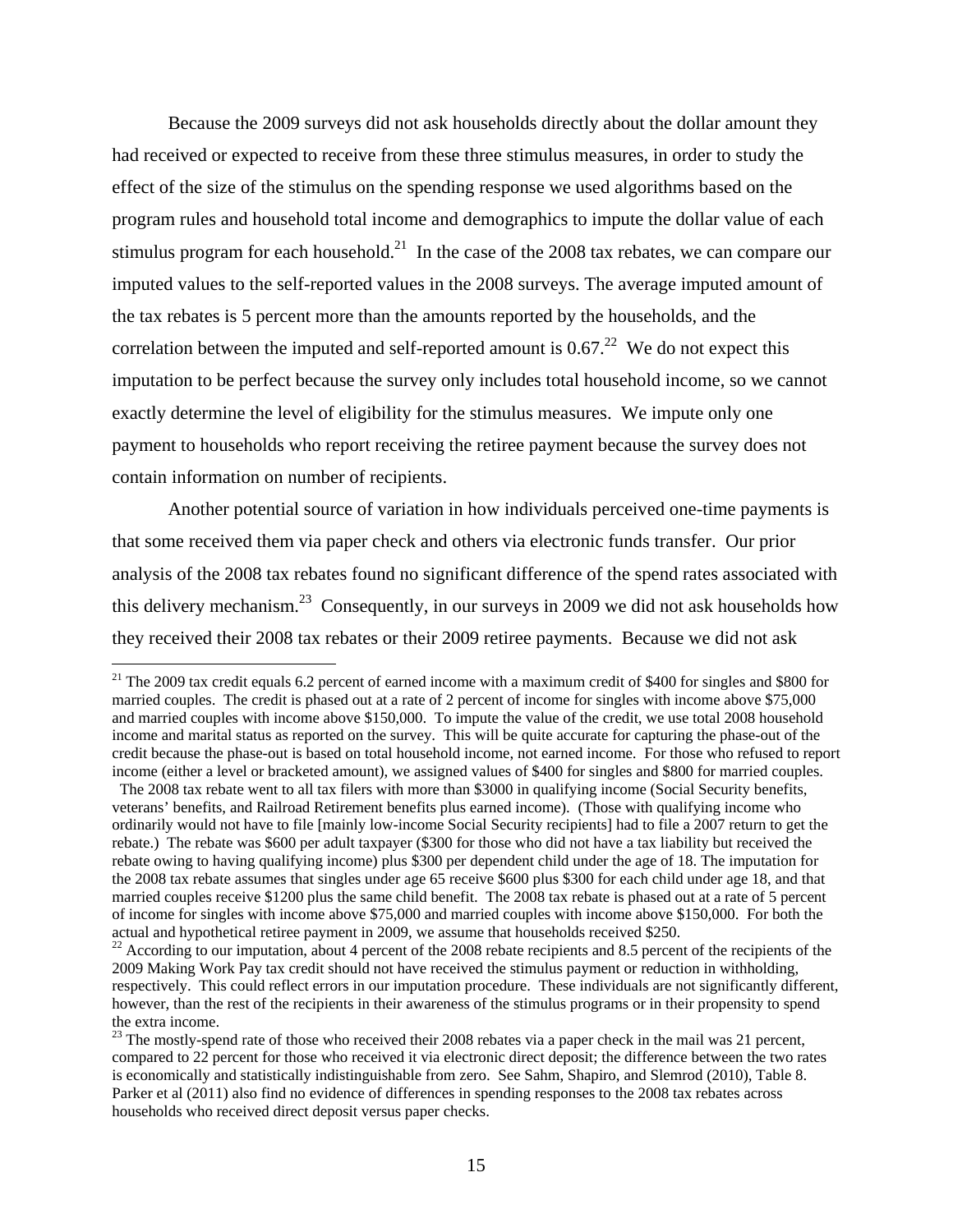Because the 2009 surveys did not ask households directly about the dollar amount they had received or expected to receive from these three stimulus measures, in order to study the effect of the size of the stimulus on the spending response we used algorithms based on the program rules and household total income and demographics to impute the dollar value of each stimulus program for each household.<sup>21</sup> In the case of the 2008 tax rebates, we can compare our imputed values to the self-reported values in the 2008 surveys. The average imputed amount of the tax rebates is 5 percent more than the amounts reported by the households, and the correlation between the imputed and self-reported amount is  $0.67<sup>22</sup>$  We do not expect this imputation to be perfect because the survey only includes total household income, so we cannot exactly determine the level of eligibility for the stimulus measures. We impute only one payment to households who report receiving the retiree payment because the survey does not contain information on number of recipients.

Another potential source of variation in how individuals perceived one-time payments is that some received them via paper check and others via electronic funds transfer. Our prior analysis of the 2008 tax rebates found no significant difference of the spend rates associated with this delivery mechanism.<sup>23</sup> Consequently, in our surveys in 2009 we did not ask households how they received their 2008 tax rebates or their 2009 retiree payments. Because we did not ask

 $21$  The 2009 tax credit equals 6.2 percent of earned income with a maximum credit of \$400 for singles and \$800 for married couples. The credit is phased out at a rate of 2 percent of income for singles with income above \$75,000 and married couples with income above \$150,000. To impute the value of the credit, we use total 2008 household income and marital status as reported on the survey. This will be quite accurate for capturing the phase-out of the credit because the phase-out is based on total household income, not earned income. For those who refused to report income (either a level or bracketed amount), we assigned values of \$400 for singles and \$800 for married couples.

The 2008 tax rebate went to all tax filers with more than \$3000 in qualifying income (Social Security benefits, veterans' benefits, and Railroad Retirement benefits plus earned income). (Those with qualifying income who ordinarily would not have to file [mainly low-income Social Security recipients] had to file a 2007 return to get the rebate.) The rebate was \$600 per adult taxpayer (\$300 for those who did not have a tax liability but received the rebate owing to having qualifying income) plus \$300 per dependent child under the age of 18. The imputation for the 2008 tax rebate assumes that singles under age 65 receive \$600 plus \$300 for each child under age 18, and that married couples receive \$1200 plus the same child benefit. The 2008 tax rebate is phased out at a rate of 5 percent of income for singles with income above \$75,000 and married couples with income above \$150,000. For both the actual and hypothetical retiree payment in 2009, we assume that households received \$250.<br><sup>22</sup> According to our imputation, about 4 percent of the 2008 rebate recipients and 8.5 percent of the recipients of the

<sup>2009</sup> Making Work Pay tax credit should not have received the stimulus payment or reduction in withholding, respectively. This could reflect errors in our imputation procedure. These individuals are not significantly different, however, than the rest of the recipients in their awareness of the stimulus programs or in their propensity to spend the extra income.

<sup>&</sup>lt;sup>23</sup> The mostly-spend rate of those who received their 2008 rebates via a paper check in the mail was 21 percent, compared to 22 percent for those who received it via electronic direct deposit; the difference between the two rates is economically and statistically indistinguishable from zero. See Sahm, Shapiro, and Slemrod (2010), Table 8. Parker et al (2011) also find no evidence of differences in spending responses to the 2008 tax rebates across households who received direct deposit versus paper checks.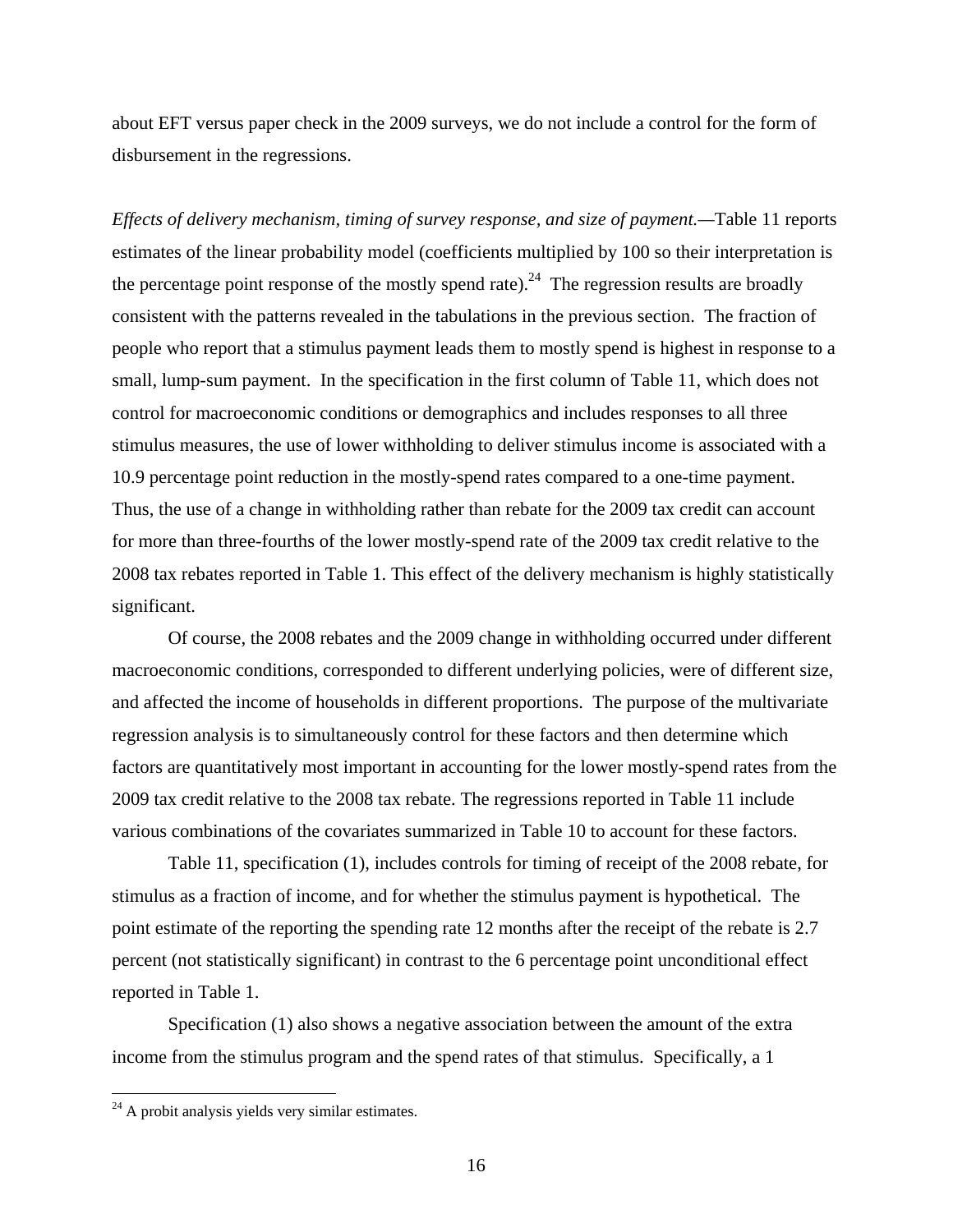about EFT versus paper check in the 2009 surveys, we do not include a control for the form of disbursement in the regressions.

*Effects of delivery mechanism, timing of survey response, and size of payment.—*Table 11 reports estimates of the linear probability model (coefficients multiplied by 100 so their interpretation is the percentage point response of the mostly spend rate).<sup>24</sup> The regression results are broadly consistent with the patterns revealed in the tabulations in the previous section. The fraction of people who report that a stimulus payment leads them to mostly spend is highest in response to a small, lump-sum payment. In the specification in the first column of Table 11, which does not control for macroeconomic conditions or demographics and includes responses to all three stimulus measures, the use of lower withholding to deliver stimulus income is associated with a 10.9 percentage point reduction in the mostly-spend rates compared to a one-time payment. Thus, the use of a change in withholding rather than rebate for the 2009 tax credit can account for more than three-fourths of the lower mostly-spend rate of the 2009 tax credit relative to the 2008 tax rebates reported in Table 1. This effect of the delivery mechanism is highly statistically significant.

Of course, the 2008 rebates and the 2009 change in withholding occurred under different macroeconomic conditions, corresponded to different underlying policies, were of different size, and affected the income of households in different proportions. The purpose of the multivariate regression analysis is to simultaneously control for these factors and then determine which factors are quantitatively most important in accounting for the lower mostly-spend rates from the 2009 tax credit relative to the 2008 tax rebate. The regressions reported in Table 11 include various combinations of the covariates summarized in Table 10 to account for these factors.

Table 11, specification (1), includes controls for timing of receipt of the 2008 rebate, for stimulus as a fraction of income, and for whether the stimulus payment is hypothetical. The point estimate of the reporting the spending rate 12 months after the receipt of the rebate is 2.7 percent (not statistically significant) in contrast to the 6 percentage point unconditional effect reported in Table 1.

Specification (1) also shows a negative association between the amount of the extra income from the stimulus program and the spend rates of that stimulus. Specifically, a 1

<u>.</u>

 $24$  A probit analysis yields very similar estimates.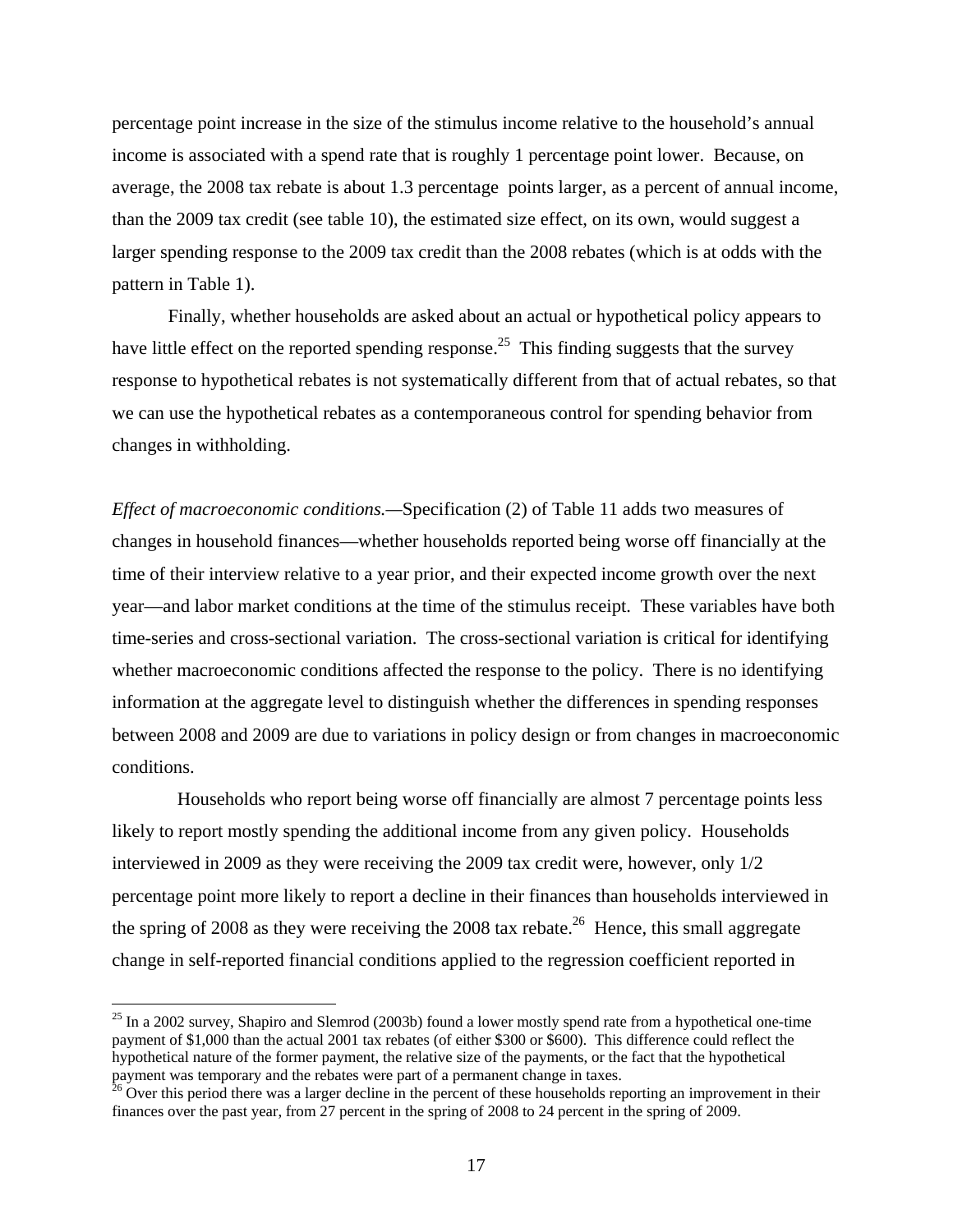percentage point increase in the size of the stimulus income relative to the household's annual income is associated with a spend rate that is roughly 1 percentage point lower. Because, on average, the 2008 tax rebate is about 1.3 percentage points larger, as a percent of annual income, than the 2009 tax credit (see table 10), the estimated size effect, on its own, would suggest a larger spending response to the 2009 tax credit than the 2008 rebates (which is at odds with the pattern in Table 1).

Finally, whether households are asked about an actual or hypothetical policy appears to have little effect on the reported spending response.<sup>25</sup> This finding suggests that the survey response to hypothetical rebates is not systematically different from that of actual rebates, so that we can use the hypothetical rebates as a contemporaneous control for spending behavior from changes in withholding.

*Effect of macroeconomic conditions.—*Specification (2) of Table 11 adds two measures of changes in household finances—whether households reported being worse off financially at the time of their interview relative to a year prior, and their expected income growth over the next year—and labor market conditions at the time of the stimulus receipt. These variables have both time-series and cross-sectional variation. The cross-sectional variation is critical for identifying whether macroeconomic conditions affected the response to the policy. There is no identifying information at the aggregate level to distinguish whether the differences in spending responses between 2008 and 2009 are due to variations in policy design or from changes in macroeconomic conditions.

 Households who report being worse off financially are almost 7 percentage points less likely to report mostly spending the additional income from any given policy. Households interviewed in 2009 as they were receiving the 2009 tax credit were, however, only 1/2 percentage point more likely to report a decline in their finances than households interviewed in the spring of 2008 as they were receiving the 2008 tax rebate.<sup>26</sup> Hence, this small aggregate change in self-reported financial conditions applied to the regression coefficient reported in

 $^{25}$  In a 2002 survey, Shapiro and Slemrod (2003b) found a lower mostly spend rate from a hypothetical one-time payment of \$1,000 than the actual 2001 tax rebates (of either \$300 or \$600). This difference could reflect the hypothetical nature of the former payment, the relative size of the payments, or the fact that the hypothetical payment was temporary and the rebates were part of a permanent change in taxes.

 $26$  Over this period there was a larger decline in the percent of these households reporting an improvement in their finances over the past year, from 27 percent in the spring of 2008 to 24 percent in the spring of 2009.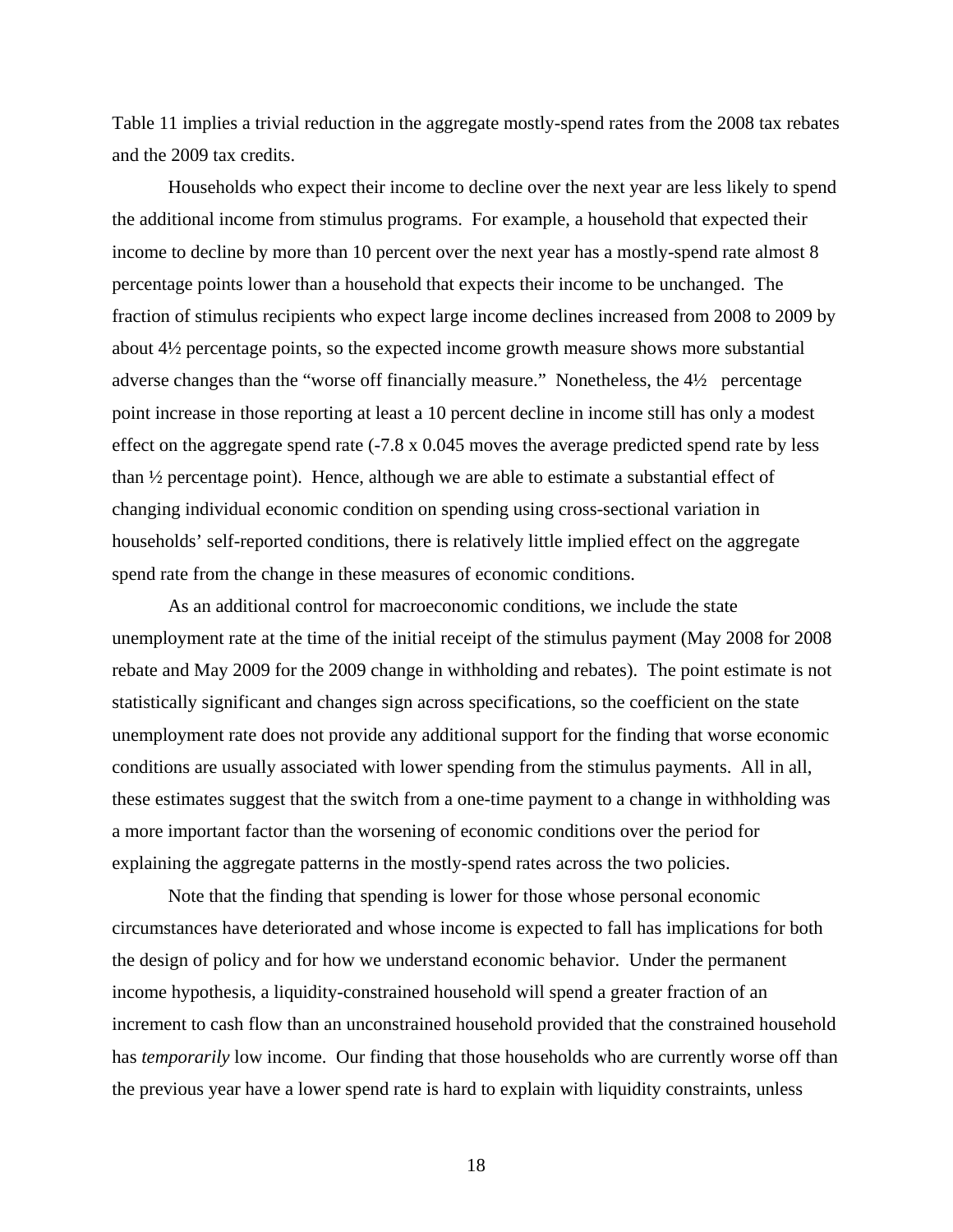Table 11 implies a trivial reduction in the aggregate mostly-spend rates from the 2008 tax rebates and the 2009 tax credits.

Households who expect their income to decline over the next year are less likely to spend the additional income from stimulus programs. For example, a household that expected their income to decline by more than 10 percent over the next year has a mostly-spend rate almost 8 percentage points lower than a household that expects their income to be unchanged. The fraction of stimulus recipients who expect large income declines increased from 2008 to 2009 by about 4½ percentage points, so the expected income growth measure shows more substantial adverse changes than the "worse off financially measure." Nonetheless, the 4½ percentage point increase in those reporting at least a 10 percent decline in income still has only a modest effect on the aggregate spend rate  $(-7.8 \times 0.045$  moves the average predicted spend rate by less than ½ percentage point). Hence, although we are able to estimate a substantial effect of changing individual economic condition on spending using cross-sectional variation in households' self-reported conditions, there is relatively little implied effect on the aggregate spend rate from the change in these measures of economic conditions.

As an additional control for macroeconomic conditions, we include the state unemployment rate at the time of the initial receipt of the stimulus payment (May 2008 for 2008 rebate and May 2009 for the 2009 change in withholding and rebates). The point estimate is not statistically significant and changes sign across specifications, so the coefficient on the state unemployment rate does not provide any additional support for the finding that worse economic conditions are usually associated with lower spending from the stimulus payments. All in all, these estimates suggest that the switch from a one-time payment to a change in withholding was a more important factor than the worsening of economic conditions over the period for explaining the aggregate patterns in the mostly-spend rates across the two policies.

Note that the finding that spending is lower for those whose personal economic circumstances have deteriorated and whose income is expected to fall has implications for both the design of policy and for how we understand economic behavior. Under the permanent income hypothesis, a liquidity-constrained household will spend a greater fraction of an increment to cash flow than an unconstrained household provided that the constrained household has *temporarily* low income. Our finding that those households who are currently worse off than the previous year have a lower spend rate is hard to explain with liquidity constraints, unless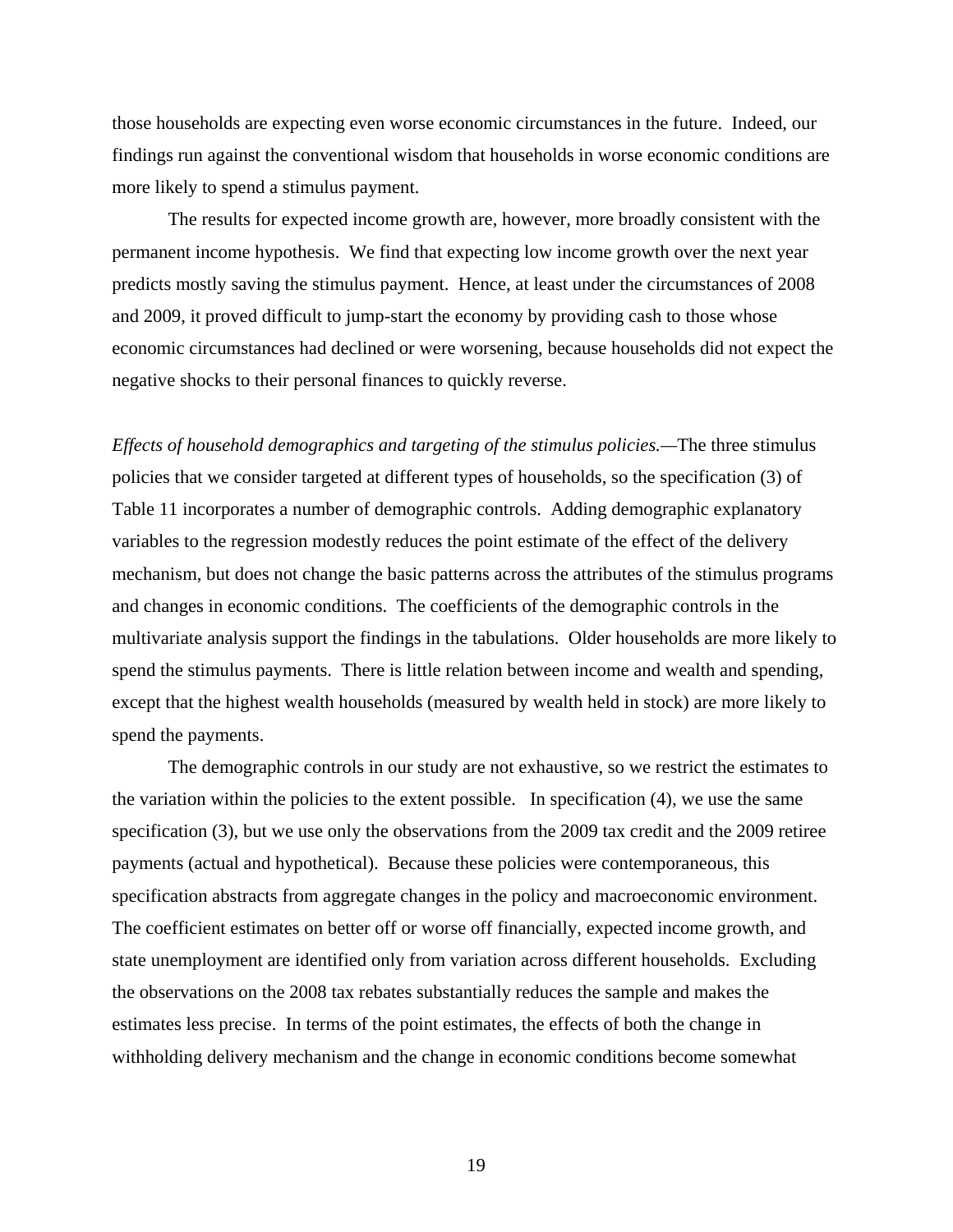those households are expecting even worse economic circumstances in the future. Indeed, our findings run against the conventional wisdom that households in worse economic conditions are more likely to spend a stimulus payment.

The results for expected income growth are, however, more broadly consistent with the permanent income hypothesis. We find that expecting low income growth over the next year predicts mostly saving the stimulus payment. Hence, at least under the circumstances of 2008 and 2009, it proved difficult to jump-start the economy by providing cash to those whose economic circumstances had declined or were worsening, because households did not expect the negative shocks to their personal finances to quickly reverse.

*Effects of household demographics and targeting of the stimulus policies.—*The three stimulus policies that we consider targeted at different types of households, so the specification (3) of Table 11 incorporates a number of demographic controls. Adding demographic explanatory variables to the regression modestly reduces the point estimate of the effect of the delivery mechanism, but does not change the basic patterns across the attributes of the stimulus programs and changes in economic conditions. The coefficients of the demographic controls in the multivariate analysis support the findings in the tabulations. Older households are more likely to spend the stimulus payments. There is little relation between income and wealth and spending, except that the highest wealth households (measured by wealth held in stock) are more likely to spend the payments.

The demographic controls in our study are not exhaustive, so we restrict the estimates to the variation within the policies to the extent possible. In specification (4), we use the same specification (3), but we use only the observations from the 2009 tax credit and the 2009 retiree payments (actual and hypothetical). Because these policies were contemporaneous, this specification abstracts from aggregate changes in the policy and macroeconomic environment. The coefficient estimates on better off or worse off financially, expected income growth, and state unemployment are identified only from variation across different households. Excluding the observations on the 2008 tax rebates substantially reduces the sample and makes the estimates less precise. In terms of the point estimates, the effects of both the change in withholding delivery mechanism and the change in economic conditions become somewhat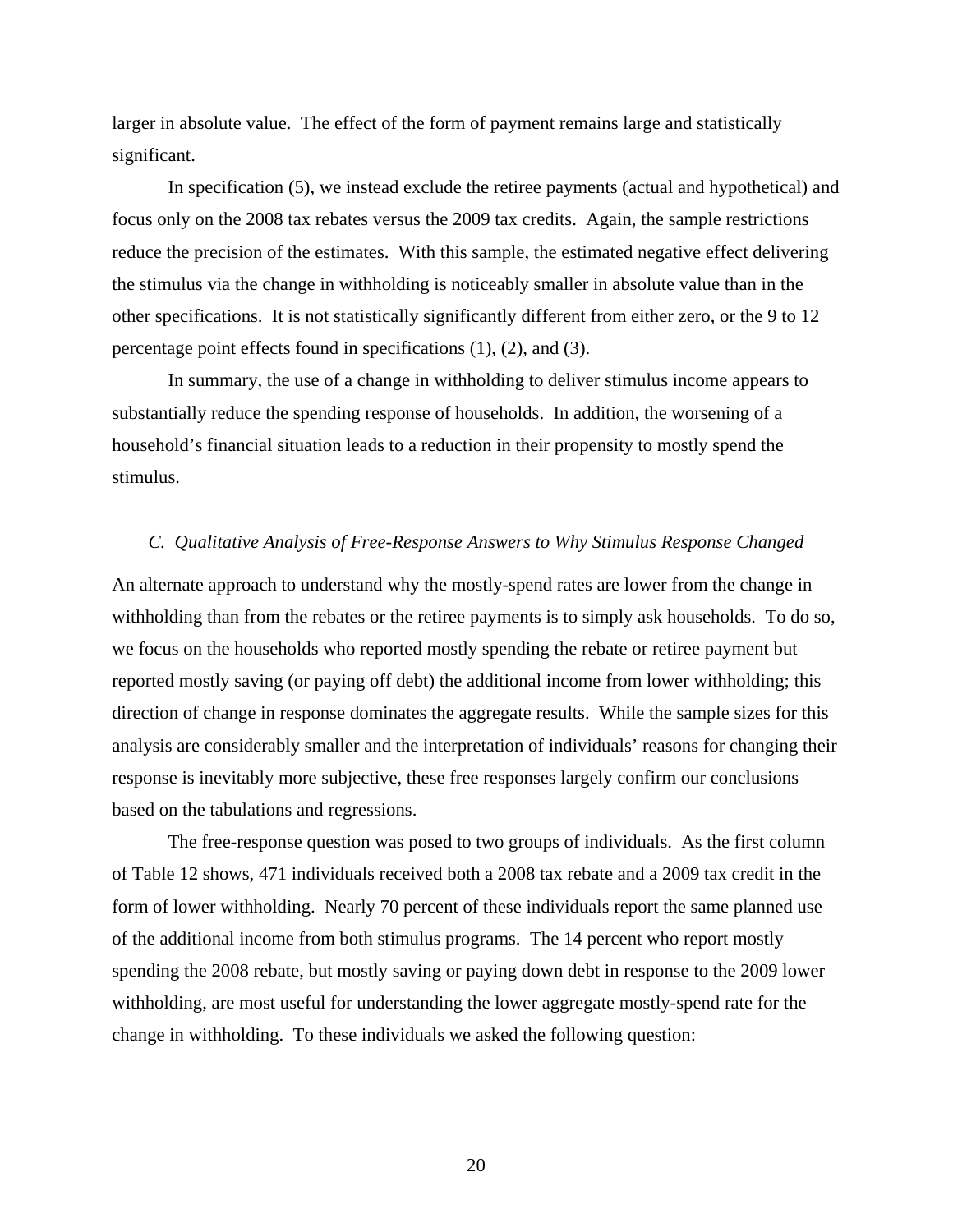larger in absolute value. The effect of the form of payment remains large and statistically significant.

In specification (5), we instead exclude the retiree payments (actual and hypothetical) and focus only on the 2008 tax rebates versus the 2009 tax credits. Again, the sample restrictions reduce the precision of the estimates. With this sample, the estimated negative effect delivering the stimulus via the change in withholding is noticeably smaller in absolute value than in the other specifications. It is not statistically significantly different from either zero, or the 9 to 12 percentage point effects found in specifications (1), (2), and (3).

In summary, the use of a change in withholding to deliver stimulus income appears to substantially reduce the spending response of households. In addition, the worsening of a household's financial situation leads to a reduction in their propensity to mostly spend the stimulus.

## *C. Qualitative Analysis of Free-Response Answers to Why Stimulus Response Changed*

An alternate approach to understand why the mostly-spend rates are lower from the change in withholding than from the rebates or the retiree payments is to simply ask households. To do so, we focus on the households who reported mostly spending the rebate or retiree payment but reported mostly saving (or paying off debt) the additional income from lower withholding; this direction of change in response dominates the aggregate results. While the sample sizes for this analysis are considerably smaller and the interpretation of individuals' reasons for changing their response is inevitably more subjective, these free responses largely confirm our conclusions based on the tabulations and regressions.

The free-response question was posed to two groups of individuals. As the first column of Table 12 shows, 471 individuals received both a 2008 tax rebate and a 2009 tax credit in the form of lower withholding. Nearly 70 percent of these individuals report the same planned use of the additional income from both stimulus programs. The 14 percent who report mostly spending the 2008 rebate, but mostly saving or paying down debt in response to the 2009 lower withholding, are most useful for understanding the lower aggregate mostly-spend rate for the change in withholding. To these individuals we asked the following question: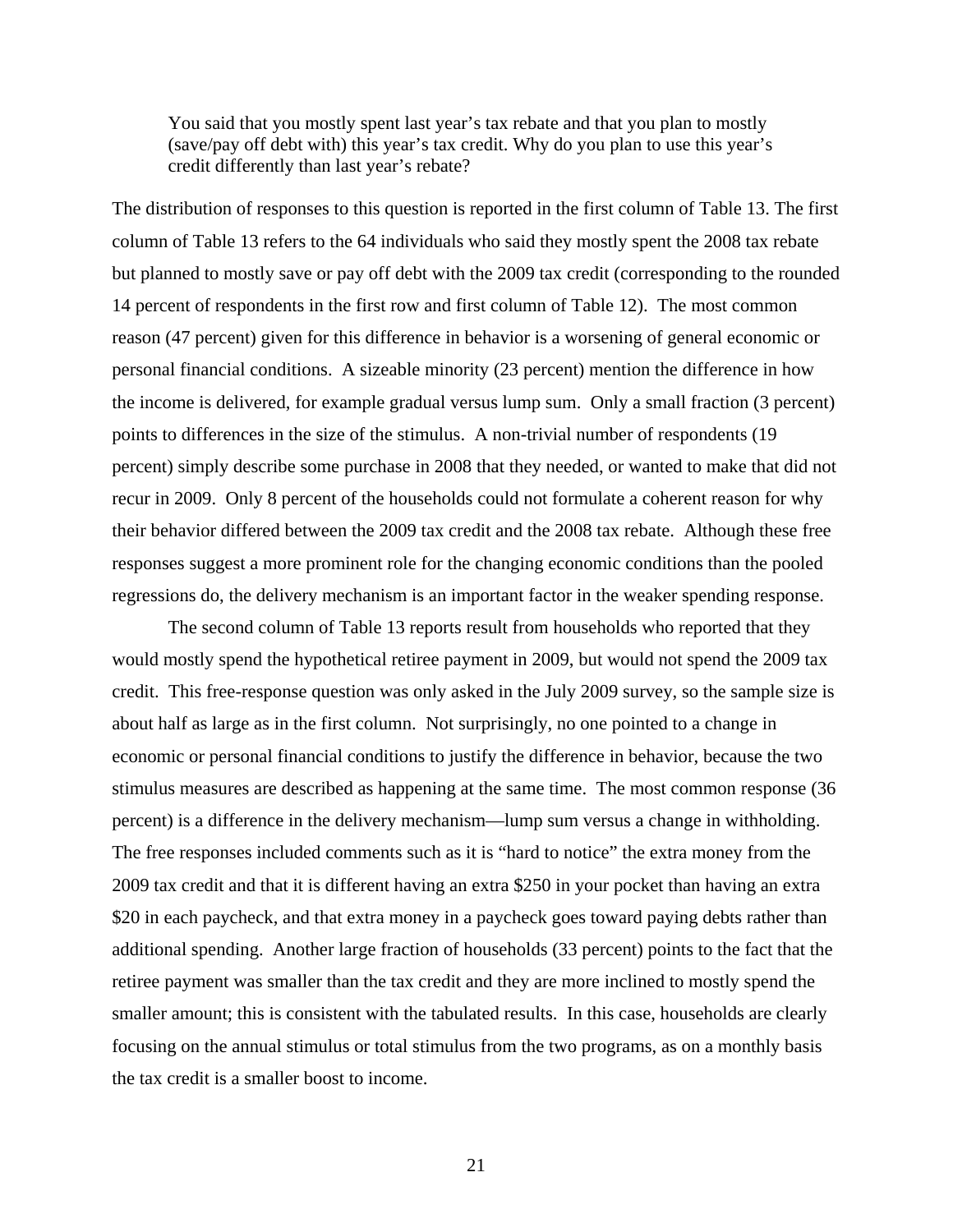You said that you mostly spent last year's tax rebate and that you plan to mostly (save/pay off debt with) this year's tax credit. Why do you plan to use this year's credit differently than last year's rebate?

The distribution of responses to this question is reported in the first column of Table 13. The first column of Table 13 refers to the 64 individuals who said they mostly spent the 2008 tax rebate but planned to mostly save or pay off debt with the 2009 tax credit (corresponding to the rounded 14 percent of respondents in the first row and first column of Table 12). The most common reason (47 percent) given for this difference in behavior is a worsening of general economic or personal financial conditions. A sizeable minority (23 percent) mention the difference in how the income is delivered, for example gradual versus lump sum. Only a small fraction (3 percent) points to differences in the size of the stimulus. A non-trivial number of respondents (19 percent) simply describe some purchase in 2008 that they needed, or wanted to make that did not recur in 2009. Only 8 percent of the households could not formulate a coherent reason for why their behavior differed between the 2009 tax credit and the 2008 tax rebate. Although these free responses suggest a more prominent role for the changing economic conditions than the pooled regressions do, the delivery mechanism is an important factor in the weaker spending response.

 The second column of Table 13 reports result from households who reported that they would mostly spend the hypothetical retiree payment in 2009, but would not spend the 2009 tax credit. This free-response question was only asked in the July 2009 survey, so the sample size is about half as large as in the first column. Not surprisingly, no one pointed to a change in economic or personal financial conditions to justify the difference in behavior, because the two stimulus measures are described as happening at the same time. The most common response (36 percent) is a difference in the delivery mechanism—lump sum versus a change in withholding. The free responses included comments such as it is "hard to notice" the extra money from the 2009 tax credit and that it is different having an extra \$250 in your pocket than having an extra \$20 in each paycheck, and that extra money in a paycheck goes toward paying debts rather than additional spending. Another large fraction of households (33 percent) points to the fact that the retiree payment was smaller than the tax credit and they are more inclined to mostly spend the smaller amount; this is consistent with the tabulated results. In this case, households are clearly focusing on the annual stimulus or total stimulus from the two programs, as on a monthly basis the tax credit is a smaller boost to income.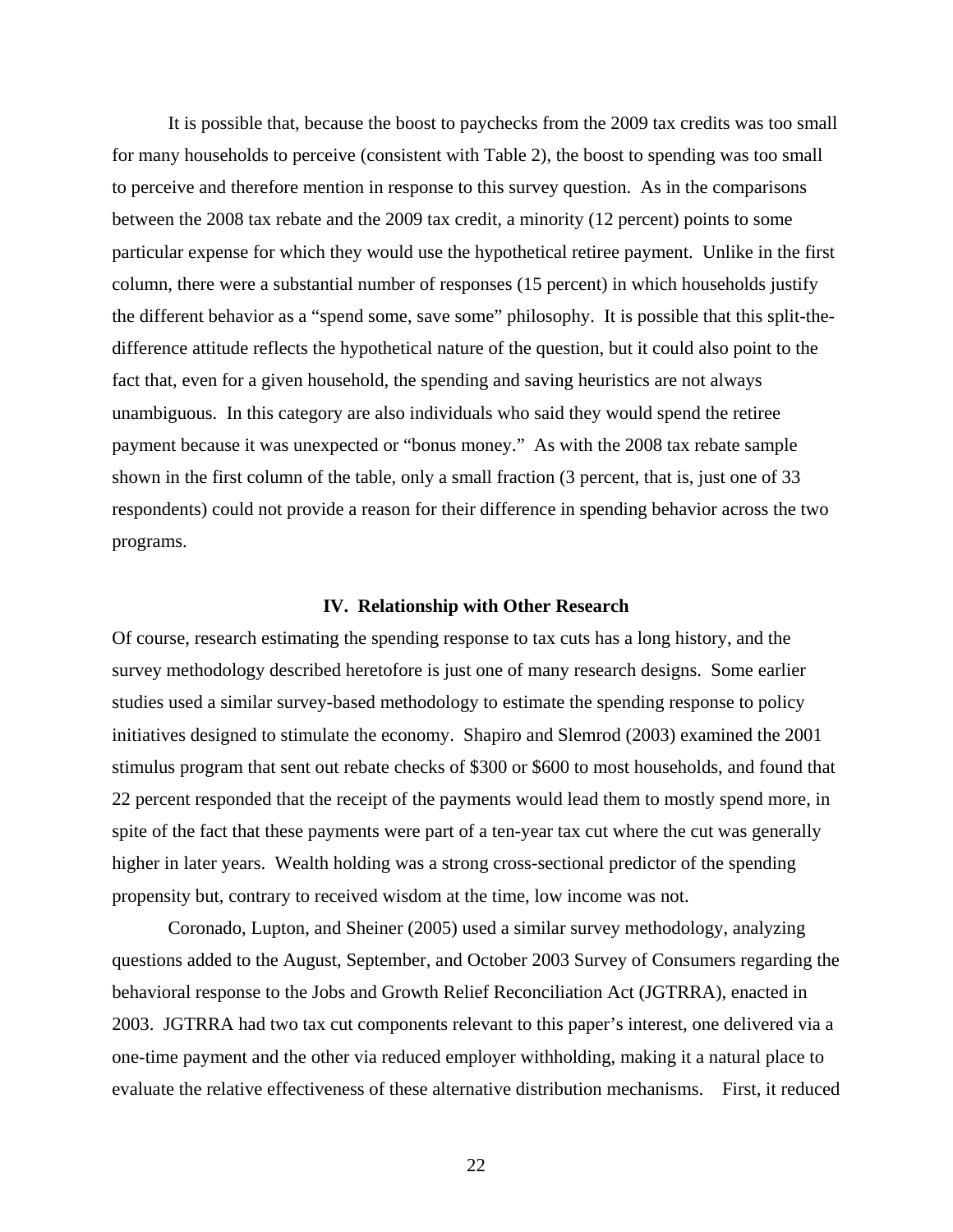It is possible that, because the boost to paychecks from the 2009 tax credits was too small for many households to perceive (consistent with Table 2), the boost to spending was too small to perceive and therefore mention in response to this survey question. As in the comparisons between the 2008 tax rebate and the 2009 tax credit, a minority (12 percent) points to some particular expense for which they would use the hypothetical retiree payment. Unlike in the first column, there were a substantial number of responses (15 percent) in which households justify the different behavior as a "spend some, save some" philosophy. It is possible that this split-thedifference attitude reflects the hypothetical nature of the question, but it could also point to the fact that, even for a given household, the spending and saving heuristics are not always unambiguous. In this category are also individuals who said they would spend the retiree payment because it was unexpected or "bonus money." As with the 2008 tax rebate sample shown in the first column of the table, only a small fraction (3 percent, that is, just one of 33 respondents) could not provide a reason for their difference in spending behavior across the two programs.

#### **IV. Relationship with Other Research**

Of course, research estimating the spending response to tax cuts has a long history, and the survey methodology described heretofore is just one of many research designs. Some earlier studies used a similar survey-based methodology to estimate the spending response to policy initiatives designed to stimulate the economy. Shapiro and Slemrod (2003) examined the 2001 stimulus program that sent out rebate checks of \$300 or \$600 to most households, and found that 22 percent responded that the receipt of the payments would lead them to mostly spend more, in spite of the fact that these payments were part of a ten-year tax cut where the cut was generally higher in later years. Wealth holding was a strong cross-sectional predictor of the spending propensity but, contrary to received wisdom at the time, low income was not.

Coronado, Lupton, and Sheiner (2005) used a similar survey methodology, analyzing questions added to the August, September, and October 2003 Survey of Consumers regarding the behavioral response to the Jobs and Growth Relief Reconciliation Act (JGTRRA), enacted in 2003. JGTRRA had two tax cut components relevant to this paper's interest, one delivered via a one-time payment and the other via reduced employer withholding, making it a natural place to evaluate the relative effectiveness of these alternative distribution mechanisms. First, it reduced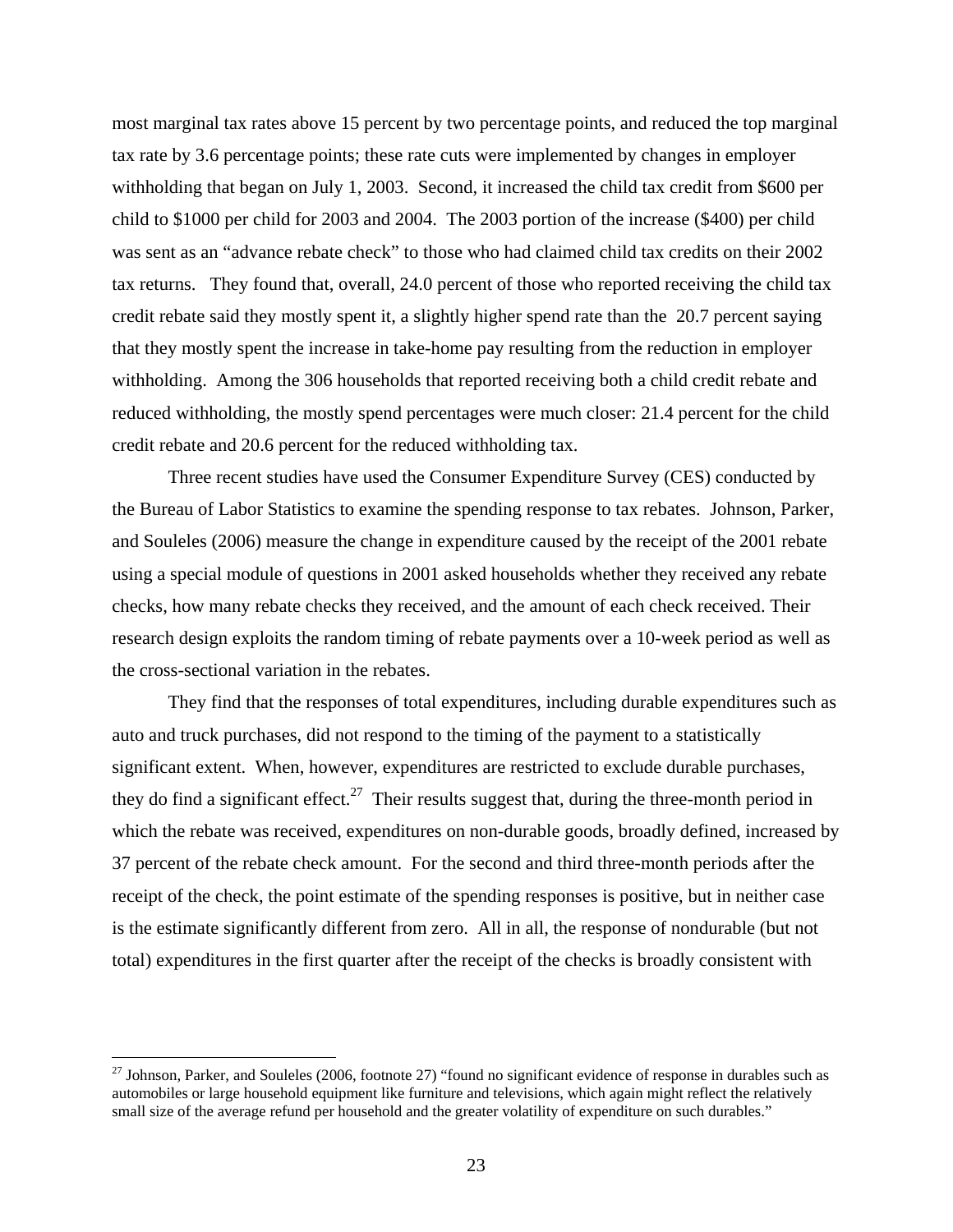most marginal tax rates above 15 percent by two percentage points, and reduced the top marginal tax rate by 3.6 percentage points; these rate cuts were implemented by changes in employer withholding that began on July 1, 2003. Second, it increased the child tax credit from \$600 per child to \$1000 per child for 2003 and 2004. The 2003 portion of the increase (\$400) per child was sent as an "advance rebate check" to those who had claimed child tax credits on their 2002 tax returns. They found that, overall, 24.0 percent of those who reported receiving the child tax credit rebate said they mostly spent it, a slightly higher spend rate than the 20.7 percent saying that they mostly spent the increase in take-home pay resulting from the reduction in employer withholding. Among the 306 households that reported receiving both a child credit rebate and reduced withholding, the mostly spend percentages were much closer: 21.4 percent for the child credit rebate and 20.6 percent for the reduced withholding tax.

Three recent studies have used the Consumer Expenditure Survey (CES) conducted by the Bureau of Labor Statistics to examine the spending response to tax rebates. Johnson, Parker, and Souleles (2006) measure the change in expenditure caused by the receipt of the 2001 rebate using a special module of questions in 2001 asked households whether they received any rebate checks, how many rebate checks they received, and the amount of each check received. Their research design exploits the random timing of rebate payments over a 10-week period as well as the cross-sectional variation in the rebates.

They find that the responses of total expenditures, including durable expenditures such as auto and truck purchases, did not respond to the timing of the payment to a statistically significant extent. When, however, expenditures are restricted to exclude durable purchases, they do find a significant effect.<sup>27</sup> Their results suggest that, during the three-month period in which the rebate was received, expenditures on non-durable goods, broadly defined, increased by 37 percent of the rebate check amount. For the second and third three-month periods after the receipt of the check, the point estimate of the spending responses is positive, but in neither case is the estimate significantly different from zero. All in all, the response of nondurable (but not total) expenditures in the first quarter after the receipt of the checks is broadly consistent with

 $^{27}$  Johnson, Parker, and Souleles (2006, footnote 27) "found no significant evidence of response in durables such as automobiles or large household equipment like furniture and televisions, which again might reflect the relatively small size of the average refund per household and the greater volatility of expenditure on such durables."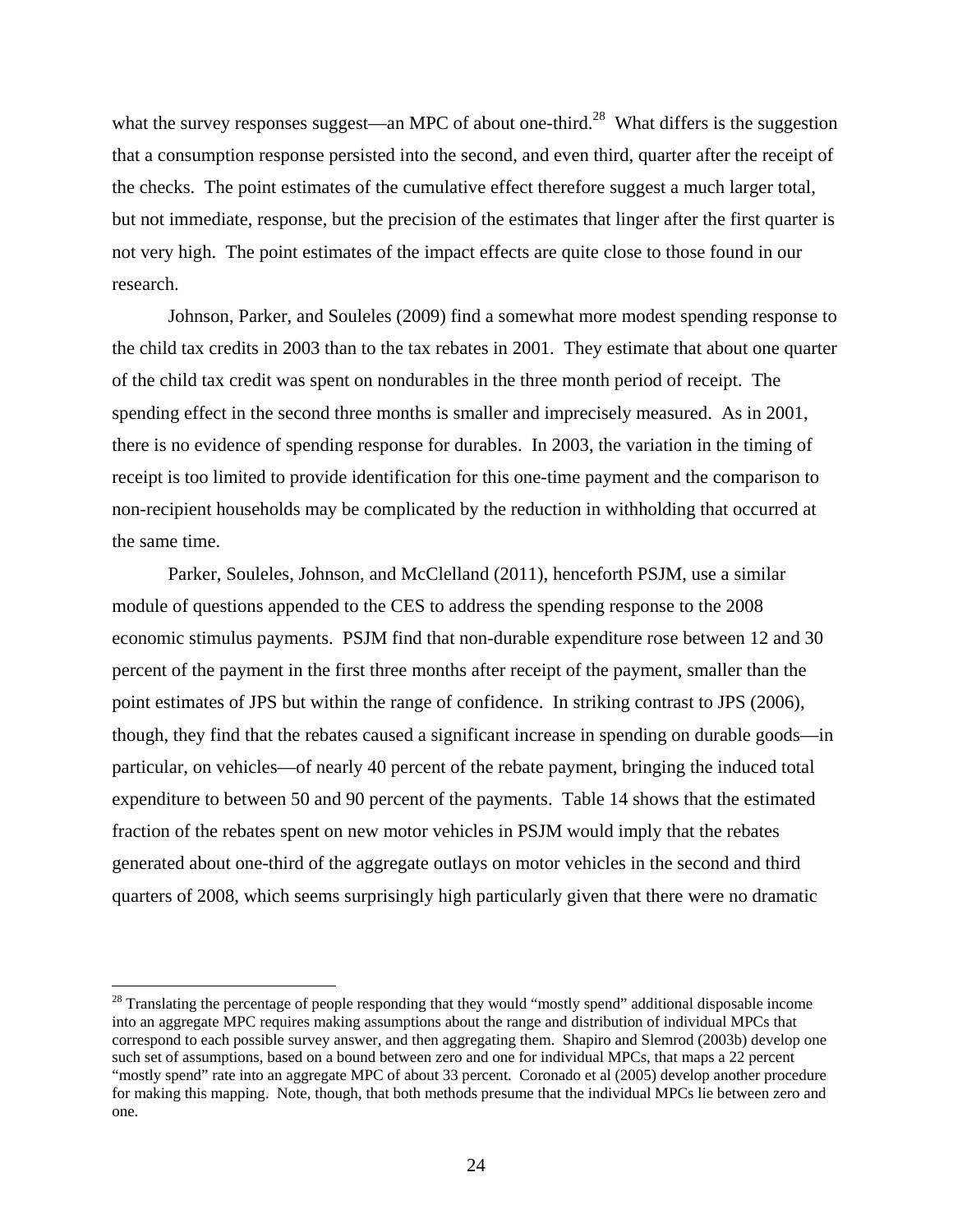what the survey responses suggest—an MPC of about one-third.<sup>28</sup> What differs is the suggestion that a consumption response persisted into the second, and even third, quarter after the receipt of the checks. The point estimates of the cumulative effect therefore suggest a much larger total, but not immediate, response, but the precision of the estimates that linger after the first quarter is not very high. The point estimates of the impact effects are quite close to those found in our research.

Johnson, Parker, and Souleles (2009) find a somewhat more modest spending response to the child tax credits in 2003 than to the tax rebates in 2001. They estimate that about one quarter of the child tax credit was spent on nondurables in the three month period of receipt. The spending effect in the second three months is smaller and imprecisely measured. As in 2001, there is no evidence of spending response for durables. In 2003, the variation in the timing of receipt is too limited to provide identification for this one-time payment and the comparison to non-recipient households may be complicated by the reduction in withholding that occurred at the same time.

Parker, Souleles, Johnson, and McClelland (2011), henceforth PSJM, use a similar module of questions appended to the CES to address the spending response to the 2008 economic stimulus payments. PSJM find that non-durable expenditure rose between 12 and 30 percent of the payment in the first three months after receipt of the payment, smaller than the point estimates of JPS but within the range of confidence. In striking contrast to JPS (2006), though, they find that the rebates caused a significant increase in spending on durable goods—in particular, on vehicles—of nearly 40 percent of the rebate payment, bringing the induced total expenditure to between 50 and 90 percent of the payments. Table 14 shows that the estimated fraction of the rebates spent on new motor vehicles in PSJM would imply that the rebates generated about one-third of the aggregate outlays on motor vehicles in the second and third quarters of 2008, which seems surprisingly high particularly given that there were no dramatic

<sup>&</sup>lt;sup>28</sup> Translating the percentage of people responding that they would "mostly spend" additional disposable income into an aggregate MPC requires making assumptions about the range and distribution of individual MPCs that correspond to each possible survey answer, and then aggregating them. Shapiro and Slemrod (2003b) develop one such set of assumptions, based on a bound between zero and one for individual MPCs, that maps a 22 percent "mostly spend" rate into an aggregate MPC of about 33 percent. Coronado et al (2005) develop another procedure for making this mapping. Note, though, that both methods presume that the individual MPCs lie between zero and one.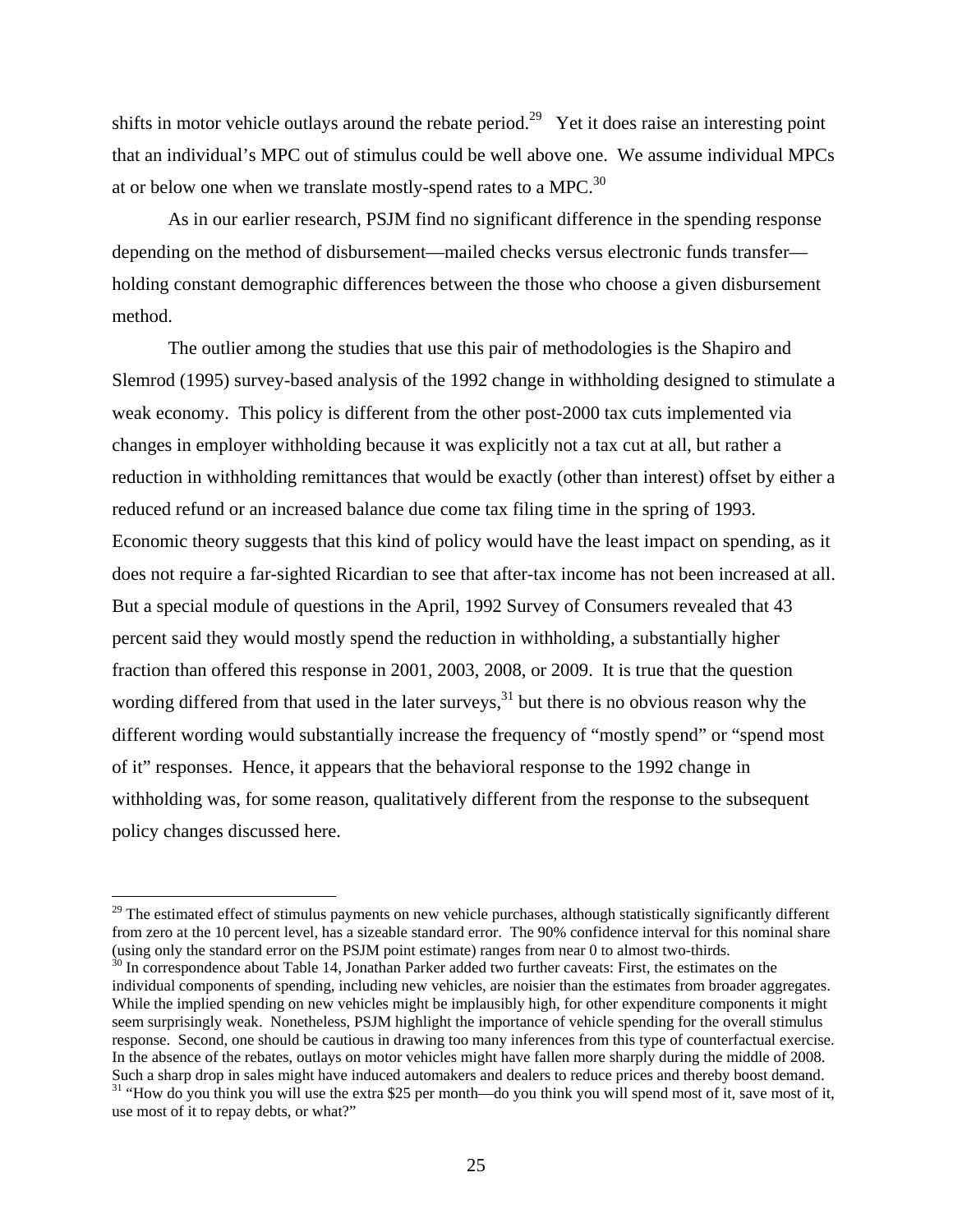shifts in motor vehicle outlays around the rebate period.<sup>29</sup> Yet it does raise an interesting point that an individual's MPC out of stimulus could be well above one. We assume individual MPCs at or below one when we translate mostly-spend rates to a MPC.<sup>30</sup>

As in our earlier research, PSJM find no significant difference in the spending response depending on the method of disbursement—mailed checks versus electronic funds transfer holding constant demographic differences between the those who choose a given disbursement method.

The outlier among the studies that use this pair of methodologies is the Shapiro and Slemrod (1995) survey-based analysis of the 1992 change in withholding designed to stimulate a weak economy. This policy is different from the other post-2000 tax cuts implemented via changes in employer withholding because it was explicitly not a tax cut at all, but rather a reduction in withholding remittances that would be exactly (other than interest) offset by either a reduced refund or an increased balance due come tax filing time in the spring of 1993. Economic theory suggests that this kind of policy would have the least impact on spending, as it does not require a far-sighted Ricardian to see that after-tax income has not been increased at all. But a special module of questions in the April, 1992 Survey of Consumers revealed that 43 percent said they would mostly spend the reduction in withholding, a substantially higher fraction than offered this response in 2001, 2003, 2008, or 2009. It is true that the question wording differed from that used in the later surveys,  $31$  but there is no obvious reason why the different wording would substantially increase the frequency of "mostly spend" or "spend most of it" responses. Hence, it appears that the behavioral response to the 1992 change in withholding was, for some reason, qualitatively different from the response to the subsequent policy changes discussed here.

<sup>&</sup>lt;sup>29</sup> The estimated effect of stimulus payments on new vehicle purchases, although statistically significantly different from zero at the 10 percent level, has a sizeable standard error. The 90% confidence interval for this nominal share (using only the standard error on the PSJM point estimate) ranges from near 0 to almost two-thirds.

 $30$  In correspondence about Table 14, Jonathan Parker added two further caveats: First, the estimates on the individual components of spending, including new vehicles, are noisier than the estimates from broader aggregates. While the implied spending on new vehicles might be implausibly high, for other expenditure components it might seem surprisingly weak. Nonetheless, PSJM highlight the importance of vehicle spending for the overall stimulus response. Second, one should be cautious in drawing too many inferences from this type of counterfactual exercise. In the absence of the rebates, outlays on motor vehicles might have fallen more sharply during the middle of 2008. Such a sharp drop in sales might have induced automakers and dealers to reduce prices and thereby boost demand. <sup>31</sup> "How do you think you will use the extra \$25 per month—do you think you will spend most of it, save most of it,

use most of it to repay debts, or what?"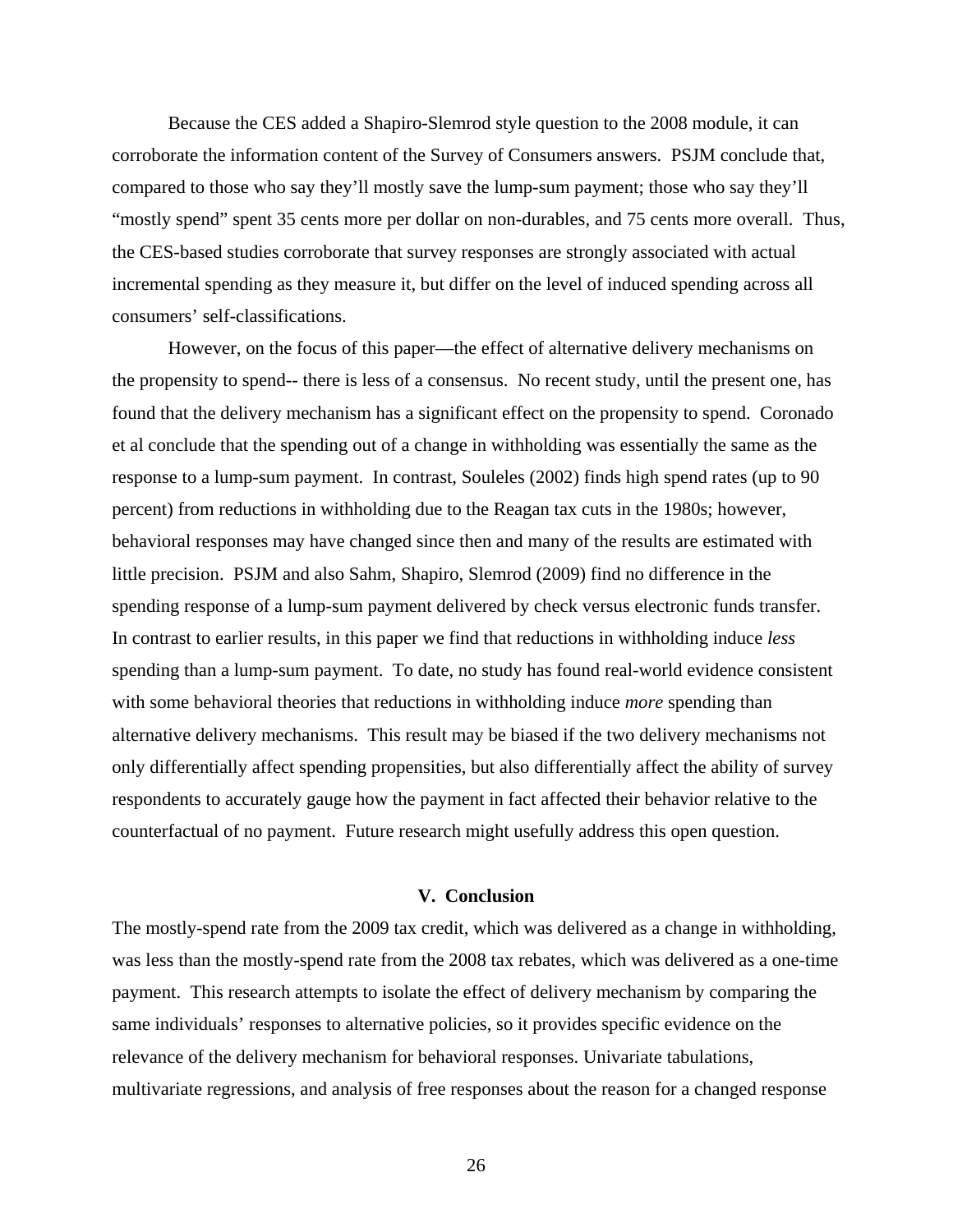Because the CES added a Shapiro-Slemrod style question to the 2008 module, it can corroborate the information content of the Survey of Consumers answers. PSJM conclude that, compared to those who say they'll mostly save the lump-sum payment; those who say they'll "mostly spend" spent 35 cents more per dollar on non-durables, and 75 cents more overall. Thus, the CES-based studies corroborate that survey responses are strongly associated with actual incremental spending as they measure it, but differ on the level of induced spending across all consumers' self-classifications.

However, on the focus of this paper—the effect of alternative delivery mechanisms on the propensity to spend-- there is less of a consensus. No recent study, until the present one, has found that the delivery mechanism has a significant effect on the propensity to spend. Coronado et al conclude that the spending out of a change in withholding was essentially the same as the response to a lump-sum payment. In contrast, Souleles (2002) finds high spend rates (up to 90 percent) from reductions in withholding due to the Reagan tax cuts in the 1980s; however, behavioral responses may have changed since then and many of the results are estimated with little precision. PSJM and also Sahm, Shapiro, Slemrod (2009) find no difference in the spending response of a lump-sum payment delivered by check versus electronic funds transfer. In contrast to earlier results, in this paper we find that reductions in withholding induce *less* spending than a lump-sum payment. To date, no study has found real-world evidence consistent with some behavioral theories that reductions in withholding induce *more* spending than alternative delivery mechanisms. This result may be biased if the two delivery mechanisms not only differentially affect spending propensities, but also differentially affect the ability of survey respondents to accurately gauge how the payment in fact affected their behavior relative to the counterfactual of no payment. Future research might usefully address this open question.

#### **V. Conclusion**

The mostly-spend rate from the 2009 tax credit, which was delivered as a change in withholding, was less than the mostly-spend rate from the 2008 tax rebates, which was delivered as a one-time payment. This research attempts to isolate the effect of delivery mechanism by comparing the same individuals' responses to alternative policies, so it provides specific evidence on the relevance of the delivery mechanism for behavioral responses. Univariate tabulations, multivariate regressions, and analysis of free responses about the reason for a changed response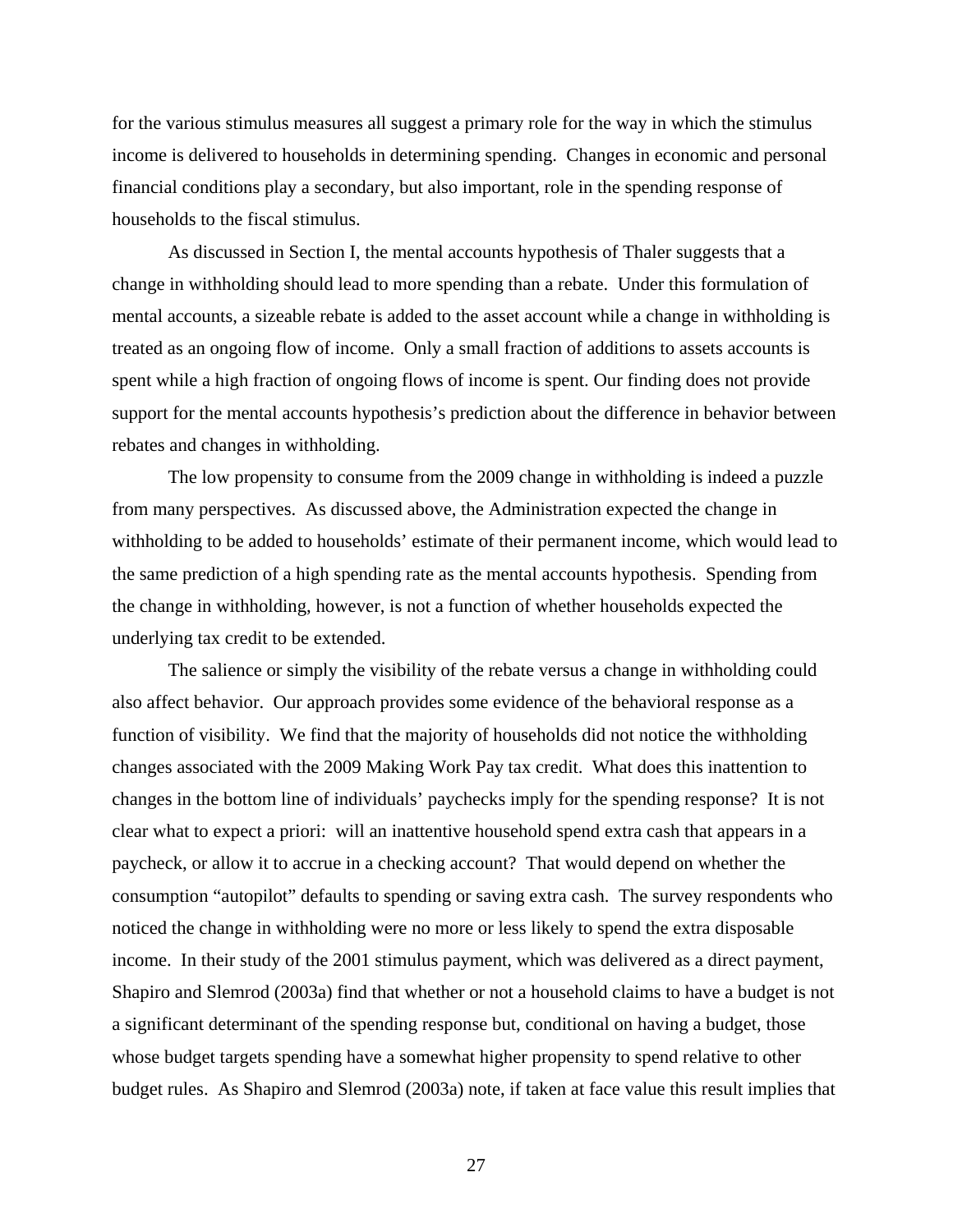for the various stimulus measures all suggest a primary role for the way in which the stimulus income is delivered to households in determining spending. Changes in economic and personal financial conditions play a secondary, but also important, role in the spending response of households to the fiscal stimulus.

As discussed in Section I, the mental accounts hypothesis of Thaler suggests that a change in withholding should lead to more spending than a rebate. Under this formulation of mental accounts, a sizeable rebate is added to the asset account while a change in withholding is treated as an ongoing flow of income. Only a small fraction of additions to assets accounts is spent while a high fraction of ongoing flows of income is spent. Our finding does not provide support for the mental accounts hypothesis's prediction about the difference in behavior between rebates and changes in withholding.

The low propensity to consume from the 2009 change in withholding is indeed a puzzle from many perspectives. As discussed above, the Administration expected the change in withholding to be added to households' estimate of their permanent income, which would lead to the same prediction of a high spending rate as the mental accounts hypothesis. Spending from the change in withholding, however, is not a function of whether households expected the underlying tax credit to be extended.

The salience or simply the visibility of the rebate versus a change in withholding could also affect behavior. Our approach provides some evidence of the behavioral response as a function of visibility. We find that the majority of households did not notice the withholding changes associated with the 2009 Making Work Pay tax credit. What does this inattention to changes in the bottom line of individuals' paychecks imply for the spending response? It is not clear what to expect a priori: will an inattentive household spend extra cash that appears in a paycheck, or allow it to accrue in a checking account? That would depend on whether the consumption "autopilot" defaults to spending or saving extra cash. The survey respondents who noticed the change in withholding were no more or less likely to spend the extra disposable income. In their study of the 2001 stimulus payment, which was delivered as a direct payment, Shapiro and Slemrod (2003a) find that whether or not a household claims to have a budget is not a significant determinant of the spending response but, conditional on having a budget, those whose budget targets spending have a somewhat higher propensity to spend relative to other budget rules. As Shapiro and Slemrod (2003a) note, if taken at face value this result implies that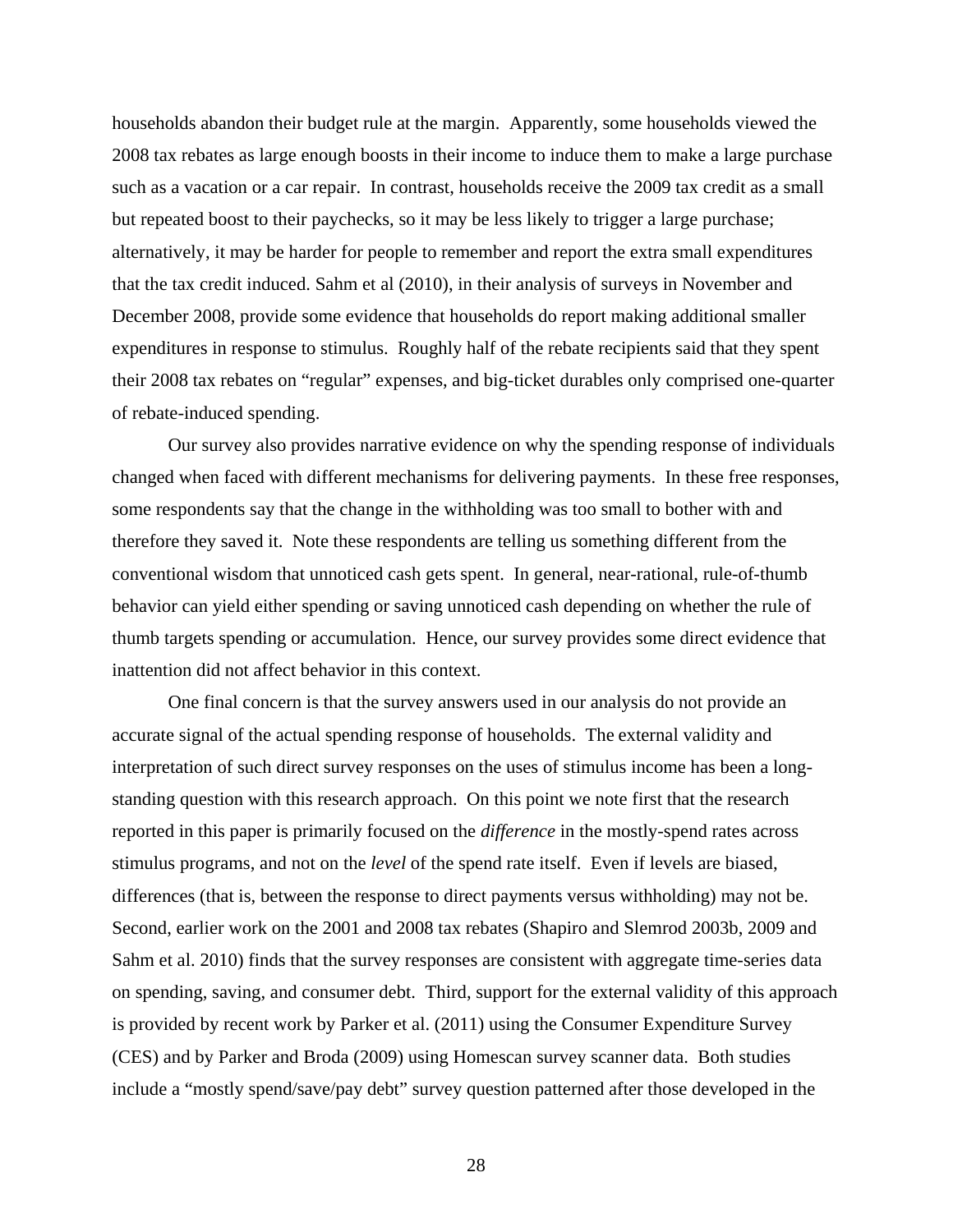households abandon their budget rule at the margin. Apparently, some households viewed the 2008 tax rebates as large enough boosts in their income to induce them to make a large purchase such as a vacation or a car repair. In contrast, households receive the 2009 tax credit as a small but repeated boost to their paychecks, so it may be less likely to trigger a large purchase; alternatively, it may be harder for people to remember and report the extra small expenditures that the tax credit induced. Sahm et al (2010), in their analysis of surveys in November and December 2008, provide some evidence that households do report making additional smaller expenditures in response to stimulus. Roughly half of the rebate recipients said that they spent their 2008 tax rebates on "regular" expenses, and big-ticket durables only comprised one-quarter of rebate-induced spending.

Our survey also provides narrative evidence on why the spending response of individuals changed when faced with different mechanisms for delivering payments. In these free responses, some respondents say that the change in the withholding was too small to bother with and therefore they saved it. Note these respondents are telling us something different from the conventional wisdom that unnoticed cash gets spent. In general, near-rational, rule-of-thumb behavior can yield either spending or saving unnoticed cash depending on whether the rule of thumb targets spending or accumulation. Hence, our survey provides some direct evidence that inattention did not affect behavior in this context.

One final concern is that the survey answers used in our analysis do not provide an accurate signal of the actual spending response of households. The external validity and interpretation of such direct survey responses on the uses of stimulus income has been a longstanding question with this research approach. On this point we note first that the research reported in this paper is primarily focused on the *difference* in the mostly-spend rates across stimulus programs, and not on the *level* of the spend rate itself. Even if levels are biased, differences (that is, between the response to direct payments versus withholding) may not be. Second, earlier work on the 2001 and 2008 tax rebates (Shapiro and Slemrod 2003b, 2009 and Sahm et al. 2010) finds that the survey responses are consistent with aggregate time-series data on spending, saving, and consumer debt. Third, support for the external validity of this approach is provided by recent work by Parker et al. (2011) using the Consumer Expenditure Survey (CES) and by Parker and Broda (2009) using Homescan survey scanner data. Both studies include a "mostly spend/save/pay debt" survey question patterned after those developed in the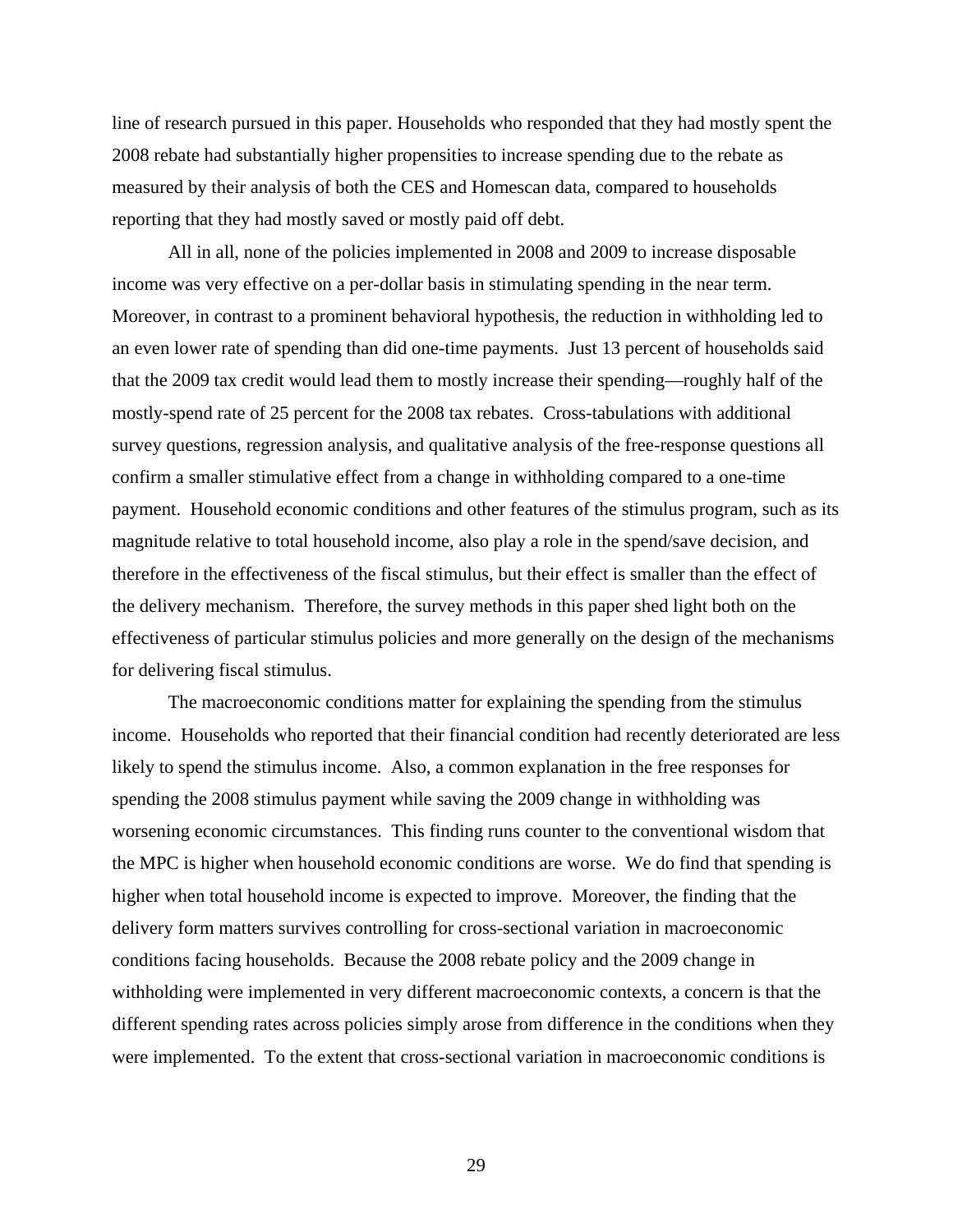line of research pursued in this paper. Households who responded that they had mostly spent the 2008 rebate had substantially higher propensities to increase spending due to the rebate as measured by their analysis of both the CES and Homescan data, compared to households reporting that they had mostly saved or mostly paid off debt.

All in all, none of the policies implemented in 2008 and 2009 to increase disposable income was very effective on a per-dollar basis in stimulating spending in the near term. Moreover, in contrast to a prominent behavioral hypothesis, the reduction in withholding led to an even lower rate of spending than did one-time payments. Just 13 percent of households said that the 2009 tax credit would lead them to mostly increase their spending—roughly half of the mostly-spend rate of 25 percent for the 2008 tax rebates. Cross-tabulations with additional survey questions, regression analysis, and qualitative analysis of the free-response questions all confirm a smaller stimulative effect from a change in withholding compared to a one-time payment. Household economic conditions and other features of the stimulus program, such as its magnitude relative to total household income, also play a role in the spend/save decision, and therefore in the effectiveness of the fiscal stimulus, but their effect is smaller than the effect of the delivery mechanism. Therefore, the survey methods in this paper shed light both on the effectiveness of particular stimulus policies and more generally on the design of the mechanisms for delivering fiscal stimulus.

The macroeconomic conditions matter for explaining the spending from the stimulus income. Households who reported that their financial condition had recently deteriorated are less likely to spend the stimulus income. Also, a common explanation in the free responses for spending the 2008 stimulus payment while saving the 2009 change in withholding was worsening economic circumstances. This finding runs counter to the conventional wisdom that the MPC is higher when household economic conditions are worse. We do find that spending is higher when total household income is expected to improve. Moreover, the finding that the delivery form matters survives controlling for cross-sectional variation in macroeconomic conditions facing households. Because the 2008 rebate policy and the 2009 change in withholding were implemented in very different macroeconomic contexts, a concern is that the different spending rates across policies simply arose from difference in the conditions when they were implemented. To the extent that cross-sectional variation in macroeconomic conditions is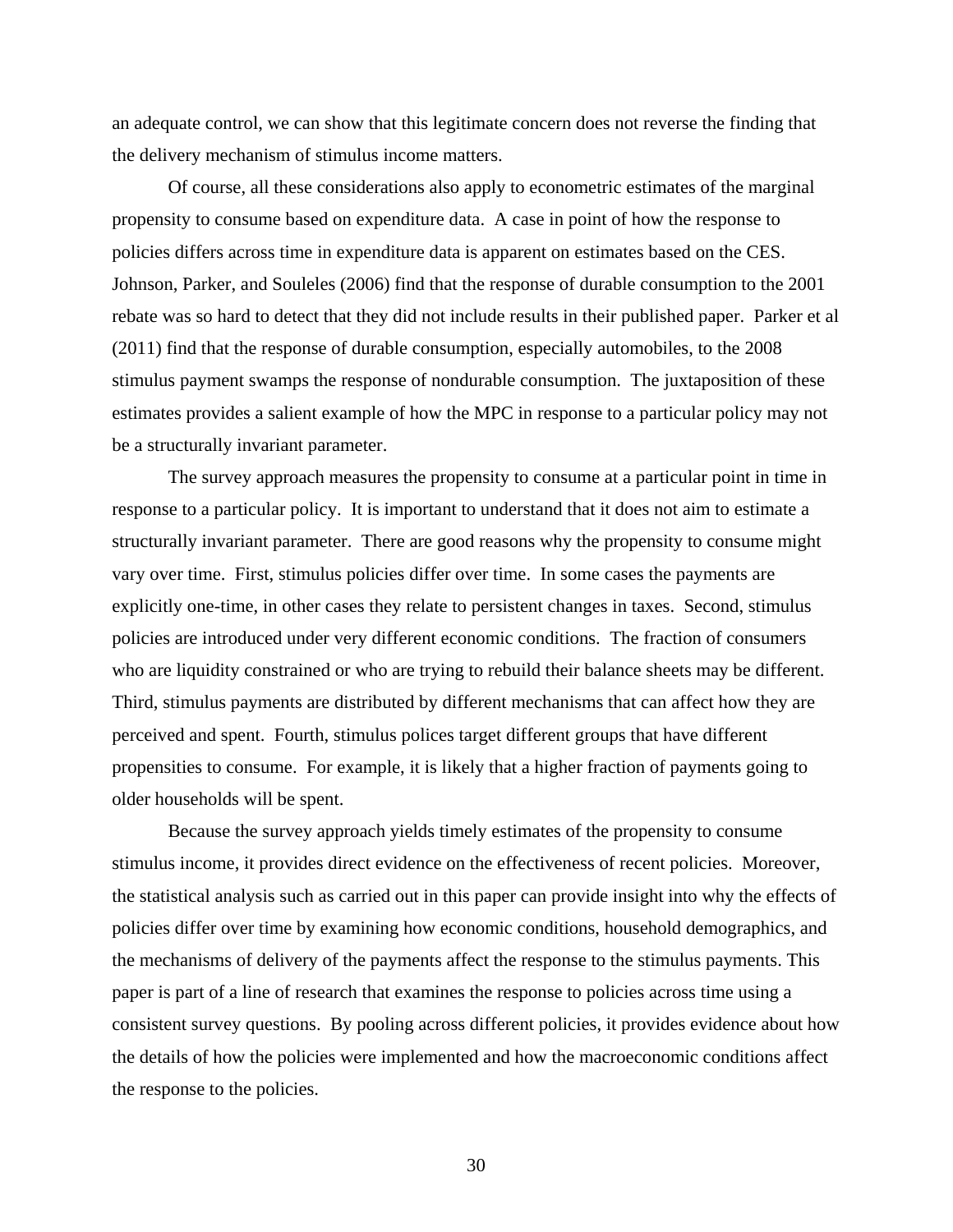an adequate control, we can show that this legitimate concern does not reverse the finding that the delivery mechanism of stimulus income matters.

Of course, all these considerations also apply to econometric estimates of the marginal propensity to consume based on expenditure data. A case in point of how the response to policies differs across time in expenditure data is apparent on estimates based on the CES. Johnson, Parker, and Souleles (2006) find that the response of durable consumption to the 2001 rebate was so hard to detect that they did not include results in their published paper. Parker et al (2011) find that the response of durable consumption, especially automobiles, to the 2008 stimulus payment swamps the response of nondurable consumption. The juxtaposition of these estimates provides a salient example of how the MPC in response to a particular policy may not be a structurally invariant parameter.

The survey approach measures the propensity to consume at a particular point in time in response to a particular policy. It is important to understand that it does not aim to estimate a structurally invariant parameter. There are good reasons why the propensity to consume might vary over time. First, stimulus policies differ over time. In some cases the payments are explicitly one-time, in other cases they relate to persistent changes in taxes. Second, stimulus policies are introduced under very different economic conditions. The fraction of consumers who are liquidity constrained or who are trying to rebuild their balance sheets may be different. Third, stimulus payments are distributed by different mechanisms that can affect how they are perceived and spent. Fourth, stimulus polices target different groups that have different propensities to consume. For example, it is likely that a higher fraction of payments going to older households will be spent.

Because the survey approach yields timely estimates of the propensity to consume stimulus income, it provides direct evidence on the effectiveness of recent policies. Moreover, the statistical analysis such as carried out in this paper can provide insight into why the effects of policies differ over time by examining how economic conditions, household demographics, and the mechanisms of delivery of the payments affect the response to the stimulus payments. This paper is part of a line of research that examines the response to policies across time using a consistent survey questions. By pooling across different policies, it provides evidence about how the details of how the policies were implemented and how the macroeconomic conditions affect the response to the policies.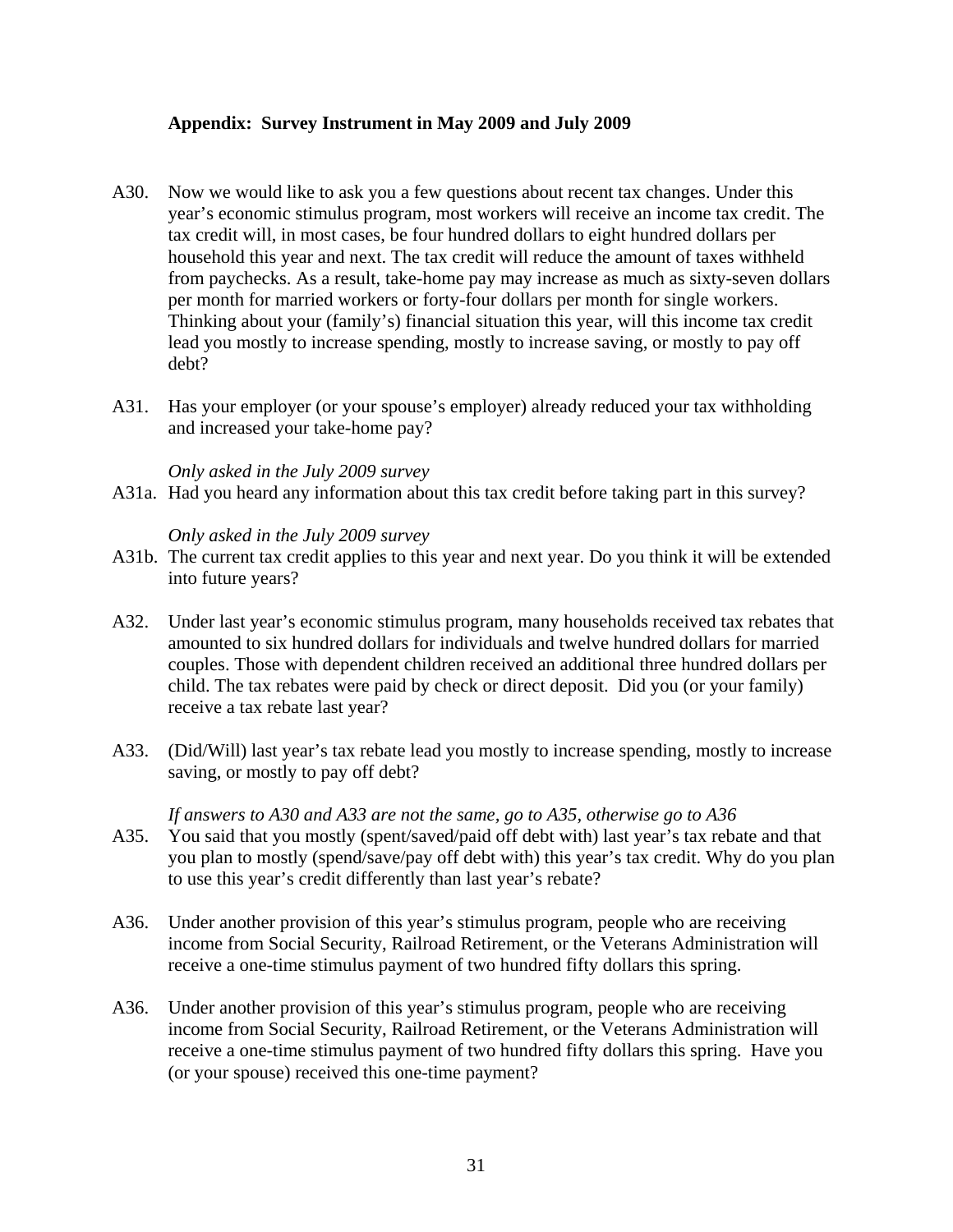# **Appendix: Survey Instrument in May 2009 and July 2009**

- A30. Now we would like to ask you a few questions about recent tax changes. Under this year's economic stimulus program, most workers will receive an income tax credit. The tax credit will, in most cases, be four hundred dollars to eight hundred dollars per household this year and next. The tax credit will reduce the amount of taxes withheld from paychecks. As a result, take-home pay may increase as much as sixty-seven dollars per month for married workers or forty-four dollars per month for single workers. Thinking about your (family's) financial situation this year, will this income tax credit lead you mostly to increase spending, mostly to increase saving, or mostly to pay off debt?
- A31. Has your employer (or your spouse's employer) already reduced your tax withholding and increased your take-home pay?

*Only asked in the July 2009 survey* 

A31a. Had you heard any information about this tax credit before taking part in this survey?

# *Only asked in the July 2009 survey*

- A31b. The current tax credit applies to this year and next year. Do you think it will be extended into future years?
- A32. Under last year's economic stimulus program, many households received tax rebates that amounted to six hundred dollars for individuals and twelve hundred dollars for married couples. Those with dependent children received an additional three hundred dollars per child. The tax rebates were paid by check or direct deposit. Did you (or your family) receive a tax rebate last year?
- A33. (Did/Will) last year's tax rebate lead you mostly to increase spending, mostly to increase saving, or mostly to pay off debt?

*If answers to A30 and A33 are not the same, go to A35, otherwise go to A36* 

- A35. You said that you mostly (spent/saved/paid off debt with) last year's tax rebate and that you plan to mostly (spend/save/pay off debt with) this year's tax credit. Why do you plan to use this year's credit differently than last year's rebate?
- A36. Under another provision of this year's stimulus program, people who are receiving income from Social Security, Railroad Retirement, or the Veterans Administration will receive a one-time stimulus payment of two hundred fifty dollars this spring.
- A36. Under another provision of this year's stimulus program, people who are receiving income from Social Security, Railroad Retirement, or the Veterans Administration will receive a one-time stimulus payment of two hundred fifty dollars this spring. Have you (or your spouse) received this one-time payment?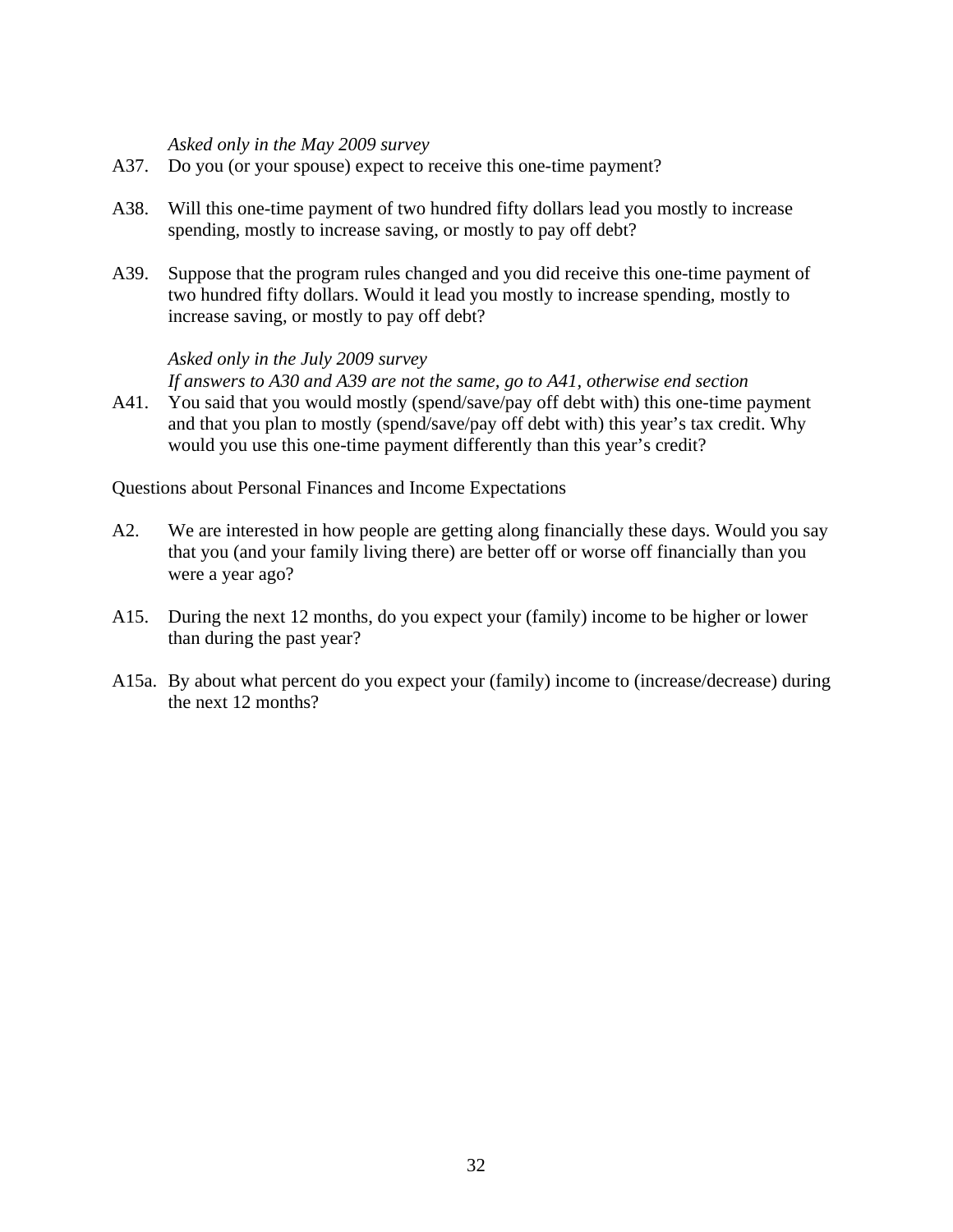*Asked only in the May 2009 survey* 

- A37. Do you (or your spouse) expect to receive this one-time payment?
- A38. Will this one-time payment of two hundred fifty dollars lead you mostly to increase spending, mostly to increase saving, or mostly to pay off debt?
- A39. Suppose that the program rules changed and you did receive this one-time payment of two hundred fifty dollars. Would it lead you mostly to increase spending, mostly to increase saving, or mostly to pay off debt?

# *Asked only in the July 2009 survey*

*If answers to A30 and A39 are not the same, go to A41, otherwise end section* 

A41. You said that you would mostly (spend/save/pay off debt with) this one-time payment and that you plan to mostly (spend/save/pay off debt with) this year's tax credit. Why would you use this one-time payment differently than this year's credit?

Questions about Personal Finances and Income Expectations

- A2. We are interested in how people are getting along financially these days. Would you say that you (and your family living there) are better off or worse off financially than you were a year ago?
- A15. During the next 12 months, do you expect your (family) income to be higher or lower than during the past year?
- A15a. By about what percent do you expect your (family) income to (increase/decrease) during the next 12 months?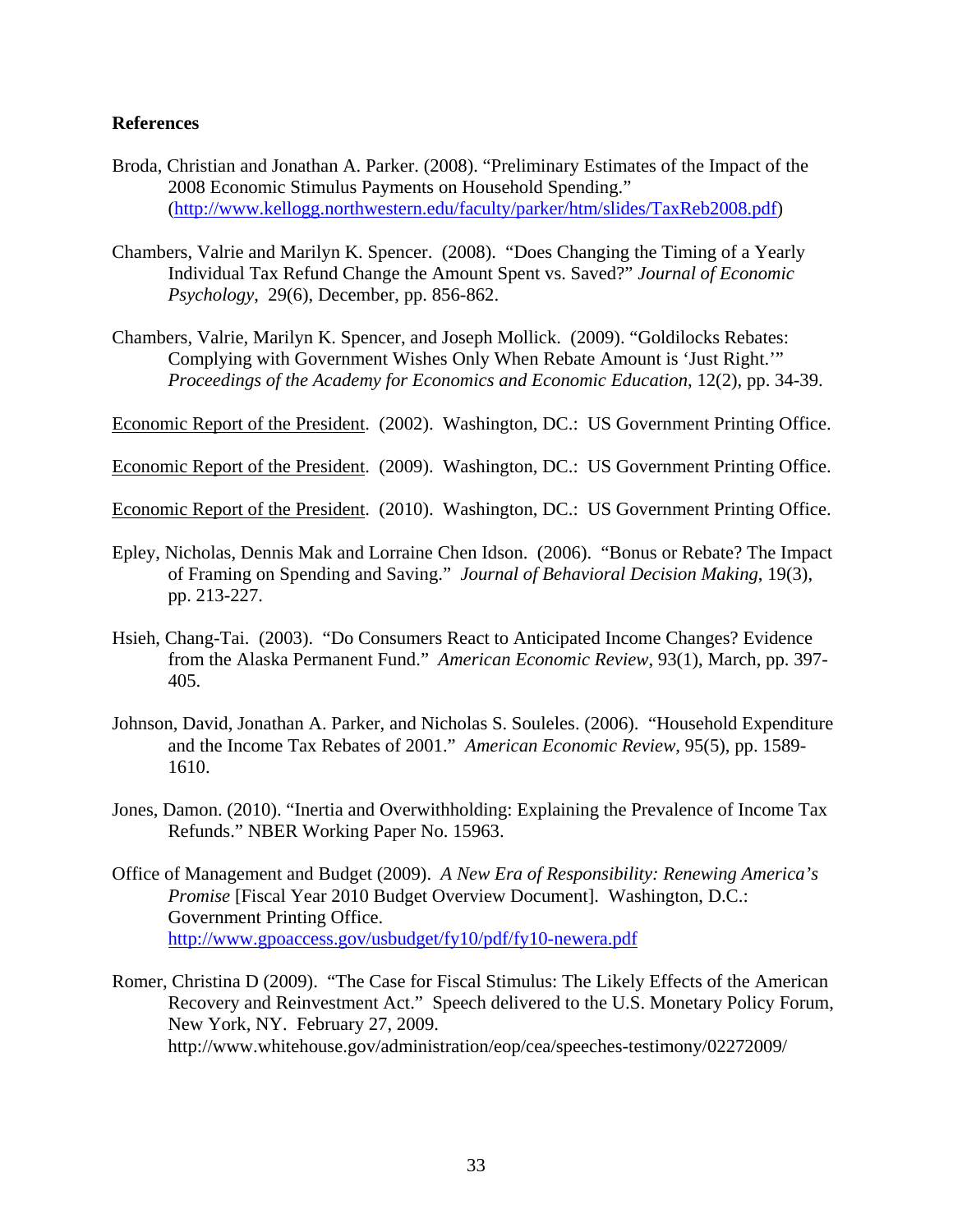# **References**

- Broda, Christian and Jonathan A. Parker. (2008). "Preliminary Estimates of the Impact of the 2008 Economic Stimulus Payments on Household Spending." (http://www.kellogg.northwestern.edu/faculty/parker/htm/slides/TaxReb2008.pdf)
- Chambers, Valrie and Marilyn K. Spencer. (2008). "Does Changing the Timing of a Yearly Individual Tax Refund Change the Amount Spent vs. Saved?" *Journal of Economic Psychology*, 29(6), December, pp. 856-862.
- Chambers, Valrie, Marilyn K. Spencer, and Joseph Mollick. (2009). "Goldilocks Rebates: Complying with Government Wishes Only When Rebate Amount is 'Just Right.'" *Proceedings of the Academy for Economics and Economic Education*, 12(2), pp. 34-39.

Economic Report of the President. (2002). Washington, DC.: US Government Printing Office.

Economic Report of the President. (2009). Washington, DC.: US Government Printing Office.

Economic Report of the President. (2010). Washington, DC.: US Government Printing Office.

- Epley, Nicholas, Dennis Mak and Lorraine Chen Idson. (2006). "Bonus or Rebate? The Impact of Framing on Spending and Saving." *Journal of Behavioral Decision Making*, 19(3), pp. 213-227.
- Hsieh, Chang-Tai. (2003). "Do Consumers React to Anticipated Income Changes? Evidence from the Alaska Permanent Fund." *American Economic Review*, 93(1), March, pp. 397- 405.
- Johnson, David, Jonathan A. Parker, and Nicholas S. Souleles. (2006). "Household Expenditure and the Income Tax Rebates of 2001." *American Economic Review*, 95(5), pp. 1589- 1610.
- Jones, Damon. (2010). "Inertia and Overwithholding: Explaining the Prevalence of Income Tax Refunds." NBER Working Paper No. 15963.
- Office of Management and Budget (2009). *A New Era of Responsibility: Renewing America's Promise* [Fiscal Year 2010 Budget Overview Document]. Washington, D.C.: Government Printing Office. http://www.gpoaccess.gov/usbudget/fy10/pdf/fy10-newera.pdf
- Romer, Christina D (2009). "The Case for Fiscal Stimulus: The Likely Effects of the American Recovery and Reinvestment Act." Speech delivered to the U.S. Monetary Policy Forum, New York, NY. February 27, 2009. http://www.whitehouse.gov/administration/eop/cea/speeches-testimony/02272009/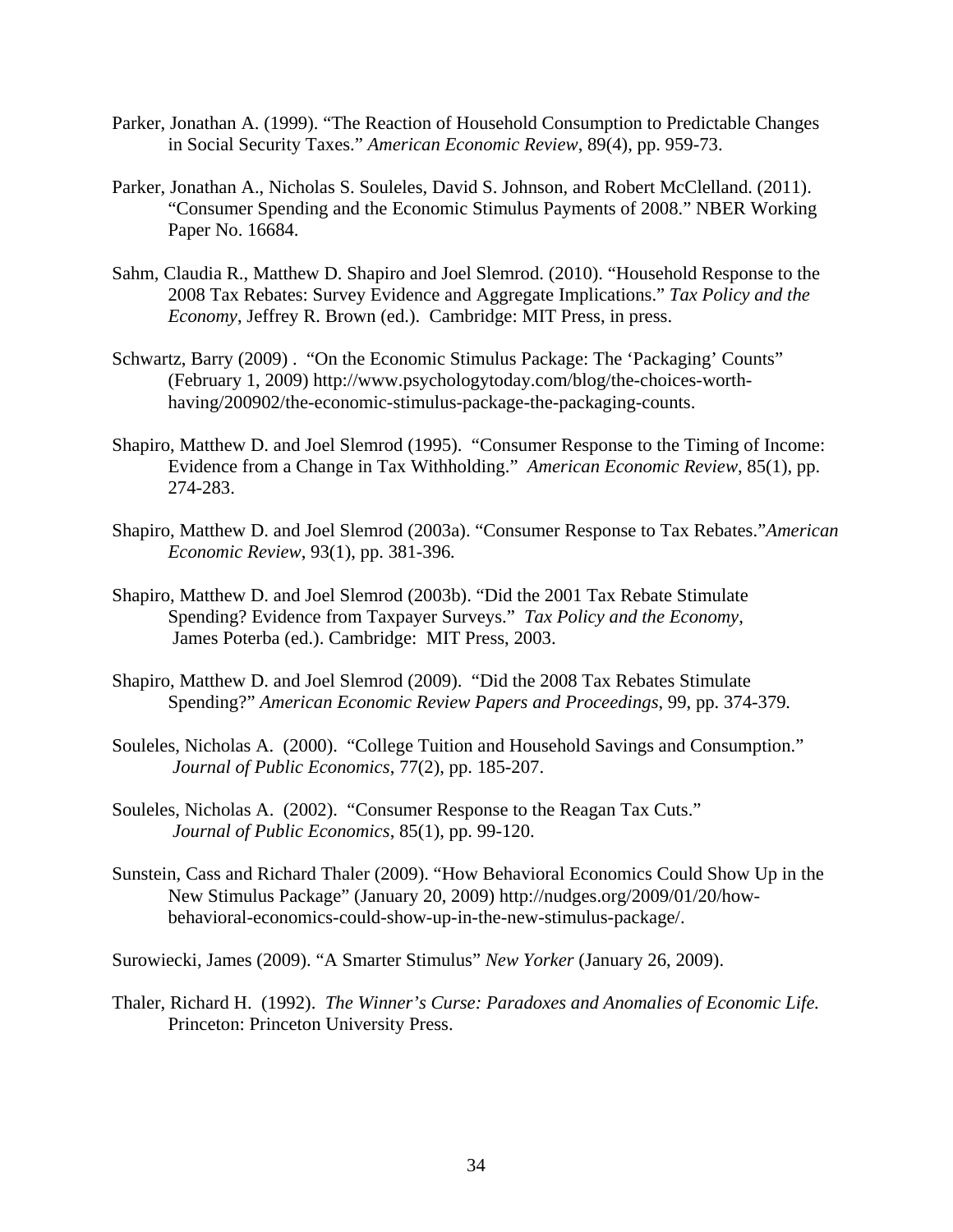- Parker, Jonathan A. (1999). "The Reaction of Household Consumption to Predictable Changes in Social Security Taxes." *American Economic Review*, 89(4), pp. 959-73.
- Parker, Jonathan A., Nicholas S. Souleles, David S. Johnson, and Robert McClelland. (2011). "Consumer Spending and the Economic Stimulus Payments of 2008." NBER Working Paper No. 16684.
- Sahm, Claudia R., Matthew D. Shapiro and Joel Slemrod. (2010). "Household Response to the 2008 Tax Rebates: Survey Evidence and Aggregate Implications." *Tax Policy and the Economy*, Jeffrey R. Brown (ed.). Cambridge: MIT Press, in press.
- Schwartz, Barry (2009) . "On the Economic Stimulus Package: The 'Packaging' Counts" (February 1, 2009) http://www.psychologytoday.com/blog/the-choices-worthhaving/200902/the-economic-stimulus-package-the-packaging-counts.
- Shapiro, Matthew D. and Joel Slemrod (1995). "Consumer Response to the Timing of Income: Evidence from a Change in Tax Withholding." *American Economic Review*, 85(1), pp. 274-283.
- Shapiro, Matthew D. and Joel Slemrod (2003a). "Consumer Response to Tax Rebates."*American Economic Review*, 93(1), pp. 381-396*.*
- Shapiro, Matthew D. and Joel Slemrod (2003b). "Did the 2001 Tax Rebate Stimulate Spending? Evidence from Taxpayer Surveys." *Tax Policy and the Economy*, James Poterba (ed.). Cambridge: MIT Press, 2003.
- Shapiro, Matthew D. and Joel Slemrod (2009). "Did the 2008 Tax Rebates Stimulate Spending?" *American Economic Review Papers and Proceedings*, 99, pp. 374-379*.*
- Souleles, Nicholas A. (2000). "College Tuition and Household Savings and Consumption." *Journal of Public Economics*, 77(2), pp. 185-207.
- Souleles, Nicholas A. (2002). "Consumer Response to the Reagan Tax Cuts." *Journal of Public Economics*, 85(1), pp. 99-120.
- Sunstein, Cass and Richard Thaler (2009). "How Behavioral Economics Could Show Up in the New Stimulus Package" (January 20, 2009) http://nudges.org/2009/01/20/howbehavioral-economics-could-show-up-in-the-new-stimulus-package/.

Surowiecki, James (2009). "A Smarter Stimulus" *New Yorker* (January 26, 2009).

Thaler, Richard H. (1992). *The Winner's Curse: Paradoxes and Anomalies of Economic Life.*  Princeton: Princeton University Press.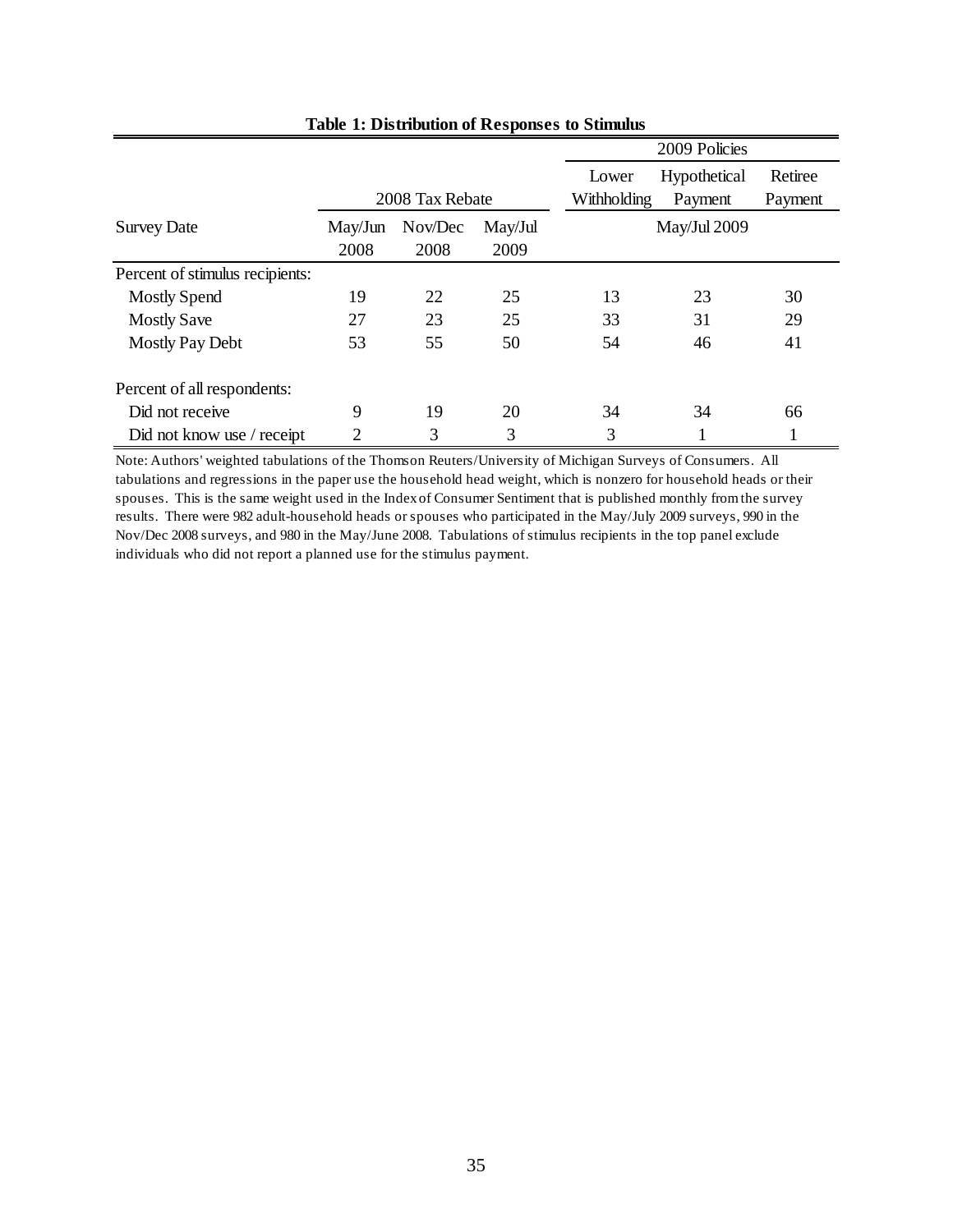|                                 |                 |                 |                 | 2009 Policies |              |         |
|---------------------------------|-----------------|-----------------|-----------------|---------------|--------------|---------|
|                                 |                 |                 |                 | Lower         | Hypothetical | Retiree |
|                                 |                 | 2008 Tax Rebate |                 | Withholding   | Payment      | Payment |
| <b>Survey Date</b>              | May/Jun<br>2008 | Nov/Dec<br>2008 | May/Jul<br>2009 |               | May/Jul 2009 |         |
| Percent of stimulus recipients: |                 |                 |                 |               |              |         |
| <b>Mostly Spend</b>             | 19              | 22              | 25              | 13            | 23           | 30      |
| <b>Mostly Save</b>              | 27              | 23              | 25              | 33            | 31           | 29      |
| <b>Mostly Pay Debt</b>          | 53              | 55              | 50              | 54            | 46           | 41      |
| Percent of all respondents:     |                 |                 |                 |               |              |         |
| Did not receive                 | 9               | 19              | 20              | 34            | 34           | 66      |
| Did not know use / receipt      | 2               | 3               | 3               | 3             |              |         |

## **Table 1: Distribution of Responses to Stimulus**

Note: Authors' weighted tabulations of the Thomson Reuters/University of Michigan Surveys of Consumers. All tabulations and regressions in the paper use the household head weight, which is nonzero for household heads or their spouses. This is the same weight used in the Index of Consumer Sentiment that is published monthly from the survey results. There were 982 adult-household heads or spouses who participated in the May/July 2009 surveys, 990 in the Nov/Dec 2008 surveys, and 980 in the May/June 2008. Tabulations of stimulus recipients in the top panel exclude individuals who did not report a planned use for the stimulus payment.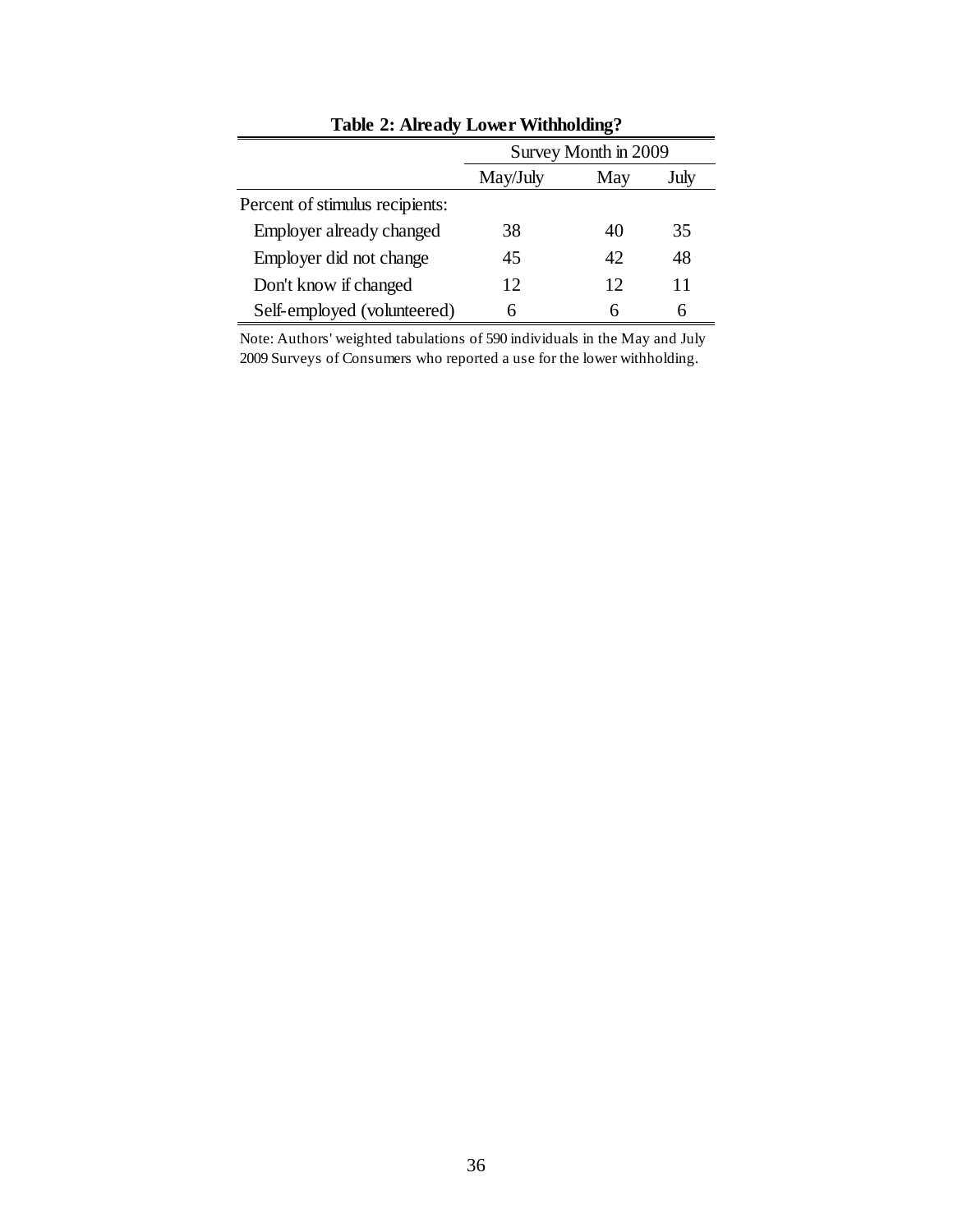|                                 | Survey Month in 2009 |     |      |  |
|---------------------------------|----------------------|-----|------|--|
|                                 | May/July             | May | July |  |
| Percent of stimulus recipients: |                      |     |      |  |
| Employer already changed        | 38                   | 40  | 35   |  |
| Employer did not change         | 45                   | 42  | 48   |  |
| Don't know if changed           | 12                   | 12  | 11   |  |
| Self-employed (volunteered)     |                      |     | 6    |  |

**Table 2: Already Lower Withholding?**

Note: Authors' weighted tabulations of 590 individuals in the May and July 2009 Surveys of Consumers who reported a use for the lower withholding.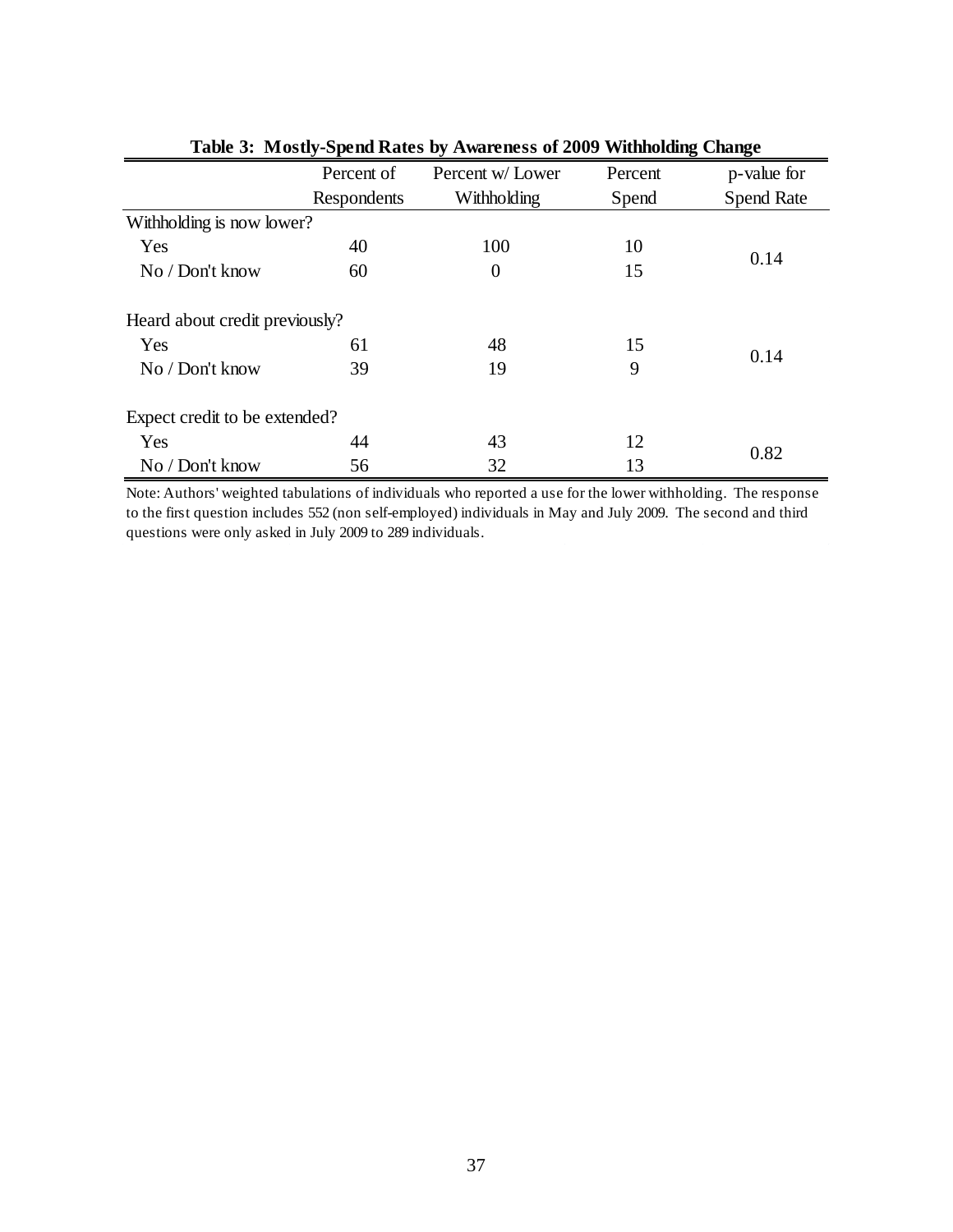| $-1$<br>ె                      |             |                 |         |                   |  |  |
|--------------------------------|-------------|-----------------|---------|-------------------|--|--|
|                                | Percent of  | Percent w/Lower | Percent | p-value for       |  |  |
|                                | Respondents | Withholding     | Spend   | <b>Spend Rate</b> |  |  |
| Withholding is now lower?      |             |                 |         |                   |  |  |
| Yes                            | 40          | 100             | 10      |                   |  |  |
| No / Don't know                | 60          | $\theta$        | 15      | 0.14              |  |  |
| Heard about credit previously? |             |                 |         |                   |  |  |
| Yes                            | 61          | 48              | 15      | 0.14              |  |  |
| No / Don't know                | 39          | 19              | 9       |                   |  |  |
| Expect credit to be extended?  |             |                 |         |                   |  |  |
| Yes                            | 44          | 43              | 12      |                   |  |  |
| No / Don't know                | 56          | 32              | 13      | 0.82              |  |  |

# **Table 3: Mostly-Spend Rates by Awareness of 2009 Withholding Change**

Note: Authors' weighted tabulations of individuals who reported a use for the lower withholding. The response to the first question includes 552 (non self-employed) individuals in May and July 2009. The second and third questions were only asked in July 2009 to 289 individuals.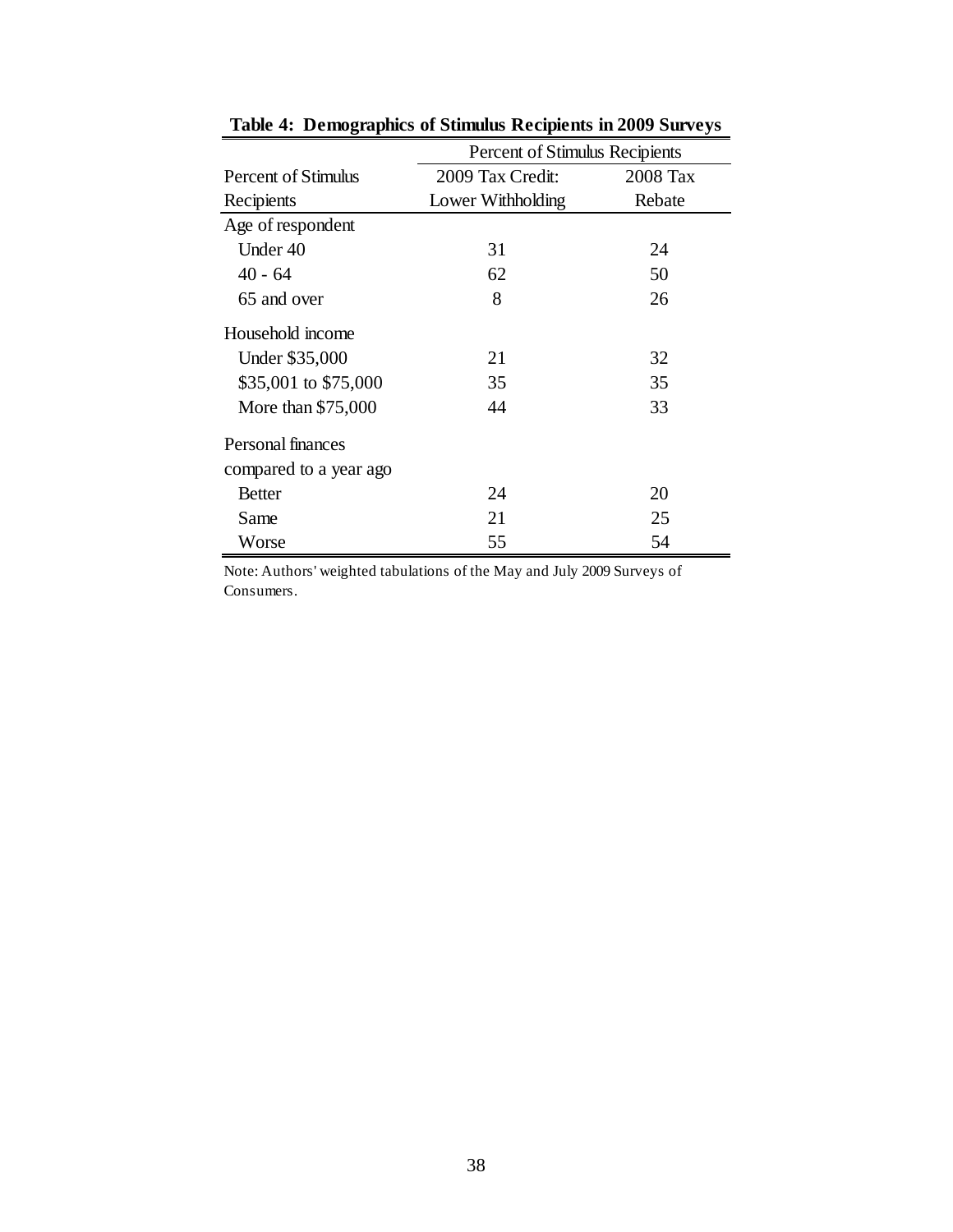|                        | Percent of Stimulus Recipients |          |  |  |
|------------------------|--------------------------------|----------|--|--|
| Percent of Stimulus    | 2009 Tax Credit:               | 2008 Tax |  |  |
| Recipients             | Lower Withholding              | Rebate   |  |  |
| Age of respondent      |                                |          |  |  |
| Under 40               | 31                             | 24       |  |  |
| $40 - 64$              | 62                             | 50       |  |  |
| 65 and over            | 8                              | 26       |  |  |
| Household income       |                                |          |  |  |
| Under \$35,000         | 21                             | 32       |  |  |
| \$35,001 to \$75,000   | 35                             | 35       |  |  |
| More than \$75,000     | 44                             | 33       |  |  |
| Personal finances      |                                |          |  |  |
| compared to a year ago |                                |          |  |  |
| <b>Better</b>          | 24                             | 20       |  |  |
| Same                   | 21                             | 25       |  |  |
| Worse                  | 55                             | 54       |  |  |

**Table 4: Demographics of Stimulus Recipients in 2009 Surveys**

Note: Authors' weighted tabulations of the May and July 2009 Surveys of Consumers.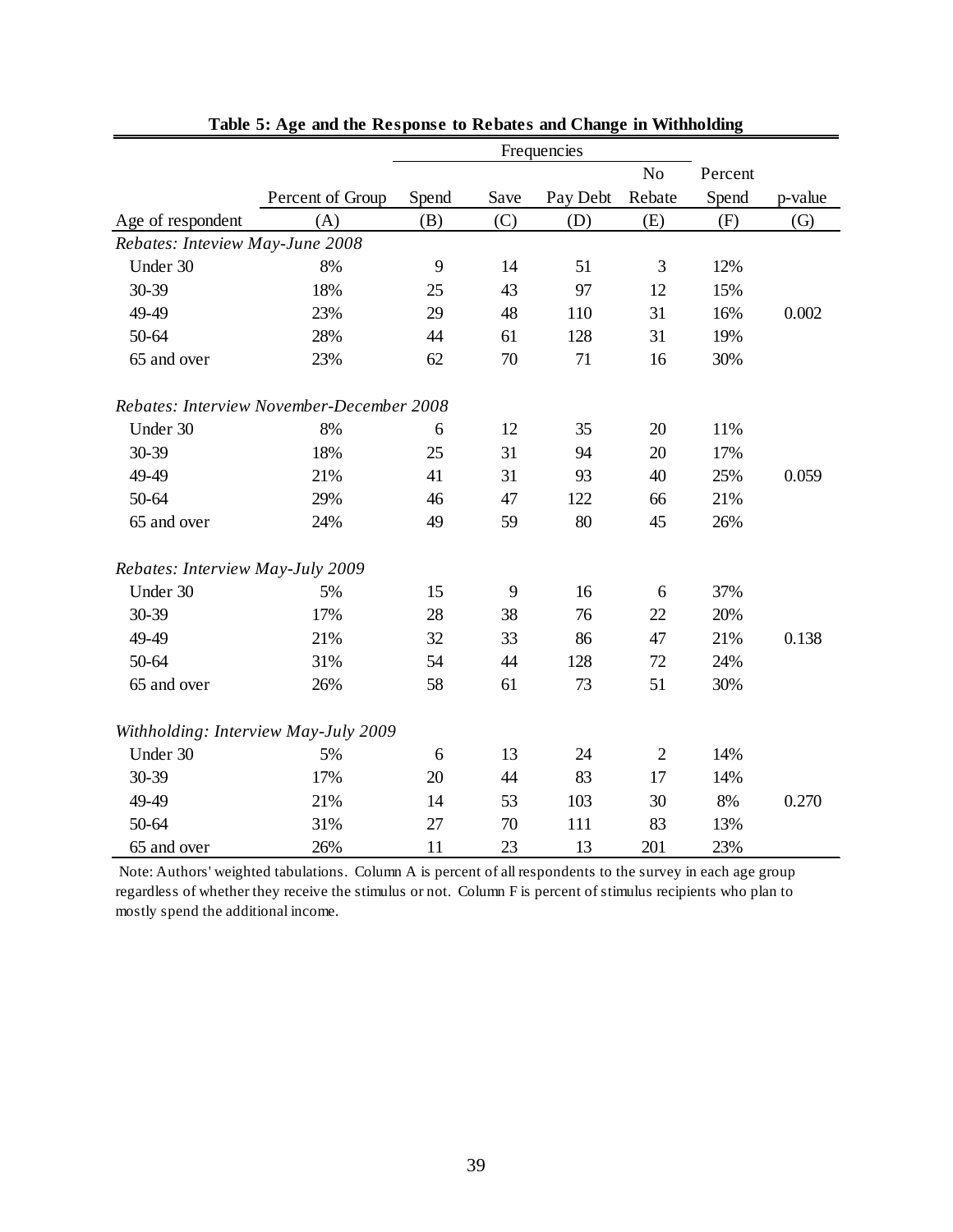|                                  |                                           |       | Frequencies |          |                |         |         |
|----------------------------------|-------------------------------------------|-------|-------------|----------|----------------|---------|---------|
|                                  |                                           |       |             |          | N <sub>o</sub> | Percent |         |
|                                  | Percent of Group                          | Spend | Save        | Pay Debt | Rebate         | Spend   | p-value |
| Age of respondent                | (A)                                       | (B)   | (C)         | (D)      | (E)            | (F)     | (G)     |
| Rebates: Inteview May-June 2008  |                                           |       |             |          |                |         |         |
| Under 30                         | 8%                                        | 9     | 14          | 51       | 3              | 12%     |         |
| 30-39                            | 18%                                       | 25    | 43          | 97       | 12             | 15%     |         |
| 49-49                            | 23%                                       | 29    | 48          | 110      | 31             | 16%     | 0.002   |
| 50-64                            | 28%                                       | 44    | 61          | 128      | 31             | 19%     |         |
| 65 and over                      | 23%                                       | 62    | 70          | 71       | 16             | 30%     |         |
|                                  | Rebates: Interview November-December 2008 |       |             |          |                |         |         |
| Under 30                         | 8%                                        | 6     | 12          | 35       | 20             | 11%     |         |
| 30-39                            | 18%                                       | 25    | 31          | 94       | 20             | 17%     |         |
| 49-49                            | 21%                                       | 41    | 31          | 93       | 40             | 25%     | 0.059   |
| 50-64                            | 29%                                       | 46    | 47          | 122      | 66             | 21%     |         |
| 65 and over                      | 24%                                       | 49    | 59          | 80       | 45             | 26%     |         |
| Rebates: Interview May-July 2009 |                                           |       |             |          |                |         |         |
| Under 30                         | 5%                                        | 15    | 9           | 16       | 6              | 37%     |         |
| 30-39                            | 17%                                       | 28    | 38          | 76       | 22             | 20%     |         |
| 49-49                            | 21%                                       | 32    | 33          | 86       | 47             | 21%     | 0.138   |
| 50-64                            | 31%                                       | 54    | 44          | 128      | 72             | 24%     |         |
| 65 and over                      | 26%                                       | 58    | 61          | 73       | 51             | 30%     |         |
|                                  | Withholding: Interview May-July 2009      |       |             |          |                |         |         |
| Under 30                         | 5%                                        | 6     | 13          | 24       | $\overline{2}$ | 14%     |         |
| 30-39                            | 17%                                       | 20    | 44          | 83       | 17             | 14%     |         |
| 49-49                            | 21%                                       | 14    | 53          | 103      | 30             | 8%      | 0.270   |
| 50-64                            | 31%                                       | 27    | 70          | 111      | 83             | 13%     |         |
| 65 and over                      | 26%                                       | 11    | 23          | 13       | 201            | 23%     |         |

**Table 5: Age and the Response to Rebates and Change in Withholding**

 Note: Authors' weighted tabulations. Column A is percent of all respondents to the survey in each age group regardless of whether they receive the stimulus or not. Column F is percent of stimulus recipients who plan to mostly spend the additional income.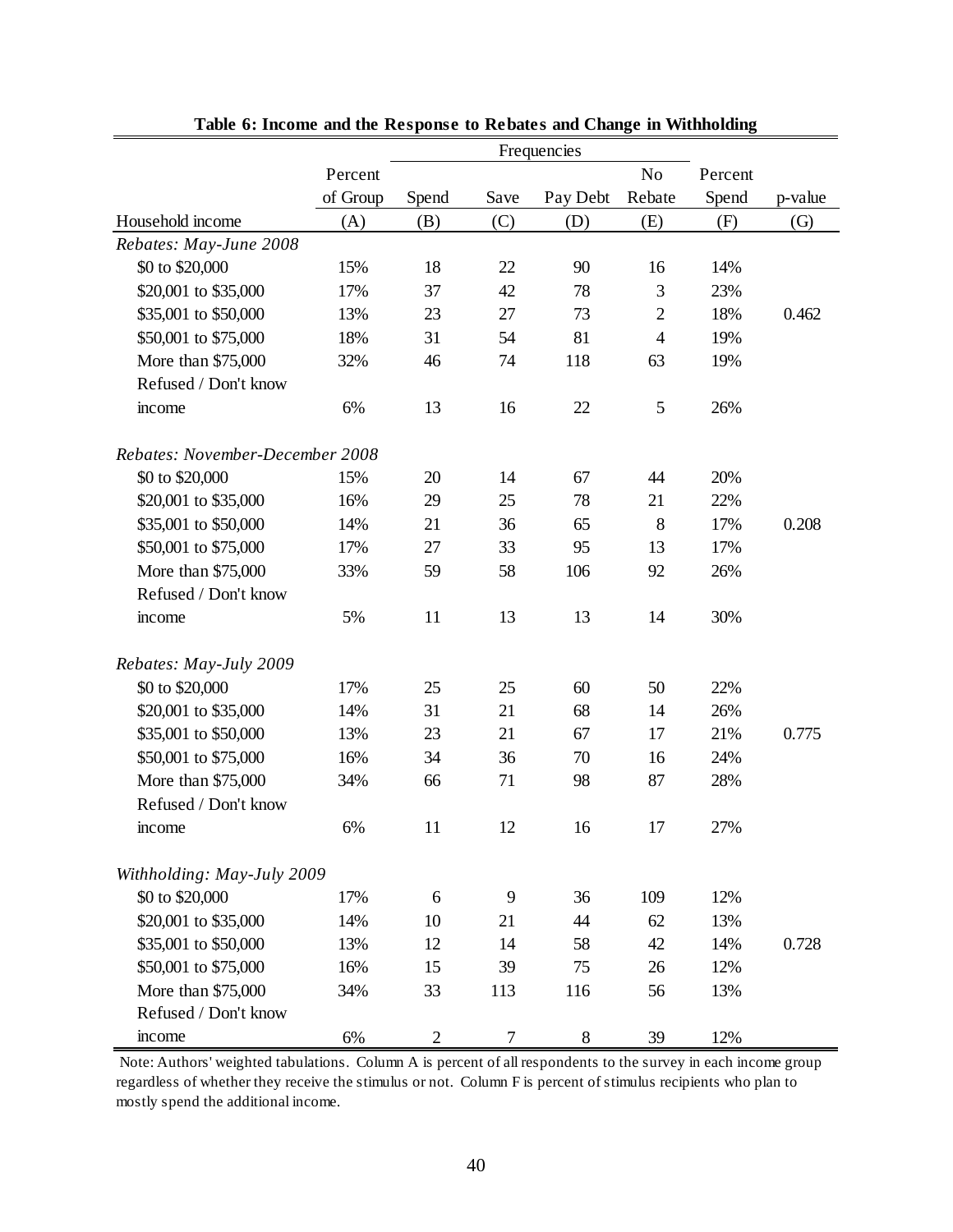|                                 | Frequencies |                |              |          |                |         |         |
|---------------------------------|-------------|----------------|--------------|----------|----------------|---------|---------|
|                                 | Percent     |                |              |          | N <sub>o</sub> | Percent |         |
|                                 | of Group    | Spend          | Save         | Pay Debt | Rebate         | Spend   | p-value |
| Household income                | (A)         | (B)            | (C)          | (D)      | (E)            | (F)     | (G)     |
| Rebates: May-June 2008          |             |                |              |          |                |         |         |
| \$0 to \$20,000                 | 15%         | 18             | 22           | 90       | 16             | 14%     |         |
| \$20,001 to \$35,000            | 17%         | 37             | 42           | 78       | 3              | 23%     |         |
| \$35,001 to \$50,000            | 13%         | 23             | 27           | 73       | $\mathbf{2}$   | 18%     | 0.462   |
| \$50,001 to \$75,000            | 18%         | 31             | 54           | 81       | $\overline{4}$ | 19%     |         |
| More than \$75,000              | 32%         | 46             | 74           | 118      | 63             | 19%     |         |
| Refused / Don't know            |             |                |              |          |                |         |         |
| income                          | 6%          | 13             | 16           | 22       | 5              | 26%     |         |
| Rebates: November-December 2008 |             |                |              |          |                |         |         |
| \$0 to \$20,000                 | 15%         | 20             | 14           | 67       | 44             | 20%     |         |
| \$20,001 to \$35,000            | 16%         | 29             | 25           | 78       | 21             | 22%     |         |
| \$35,001 to \$50,000            | 14%         | 21             | 36           | 65       | 8              | 17%     | 0.208   |
| \$50,001 to \$75,000            | 17%         | 27             | 33           | 95       | 13             | 17%     |         |
| More than \$75,000              | 33%         | 59             | 58           | 106      | 92             | 26%     |         |
| Refused / Don't know            |             |                |              |          |                |         |         |
| income                          | 5%          | 11             | 13           | 13       | 14             | 30%     |         |
| Rebates: May-July 2009          |             |                |              |          |                |         |         |
| \$0 to \$20,000                 | 17%         | 25             | 25           | 60       | 50             | 22%     |         |
| \$20,001 to \$35,000            | 14%         | 31             | 21           | 68       | 14             | 26%     |         |
| \$35,001 to \$50,000            | 13%         | 23             | 21           | 67       | 17             | 21%     | 0.775   |
| \$50,001 to \$75,000            | 16%         | 34             | 36           | 70       | 16             | 24%     |         |
| More than \$75,000              | 34%         | 66             | 71           | 98       | 87             | 28%     |         |
| Refused / Don't know            |             |                |              |          |                |         |         |
| income                          | 6%          | 11             | 12           | 16       | 17             | 27%     |         |
| Withholding: May-July 2009      |             |                |              |          |                |         |         |
| \$0 to \$20,000                 | 17%         | 6              | $\mathbf{9}$ | 36       | 109            | 12%     |         |
| \$20,001 to \$35,000            | 14%         | 10             | 21           | 44       | 62             | 13%     |         |
| \$35,001 to \$50,000            | 13%         | 12             | 14           | 58       | 42             | 14%     | 0.728   |
| \$50,001 to \$75,000            | 16%         | 15             | 39           | 75       | 26             | 12%     |         |
| More than \$75,000              | 34%         | 33             | 113          | 116      | 56             | 13%     |         |
| Refused / Don't know            |             |                |              |          |                |         |         |
| income                          | 6%          | $\overline{2}$ | $\tau$       | $8\,$    | 39             | 12%     |         |

**Table 6: Income and the Response to Rebates and Change in Withholding**

 Note: Authors' weighted tabulations. Column A is percent of all respondents to the survey in each income group regardless of whether they receive the stimulus or not. Column F is percent of stimulus recipients who plan to mostly spend the additional income.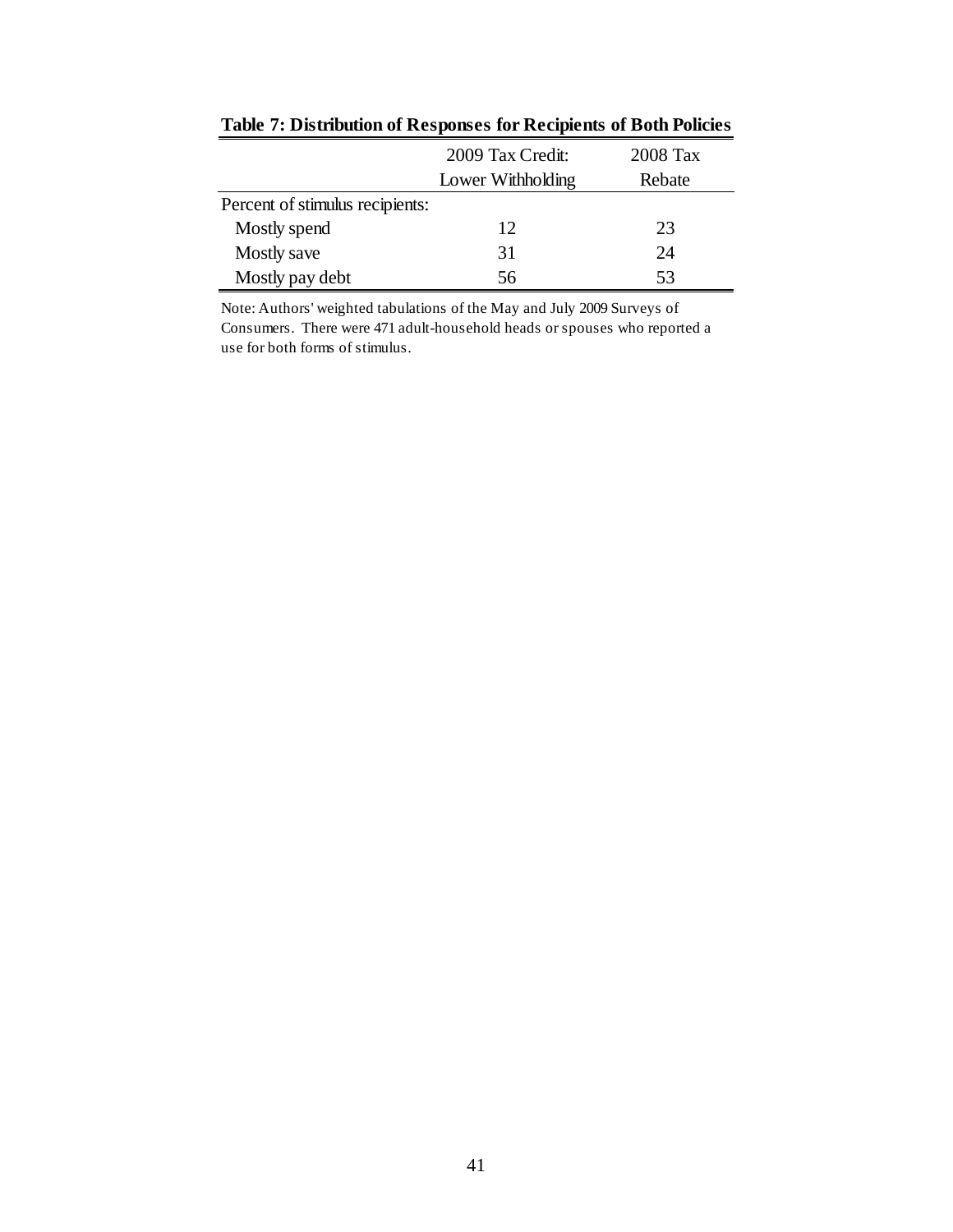|                                 | 2009 Tax Credit:  | 2008 Tax |
|---------------------------------|-------------------|----------|
|                                 | Lower Withholding | Rebate   |
| Percent of stimulus recipients: |                   |          |
| Mostly spend                    | 12                | 23       |
| Mostly save                     | 31                | 24       |
| Mostly pay debt                 | 56                | 53       |

**Table 7: Distribution of Responses for Recipients of Both Policies**

Note: Authors' weighted tabulations of the May and July 2009 Surveys of Consumers. There were 471 adult-household heads or spouses who reported a use for both forms of stimulus.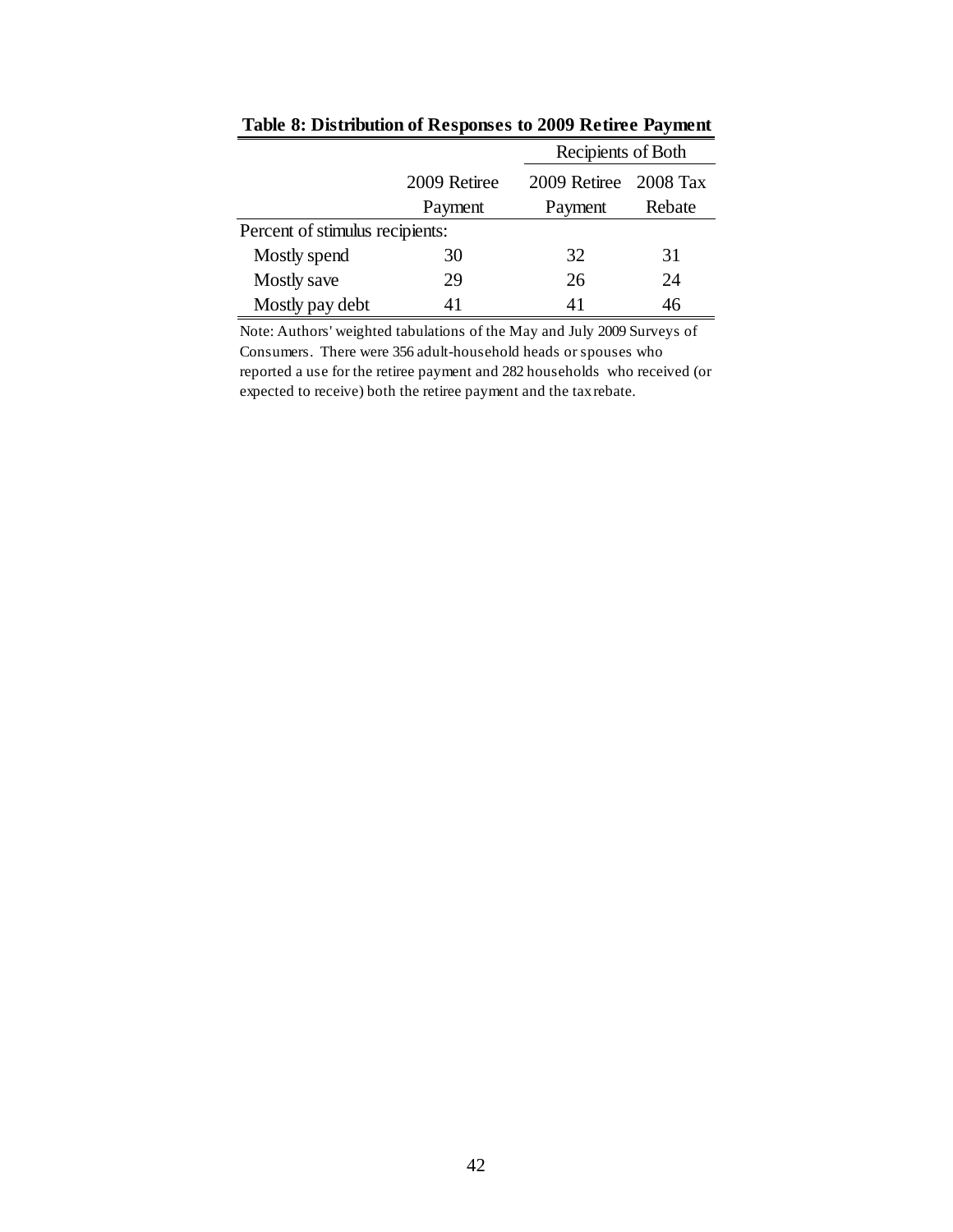|                                 |              | Recipients of Both    |        |  |
|---------------------------------|--------------|-----------------------|--------|--|
|                                 | 2009 Retiree | 2009 Retiree 2008 Tax |        |  |
|                                 | Payment      | Payment               | Rebate |  |
| Percent of stimulus recipients: |              |                       |        |  |
| Mostly spend                    | 30           | 32                    | 31     |  |
| Mostly save                     | 29           | 26                    | 24     |  |
| Mostly pay debt                 |              | 41                    | 46     |  |

**Table 8: Distribution of Responses to 2009 Retiree Payment**

Note: Authors' weighted tabulations of the May and July 2009 Surveys of Consumers. There were 356 adult-household heads or spouses who reported a use for the retiree payment and 282 households who received (or expected to receive) both the retiree payment and the tax rebate.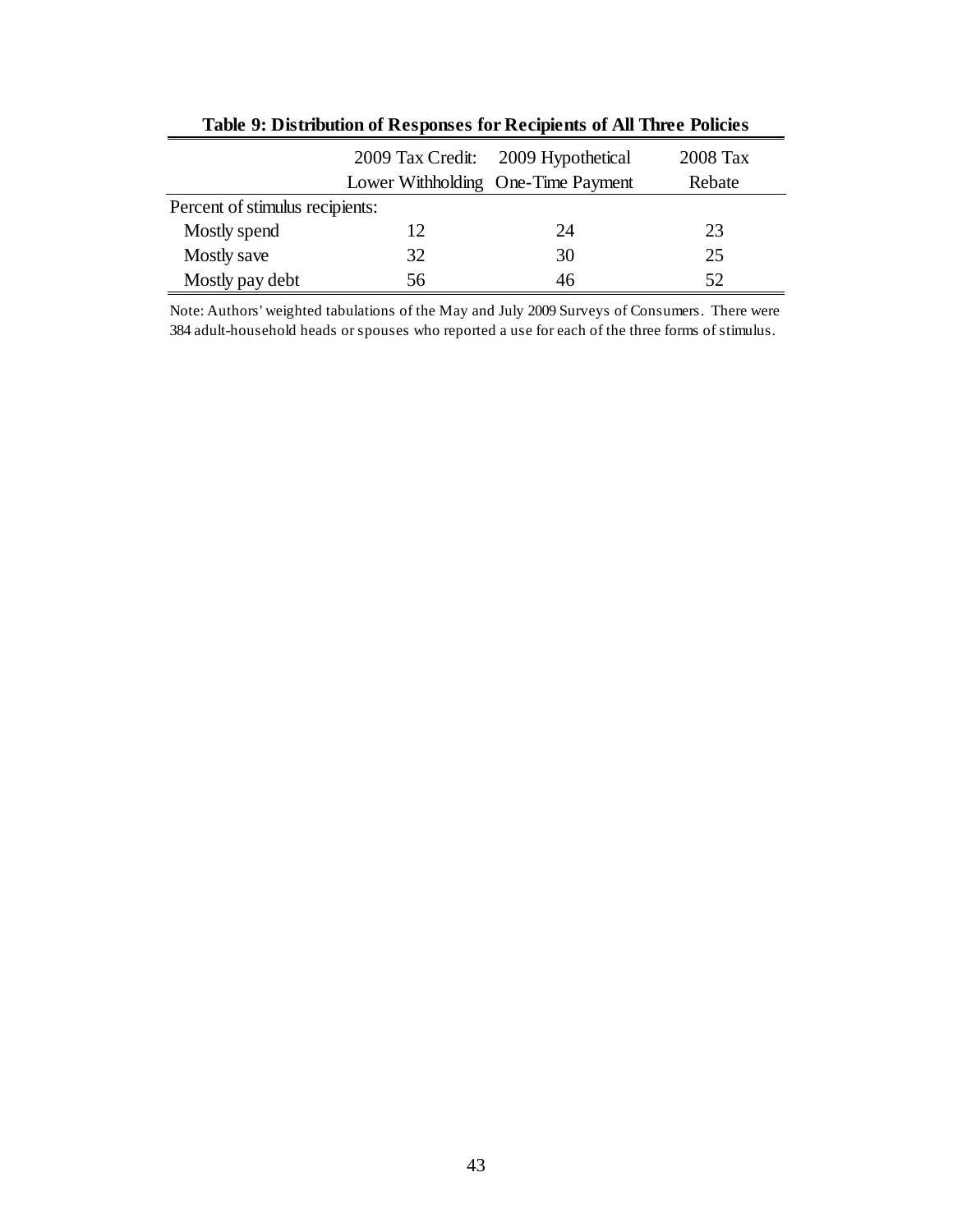| Table 9: Distribution of Responses for Recipients of All Three Policies |    |                                    |          |  |  |  |
|-------------------------------------------------------------------------|----|------------------------------------|----------|--|--|--|
|                                                                         |    | 2009 Tax Credit: 2009 Hypothetical | 2008 Tax |  |  |  |
|                                                                         |    | Lower Withholding One-Time Payment | Rebate   |  |  |  |
| Percent of stimulus recipients:                                         |    |                                    |          |  |  |  |
| Mostly spend                                                            | 12 | 24                                 | 23       |  |  |  |
| Mostly save                                                             | 32 | 30                                 | 25       |  |  |  |
| Mostly pay debt                                                         | 56 | 46                                 | 52       |  |  |  |

**Table 9: Distribution of Responses for Recipients of All Three Policies**

Note: Authors' weighted tabulations of the May and July 2009 Surveys of Consumers. There were 384 adult-household heads or spouses who reported a use for each of the three forms of stimulus.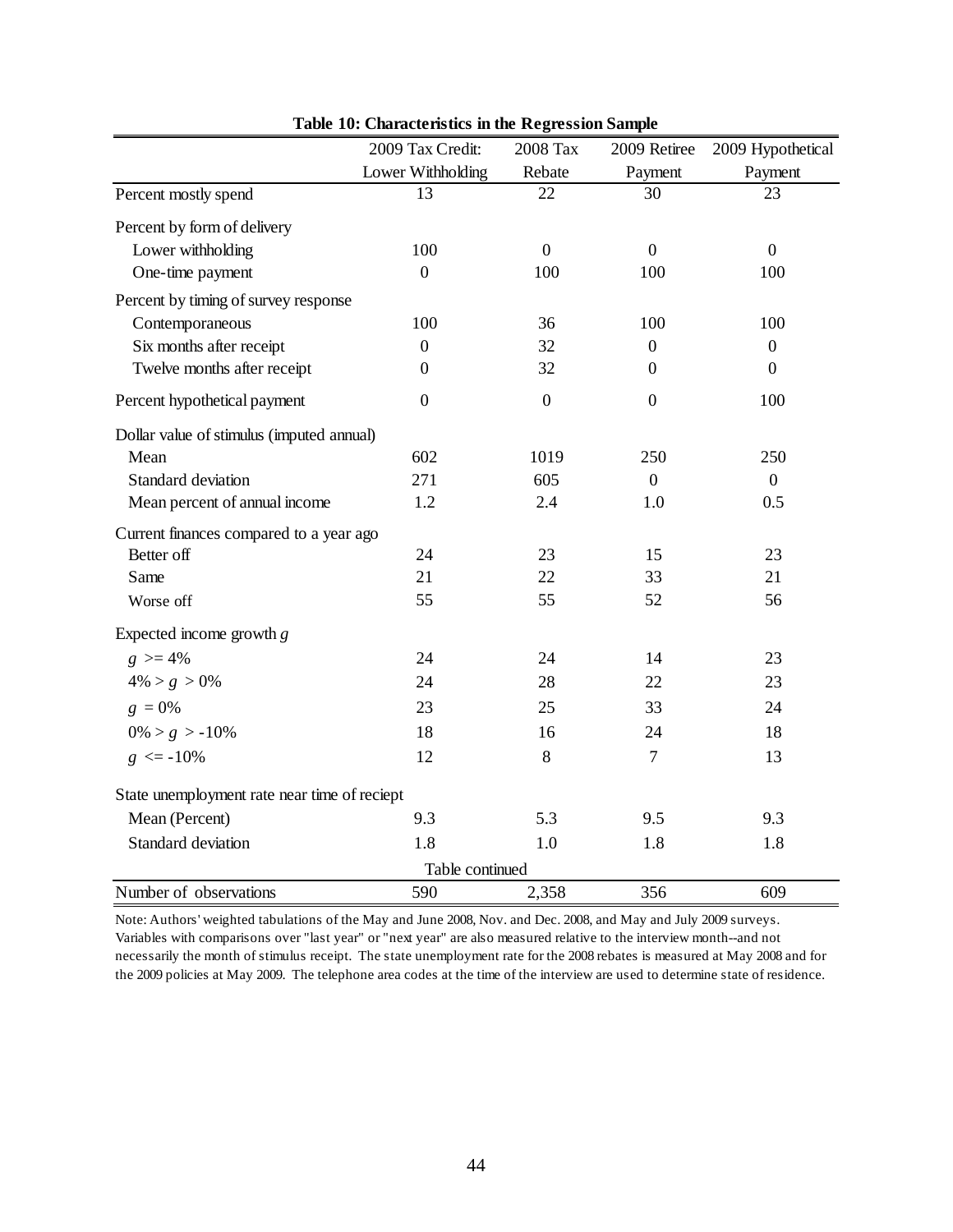|                                              | 2009 Tax Credit:  | 2008 Tax         | 2009 Retiree     | 2009 Hypothetical |
|----------------------------------------------|-------------------|------------------|------------------|-------------------|
|                                              | Lower Withholding | Rebate           | Payment          | Payment           |
| Percent mostly spend                         | 13                | 22               | 30               | 23                |
| Percent by form of delivery                  |                   |                  |                  |                   |
| Lower withholding                            | 100               | $\mathbf{0}$     | $\boldsymbol{0}$ | $\boldsymbol{0}$  |
| One-time payment                             | $\overline{0}$    | 100              | 100              | 100               |
| Percent by timing of survey response         |                   |                  |                  |                   |
| Contemporaneous                              | 100               | 36               | 100              | 100               |
| Six months after receipt                     | $\boldsymbol{0}$  | 32               | $\overline{0}$   | $\theta$          |
| Twelve months after receipt                  | $\overline{0}$    | 32               | $\boldsymbol{0}$ | $\boldsymbol{0}$  |
| Percent hypothetical payment                 | $\boldsymbol{0}$  | $\boldsymbol{0}$ | $\overline{0}$   | 100               |
| Dollar value of stimulus (imputed annual)    |                   |                  |                  |                   |
| Mean                                         | 602               | 1019             | 250              | 250               |
| Standard deviation                           | 271               | 605              | $\overline{0}$   | $\overline{0}$    |
| Mean percent of annual income                | 1.2               | 2.4              | 1.0              | 0.5               |
| Current finances compared to a year ago      |                   |                  |                  |                   |
| Better off                                   | 24                | 23               | 15               | 23                |
| Same                                         | 21                | 22               | 33               | 21                |
| Worse off                                    | 55                | 55               | 52               | 56                |
| Expected income growth $g$                   |                   |                  |                  |                   |
| $g > = 4\%$                                  | 24                | 24               | 14               | 23                |
| $4\% > g > 0\%$                              | 24                | 28               | 22               | 23                |
| $g = 0\%$                                    | 23                | 25               | 33               | 24                |
| $0\% > g > -10\%$                            | 18                | 16               | 24               | 18                |
| $g \le -10\%$                                | 12                | 8                | $\overline{7}$   | 13                |
| State unemployment rate near time of reciept |                   |                  |                  |                   |
| Mean (Percent)                               | 9.3               | 5.3              | 9.5              | 9.3               |
| Standard deviation                           | 1.8               | 1.0              | 1.8              | 1.8               |
|                                              | Table continued   |                  |                  |                   |
| Number of observations                       | 590               | 2,358            | 356              | 609               |

**Table 10: Characteristics in the Regression Sample**

Note: Authors' weighted tabulations of the May and June 2008, Nov. and Dec. 2008, and May and July 2009 surveys. Variables with comparisons over "last year" or "next year" are also measured relative to the interview month--and not necessarily the month of stimulus receipt. The state unemployment rate for the 2008 rebates is measured at May 2008 and for the 2009 policies at May 2009. The telephone area codes at the time of the interview are used to determine state of residence.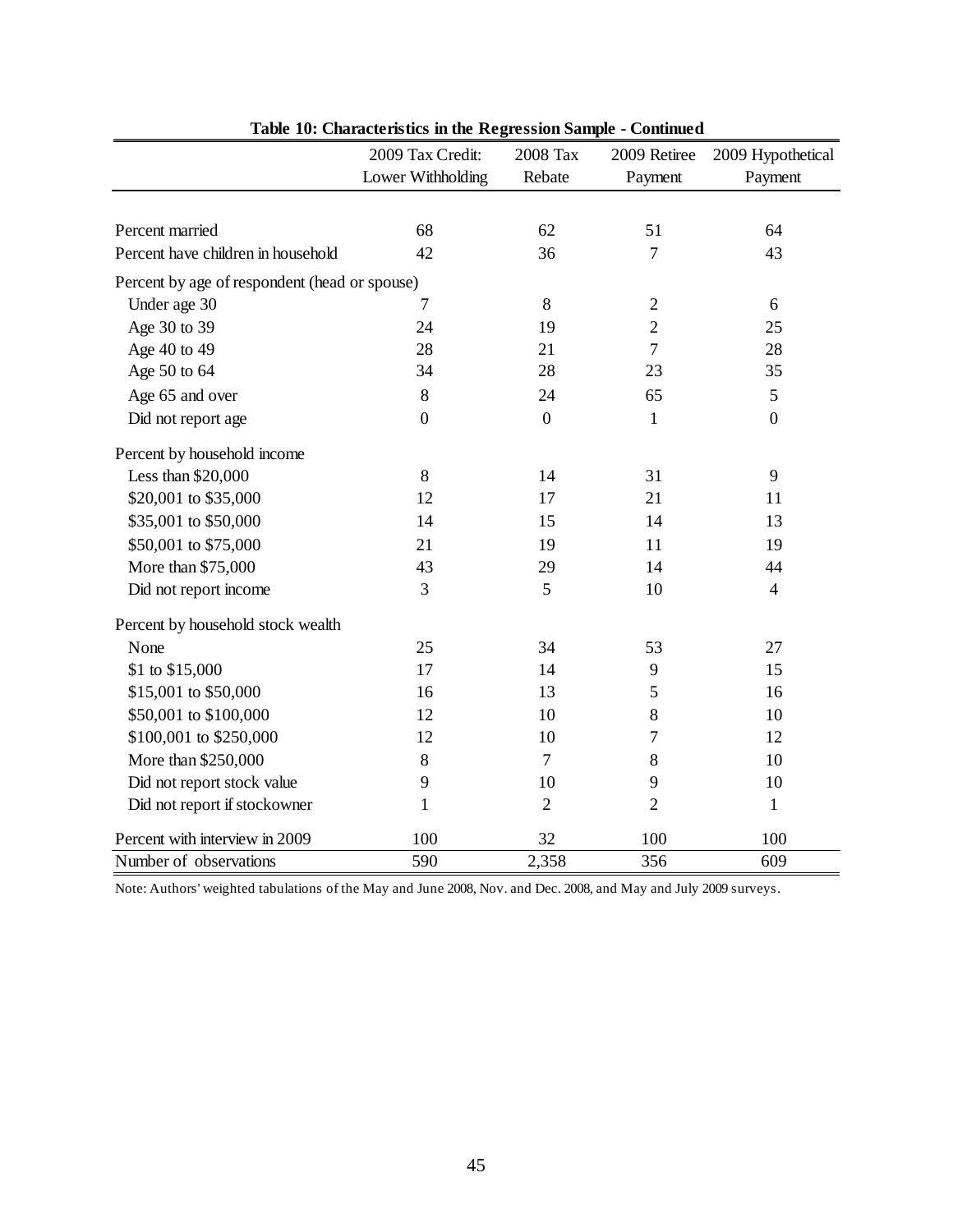|                                               | 2009 Tax Credit:  | 2008 Tax         | 2009 Retiree   | 2009 Hypothetical |
|-----------------------------------------------|-------------------|------------------|----------------|-------------------|
|                                               | Lower Withholding | Rebate           | Payment        | Payment           |
|                                               |                   |                  |                |                   |
| Percent married                               | 68                | 62               | 51             | 64                |
| Percent have children in household            | 42                | 36               | $\overline{7}$ | 43                |
| Percent by age of respondent (head or spouse) |                   |                  |                |                   |
| Under age 30                                  | $\overline{7}$    | 8                | $\overline{2}$ | 6                 |
| Age 30 to 39                                  | 24                | 19               | $\overline{2}$ | 25                |
| Age 40 to 49                                  | 28                | 21               | $\overline{7}$ | 28                |
| Age 50 to 64                                  | 34                | 28               | 23             | 35                |
| Age 65 and over                               | 8                 | 24               | 65             | 5                 |
| Did not report age                            | $\boldsymbol{0}$  | $\boldsymbol{0}$ | $\mathbf{1}$   | $\boldsymbol{0}$  |
| Percent by household income                   |                   |                  |                |                   |
| Less than \$20,000                            | 8                 | 14               | 31             | 9                 |
| \$20,001 to \$35,000                          | 12                | 17               | 21             | 11                |
| \$35,001 to \$50,000                          | 14                | 15               | 14             | 13                |
| \$50,001 to \$75,000                          | 21                | 19               | 11             | 19                |
| More than \$75,000                            | 43                | 29               | 14             | 44                |
| Did not report income                         | 3                 | 5                | 10             | $\overline{4}$    |
| Percent by household stock wealth             |                   |                  |                |                   |
| None                                          | 25                | 34               | 53             | 27                |
| \$1 to \$15,000                               | 17                | 14               | 9              | 15                |
| \$15,001 to \$50,000                          | 16                | 13               | 5              | 16                |
| \$50,001 to \$100,000                         | 12                | 10               | 8              | 10                |
| \$100,001 to \$250,000                        | 12                | 10               | 7              | 12                |
| More than \$250,000                           | 8                 | $\overline{7}$   | 8              | 10                |
| Did not report stock value                    | 9                 | 10               | 9              | 10                |
| Did not report if stockowner                  | 1                 | $\overline{2}$   | $\overline{2}$ | $\mathbf{1}$      |
| Percent with interview in 2009                | 100               | 32               | 100            | 100               |
| Number of observations                        | 590               | 2,358            | 356            | 609               |

**Table 10: Characteristics in the Regression Sample - Continued**

Note: Authors' weighted tabulations of the May and June 2008, Nov. and Dec. 2008, and May and July 2009 surveys.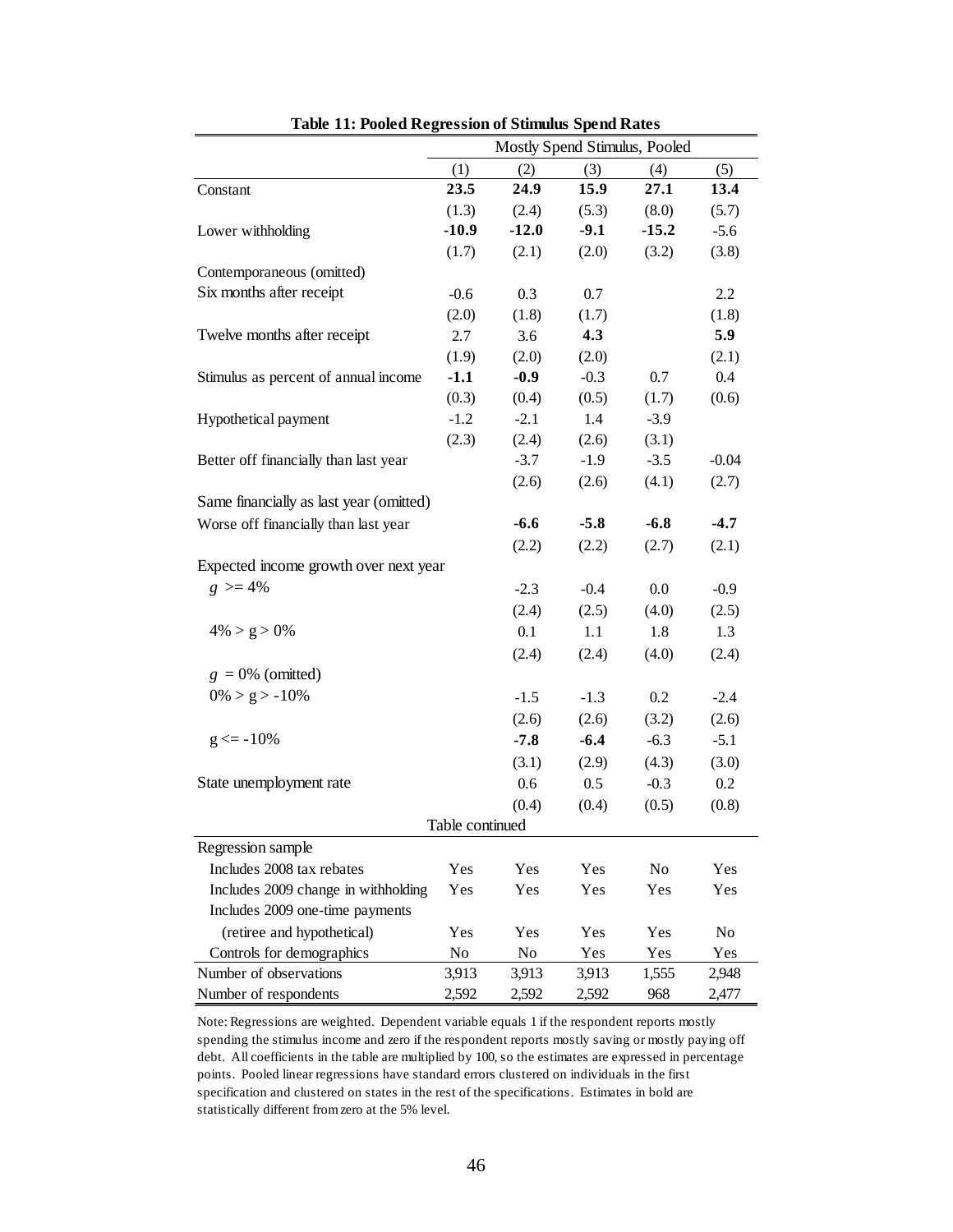| (1)<br>(2)<br>(3)<br>(4)<br>(5)<br>23.5<br>24.9<br>15.9<br>27.1<br>13.4<br>Constant<br>(1.3)<br>(5.3)<br>(8.0)<br>(5.7)<br>(2.4)<br>$-10.9$<br>$-12.0$<br>$-15.2$<br>$-9.1$<br>Lower withholding<br>$-5.6$<br>(1.7)<br>(2.1)<br>(2.0)<br>(3.2)<br>(3.8)<br>Contemporaneous (omitted)<br>Six months after receipt<br>0.3<br>2.2<br>$-0.6$<br>0.7<br>(2.0)<br>(1.8)<br>(1.7)<br>(1.8)<br>Twelve months after receipt<br>5.9<br>2.7<br>3.6<br>4.3<br>(1.9)<br>(2.0)<br>(2.0)<br>(2.1)<br>$-1.1$<br>$-0.9$<br>$-0.3$<br>$0.4\,$<br>Stimulus as percent of annual income<br>0.7<br>(0.5)<br>(1.7)<br>(0.3)<br>(0.4)<br>(0.6)<br>1.4<br>Hypothetical payment<br>$-1.2$<br>$-2.1$<br>$-3.9$<br>(3.1)<br>(2.3)<br>(2.4)<br>(2.6)<br>Better off financially than last year<br>$-3.7$<br>$-1.9$<br>$-3.5$<br>$-0.04$<br>(4.1)<br>(2.6)<br>(2.6)<br>(2.7)<br>Same financially as last year (omitted)<br>$-5.8$<br>$-6.8$<br>Worse off financially than last year<br>$-6.6$<br>$-4.7$<br>(2.2)<br>(2.7)<br>(2.1)<br>(2.2)<br>Expected income growth over next year<br>$g > = 4\%$<br>0.0<br>$-2.3$<br>$-0.4$<br>$-0.9$<br>(2.4)<br>(2.5)<br>(4.0)<br>(2.5)<br>$4\% > g > 0\%$<br>0.1<br>1.1<br>1.8<br>1.3<br>(2.4)<br>(2.4)<br>(4.0)<br>(2.4)<br>$g = 0\%$ (omitted)<br>$0\% > g > -10\%$<br>0.2<br>$-1.5$<br>$-1.3$<br>$-2.4$<br>(3.2)<br>(2.6)<br>(2.6)<br>(2.6)<br>$g \le -10\%$<br>$-6.4$<br>$-7.8$<br>$-6.3$<br>$-5.1$<br>(3.1)<br>(4.3)<br>(2.9)<br>(3.0)<br>State unemployment rate<br>0.6<br>0.5<br>$-0.3$<br>0.2<br>(0.4)<br>(0.4)<br>(0.5)<br>(0.8)<br>Table continued<br>Regression sample<br>Includes 2008 tax rebates<br>Yes<br>N <sub>o</sub><br>Yes<br>Yes<br>Yes<br>Yes<br>Yes<br>Yes<br>Includes 2009 change in withholding<br>Yes<br>Yes<br>Includes 2009 one-time payments<br>(retiree and hypothetical)<br>Yes<br>Yes<br>Yes<br>Yes<br>No<br>Controls for demographics<br>No<br>Yes<br>No<br>Yes<br>Yes<br>Number of observations<br>3,913<br>3,913<br>3,913<br>1,555<br>2,948 | Mostly Spend Stimulus, Pooled |  |  |  |  |
|----------------------------------------------------------------------------------------------------------------------------------------------------------------------------------------------------------------------------------------------------------------------------------------------------------------------------------------------------------------------------------------------------------------------------------------------------------------------------------------------------------------------------------------------------------------------------------------------------------------------------------------------------------------------------------------------------------------------------------------------------------------------------------------------------------------------------------------------------------------------------------------------------------------------------------------------------------------------------------------------------------------------------------------------------------------------------------------------------------------------------------------------------------------------------------------------------------------------------------------------------------------------------------------------------------------------------------------------------------------------------------------------------------------------------------------------------------------------------------------------------------------------------------------------------------------------------------------------------------------------------------------------------------------------------------------------------------------------------------------------------------------------------------------------------------------------------------------------------------------------------------------------------------------------------------------------------------------------------------------|-------------------------------|--|--|--|--|
|                                                                                                                                                                                                                                                                                                                                                                                                                                                                                                                                                                                                                                                                                                                                                                                                                                                                                                                                                                                                                                                                                                                                                                                                                                                                                                                                                                                                                                                                                                                                                                                                                                                                                                                                                                                                                                                                                                                                                                                        |                               |  |  |  |  |
|                                                                                                                                                                                                                                                                                                                                                                                                                                                                                                                                                                                                                                                                                                                                                                                                                                                                                                                                                                                                                                                                                                                                                                                                                                                                                                                                                                                                                                                                                                                                                                                                                                                                                                                                                                                                                                                                                                                                                                                        |                               |  |  |  |  |
|                                                                                                                                                                                                                                                                                                                                                                                                                                                                                                                                                                                                                                                                                                                                                                                                                                                                                                                                                                                                                                                                                                                                                                                                                                                                                                                                                                                                                                                                                                                                                                                                                                                                                                                                                                                                                                                                                                                                                                                        |                               |  |  |  |  |
|                                                                                                                                                                                                                                                                                                                                                                                                                                                                                                                                                                                                                                                                                                                                                                                                                                                                                                                                                                                                                                                                                                                                                                                                                                                                                                                                                                                                                                                                                                                                                                                                                                                                                                                                                                                                                                                                                                                                                                                        |                               |  |  |  |  |
|                                                                                                                                                                                                                                                                                                                                                                                                                                                                                                                                                                                                                                                                                                                                                                                                                                                                                                                                                                                                                                                                                                                                                                                                                                                                                                                                                                                                                                                                                                                                                                                                                                                                                                                                                                                                                                                                                                                                                                                        |                               |  |  |  |  |
|                                                                                                                                                                                                                                                                                                                                                                                                                                                                                                                                                                                                                                                                                                                                                                                                                                                                                                                                                                                                                                                                                                                                                                                                                                                                                                                                                                                                                                                                                                                                                                                                                                                                                                                                                                                                                                                                                                                                                                                        |                               |  |  |  |  |
|                                                                                                                                                                                                                                                                                                                                                                                                                                                                                                                                                                                                                                                                                                                                                                                                                                                                                                                                                                                                                                                                                                                                                                                                                                                                                                                                                                                                                                                                                                                                                                                                                                                                                                                                                                                                                                                                                                                                                                                        |                               |  |  |  |  |
|                                                                                                                                                                                                                                                                                                                                                                                                                                                                                                                                                                                                                                                                                                                                                                                                                                                                                                                                                                                                                                                                                                                                                                                                                                                                                                                                                                                                                                                                                                                                                                                                                                                                                                                                                                                                                                                                                                                                                                                        |                               |  |  |  |  |
|                                                                                                                                                                                                                                                                                                                                                                                                                                                                                                                                                                                                                                                                                                                                                                                                                                                                                                                                                                                                                                                                                                                                                                                                                                                                                                                                                                                                                                                                                                                                                                                                                                                                                                                                                                                                                                                                                                                                                                                        |                               |  |  |  |  |
|                                                                                                                                                                                                                                                                                                                                                                                                                                                                                                                                                                                                                                                                                                                                                                                                                                                                                                                                                                                                                                                                                                                                                                                                                                                                                                                                                                                                                                                                                                                                                                                                                                                                                                                                                                                                                                                                                                                                                                                        |                               |  |  |  |  |
|                                                                                                                                                                                                                                                                                                                                                                                                                                                                                                                                                                                                                                                                                                                                                                                                                                                                                                                                                                                                                                                                                                                                                                                                                                                                                                                                                                                                                                                                                                                                                                                                                                                                                                                                                                                                                                                                                                                                                                                        |                               |  |  |  |  |
|                                                                                                                                                                                                                                                                                                                                                                                                                                                                                                                                                                                                                                                                                                                                                                                                                                                                                                                                                                                                                                                                                                                                                                                                                                                                                                                                                                                                                                                                                                                                                                                                                                                                                                                                                                                                                                                                                                                                                                                        |                               |  |  |  |  |
|                                                                                                                                                                                                                                                                                                                                                                                                                                                                                                                                                                                                                                                                                                                                                                                                                                                                                                                                                                                                                                                                                                                                                                                                                                                                                                                                                                                                                                                                                                                                                                                                                                                                                                                                                                                                                                                                                                                                                                                        |                               |  |  |  |  |
|                                                                                                                                                                                                                                                                                                                                                                                                                                                                                                                                                                                                                                                                                                                                                                                                                                                                                                                                                                                                                                                                                                                                                                                                                                                                                                                                                                                                                                                                                                                                                                                                                                                                                                                                                                                                                                                                                                                                                                                        |                               |  |  |  |  |
|                                                                                                                                                                                                                                                                                                                                                                                                                                                                                                                                                                                                                                                                                                                                                                                                                                                                                                                                                                                                                                                                                                                                                                                                                                                                                                                                                                                                                                                                                                                                                                                                                                                                                                                                                                                                                                                                                                                                                                                        |                               |  |  |  |  |
|                                                                                                                                                                                                                                                                                                                                                                                                                                                                                                                                                                                                                                                                                                                                                                                                                                                                                                                                                                                                                                                                                                                                                                                                                                                                                                                                                                                                                                                                                                                                                                                                                                                                                                                                                                                                                                                                                                                                                                                        |                               |  |  |  |  |
|                                                                                                                                                                                                                                                                                                                                                                                                                                                                                                                                                                                                                                                                                                                                                                                                                                                                                                                                                                                                                                                                                                                                                                                                                                                                                                                                                                                                                                                                                                                                                                                                                                                                                                                                                                                                                                                                                                                                                                                        |                               |  |  |  |  |
|                                                                                                                                                                                                                                                                                                                                                                                                                                                                                                                                                                                                                                                                                                                                                                                                                                                                                                                                                                                                                                                                                                                                                                                                                                                                                                                                                                                                                                                                                                                                                                                                                                                                                                                                                                                                                                                                                                                                                                                        |                               |  |  |  |  |
|                                                                                                                                                                                                                                                                                                                                                                                                                                                                                                                                                                                                                                                                                                                                                                                                                                                                                                                                                                                                                                                                                                                                                                                                                                                                                                                                                                                                                                                                                                                                                                                                                                                                                                                                                                                                                                                                                                                                                                                        |                               |  |  |  |  |
|                                                                                                                                                                                                                                                                                                                                                                                                                                                                                                                                                                                                                                                                                                                                                                                                                                                                                                                                                                                                                                                                                                                                                                                                                                                                                                                                                                                                                                                                                                                                                                                                                                                                                                                                                                                                                                                                                                                                                                                        |                               |  |  |  |  |
|                                                                                                                                                                                                                                                                                                                                                                                                                                                                                                                                                                                                                                                                                                                                                                                                                                                                                                                                                                                                                                                                                                                                                                                                                                                                                                                                                                                                                                                                                                                                                                                                                                                                                                                                                                                                                                                                                                                                                                                        |                               |  |  |  |  |
|                                                                                                                                                                                                                                                                                                                                                                                                                                                                                                                                                                                                                                                                                                                                                                                                                                                                                                                                                                                                                                                                                                                                                                                                                                                                                                                                                                                                                                                                                                                                                                                                                                                                                                                                                                                                                                                                                                                                                                                        |                               |  |  |  |  |
|                                                                                                                                                                                                                                                                                                                                                                                                                                                                                                                                                                                                                                                                                                                                                                                                                                                                                                                                                                                                                                                                                                                                                                                                                                                                                                                                                                                                                                                                                                                                                                                                                                                                                                                                                                                                                                                                                                                                                                                        |                               |  |  |  |  |
|                                                                                                                                                                                                                                                                                                                                                                                                                                                                                                                                                                                                                                                                                                                                                                                                                                                                                                                                                                                                                                                                                                                                                                                                                                                                                                                                                                                                                                                                                                                                                                                                                                                                                                                                                                                                                                                                                                                                                                                        |                               |  |  |  |  |
|                                                                                                                                                                                                                                                                                                                                                                                                                                                                                                                                                                                                                                                                                                                                                                                                                                                                                                                                                                                                                                                                                                                                                                                                                                                                                                                                                                                                                                                                                                                                                                                                                                                                                                                                                                                                                                                                                                                                                                                        |                               |  |  |  |  |
|                                                                                                                                                                                                                                                                                                                                                                                                                                                                                                                                                                                                                                                                                                                                                                                                                                                                                                                                                                                                                                                                                                                                                                                                                                                                                                                                                                                                                                                                                                                                                                                                                                                                                                                                                                                                                                                                                                                                                                                        |                               |  |  |  |  |
|                                                                                                                                                                                                                                                                                                                                                                                                                                                                                                                                                                                                                                                                                                                                                                                                                                                                                                                                                                                                                                                                                                                                                                                                                                                                                                                                                                                                                                                                                                                                                                                                                                                                                                                                                                                                                                                                                                                                                                                        |                               |  |  |  |  |
|                                                                                                                                                                                                                                                                                                                                                                                                                                                                                                                                                                                                                                                                                                                                                                                                                                                                                                                                                                                                                                                                                                                                                                                                                                                                                                                                                                                                                                                                                                                                                                                                                                                                                                                                                                                                                                                                                                                                                                                        |                               |  |  |  |  |
|                                                                                                                                                                                                                                                                                                                                                                                                                                                                                                                                                                                                                                                                                                                                                                                                                                                                                                                                                                                                                                                                                                                                                                                                                                                                                                                                                                                                                                                                                                                                                                                                                                                                                                                                                                                                                                                                                                                                                                                        |                               |  |  |  |  |
|                                                                                                                                                                                                                                                                                                                                                                                                                                                                                                                                                                                                                                                                                                                                                                                                                                                                                                                                                                                                                                                                                                                                                                                                                                                                                                                                                                                                                                                                                                                                                                                                                                                                                                                                                                                                                                                                                                                                                                                        |                               |  |  |  |  |
|                                                                                                                                                                                                                                                                                                                                                                                                                                                                                                                                                                                                                                                                                                                                                                                                                                                                                                                                                                                                                                                                                                                                                                                                                                                                                                                                                                                                                                                                                                                                                                                                                                                                                                                                                                                                                                                                                                                                                                                        |                               |  |  |  |  |
|                                                                                                                                                                                                                                                                                                                                                                                                                                                                                                                                                                                                                                                                                                                                                                                                                                                                                                                                                                                                                                                                                                                                                                                                                                                                                                                                                                                                                                                                                                                                                                                                                                                                                                                                                                                                                                                                                                                                                                                        |                               |  |  |  |  |
|                                                                                                                                                                                                                                                                                                                                                                                                                                                                                                                                                                                                                                                                                                                                                                                                                                                                                                                                                                                                                                                                                                                                                                                                                                                                                                                                                                                                                                                                                                                                                                                                                                                                                                                                                                                                                                                                                                                                                                                        |                               |  |  |  |  |
|                                                                                                                                                                                                                                                                                                                                                                                                                                                                                                                                                                                                                                                                                                                                                                                                                                                                                                                                                                                                                                                                                                                                                                                                                                                                                                                                                                                                                                                                                                                                                                                                                                                                                                                                                                                                                                                                                                                                                                                        |                               |  |  |  |  |
|                                                                                                                                                                                                                                                                                                                                                                                                                                                                                                                                                                                                                                                                                                                                                                                                                                                                                                                                                                                                                                                                                                                                                                                                                                                                                                                                                                                                                                                                                                                                                                                                                                                                                                                                                                                                                                                                                                                                                                                        |                               |  |  |  |  |
|                                                                                                                                                                                                                                                                                                                                                                                                                                                                                                                                                                                                                                                                                                                                                                                                                                                                                                                                                                                                                                                                                                                                                                                                                                                                                                                                                                                                                                                                                                                                                                                                                                                                                                                                                                                                                                                                                                                                                                                        |                               |  |  |  |  |
|                                                                                                                                                                                                                                                                                                                                                                                                                                                                                                                                                                                                                                                                                                                                                                                                                                                                                                                                                                                                                                                                                                                                                                                                                                                                                                                                                                                                                                                                                                                                                                                                                                                                                                                                                                                                                                                                                                                                                                                        |                               |  |  |  |  |
|                                                                                                                                                                                                                                                                                                                                                                                                                                                                                                                                                                                                                                                                                                                                                                                                                                                                                                                                                                                                                                                                                                                                                                                                                                                                                                                                                                                                                                                                                                                                                                                                                                                                                                                                                                                                                                                                                                                                                                                        |                               |  |  |  |  |
|                                                                                                                                                                                                                                                                                                                                                                                                                                                                                                                                                                                                                                                                                                                                                                                                                                                                                                                                                                                                                                                                                                                                                                                                                                                                                                                                                                                                                                                                                                                                                                                                                                                                                                                                                                                                                                                                                                                                                                                        |                               |  |  |  |  |
| 968<br>Number of respondents<br>2,592<br>2,592<br>2,592<br>2,477                                                                                                                                                                                                                                                                                                                                                                                                                                                                                                                                                                                                                                                                                                                                                                                                                                                                                                                                                                                                                                                                                                                                                                                                                                                                                                                                                                                                                                                                                                                                                                                                                                                                                                                                                                                                                                                                                                                       |                               |  |  |  |  |

**Table 11: Pooled Regression of Stimulus Spend Rates**

Note: Regressions are weighted. Dependent variable equals 1 if the respondent reports mostly spending the stimulus income and zero if the respondent reports mostly saving or mostly paying off debt. All coefficients in the table are multiplied by 100, so the estimates are expressed in percentage points. Pooled linear regressions have standard errors clustered on individuals in the first specification and clustered on states in the rest of the specifications. Estimates in bold are statistically different from zero at the 5% level.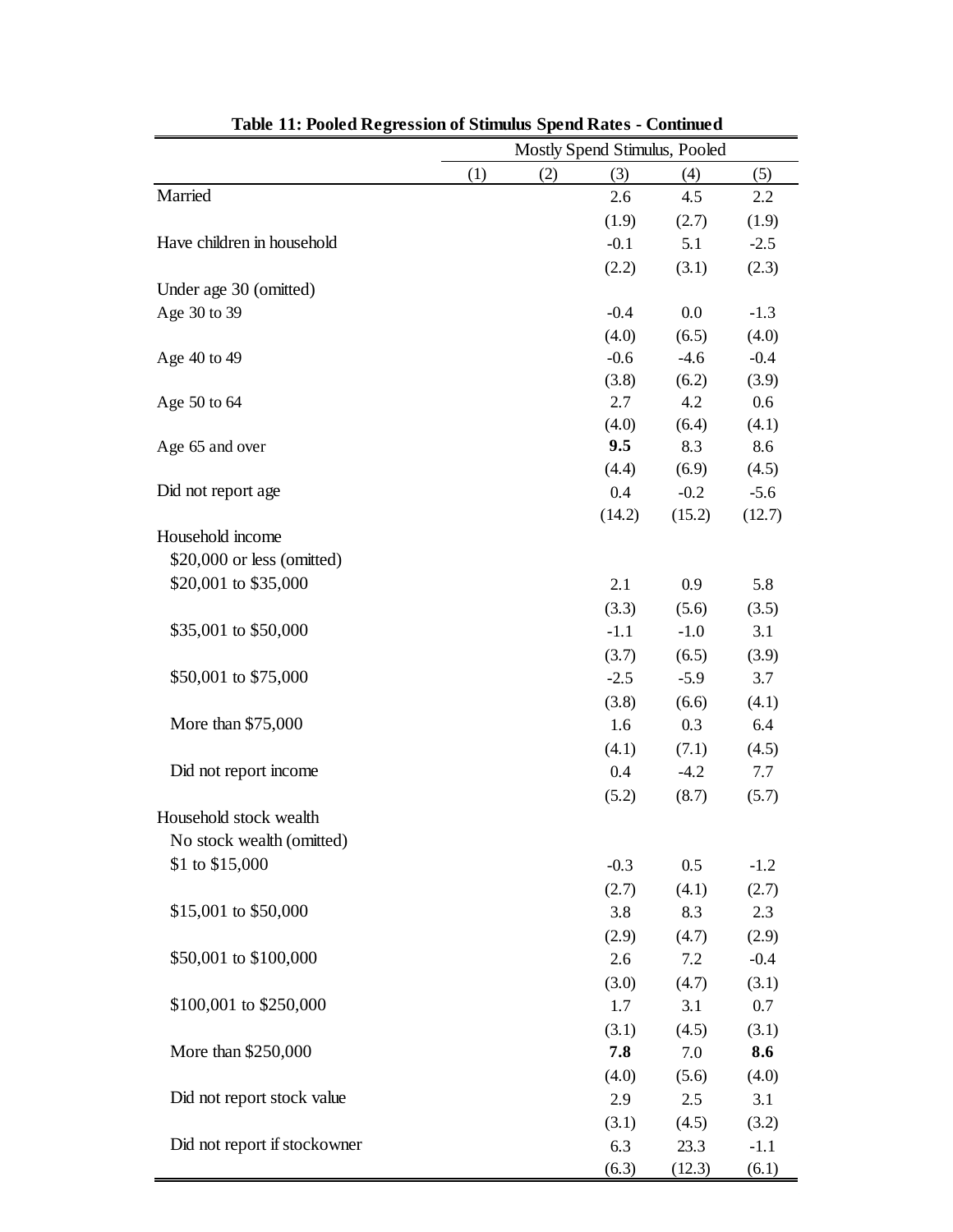|                              |     | Table 11: Pooled Regression of Stimulus Spend Rates - Continued<br>Mostly Spend Stimulus, Pooled |        |        |        |
|------------------------------|-----|--------------------------------------------------------------------------------------------------|--------|--------|--------|
|                              | (1) | (2)                                                                                              | (3)    | (4)    | (5)    |
| Married                      |     |                                                                                                  | 2.6    | 4.5    | 2.2    |
|                              |     |                                                                                                  | (1.9)  | (2.7)  | (1.9)  |
| Have children in household   |     |                                                                                                  | $-0.1$ | 5.1    | $-2.5$ |
|                              |     |                                                                                                  | (2.2)  | (3.1)  | (2.3)  |
| Under age 30 (omitted)       |     |                                                                                                  |        |        |        |
| Age 30 to 39                 |     |                                                                                                  | $-0.4$ | 0.0    | $-1.3$ |
|                              |     |                                                                                                  | (4.0)  | (6.5)  | (4.0)  |
| Age 40 to 49                 |     |                                                                                                  | $-0.6$ | $-4.6$ | $-0.4$ |
|                              |     |                                                                                                  | (3.8)  | (6.2)  | (3.9)  |
| Age 50 to 64                 |     |                                                                                                  | 2.7    | 4.2    | 0.6    |
|                              |     |                                                                                                  | (4.0)  | (6.4)  | (4.1)  |
| Age 65 and over              |     |                                                                                                  | 9.5    | 8.3    | 8.6    |
|                              |     |                                                                                                  | (4.4)  | (6.9)  | (4.5)  |
| Did not report age           |     |                                                                                                  | 0.4    | $-0.2$ | $-5.6$ |
|                              |     |                                                                                                  | (14.2) | (15.2) | (12.7) |
| Household income             |     |                                                                                                  |        |        |        |
| \$20,000 or less (omitted)   |     |                                                                                                  |        |        |        |
| \$20,001 to \$35,000         |     |                                                                                                  | 2.1    | 0.9    | 5.8    |
|                              |     |                                                                                                  | (3.3)  | (5.6)  | (3.5)  |
| \$35,001 to \$50,000         |     |                                                                                                  | $-1.1$ | $-1.0$ | 3.1    |
|                              |     |                                                                                                  | (3.7)  | (6.5)  | (3.9)  |
| \$50,001 to \$75,000         |     |                                                                                                  | $-2.5$ | $-5.9$ | 3.7    |
|                              |     |                                                                                                  | (3.8)  | (6.6)  | (4.1)  |
| More than \$75,000           |     |                                                                                                  | 1.6    | 0.3    | 6.4    |
|                              |     |                                                                                                  |        |        |        |
|                              |     |                                                                                                  | (4.1)  | (7.1)  | (4.5)  |
| Did not report income        |     |                                                                                                  | 0.4    | $-4.2$ | 7.7    |
|                              |     |                                                                                                  | (5.2)  | (8.7)  | (5.7)  |
| Household stock wealth       |     |                                                                                                  |        |        |        |
| No stock wealth (omitted)    |     |                                                                                                  |        |        |        |
| \$1 to \$15,000              |     |                                                                                                  | $-0.3$ | 0.5    | $-1.2$ |
|                              |     |                                                                                                  | (2.7)  | (4.1)  | (2.7)  |
| \$15,001 to \$50,000         |     |                                                                                                  | 3.8    | 8.3    | 2.3    |
|                              |     |                                                                                                  | (2.9)  | (4.7)  | (2.9)  |
| \$50,001 to \$100,000        |     |                                                                                                  | 2.6    | 7.2    | $-0.4$ |
|                              |     |                                                                                                  | (3.0)  | (4.7)  | (3.1)  |
| \$100,001 to \$250,000       |     |                                                                                                  | 1.7    | 3.1    | 0.7    |
|                              |     |                                                                                                  | (3.1)  | (4.5)  | (3.1)  |
| More than \$250,000          |     |                                                                                                  | 7.8    | 7.0    | 8.6    |
|                              |     |                                                                                                  | (4.0)  | (5.6)  | (4.0)  |
| Did not report stock value   |     |                                                                                                  | 2.9    | 2.5    | 3.1    |
|                              |     |                                                                                                  | (3.1)  | (4.5)  | (3.2)  |
| Did not report if stockowner |     |                                                                                                  | 6.3    | 23.3   | $-1.1$ |
|                              |     |                                                                                                  | (6.3)  | (12.3) | (6.1)  |

| <b>Table 11: Pooled Regression of Stimulus Spend Rates - Continued</b> |
|------------------------------------------------------------------------|
|------------------------------------------------------------------------|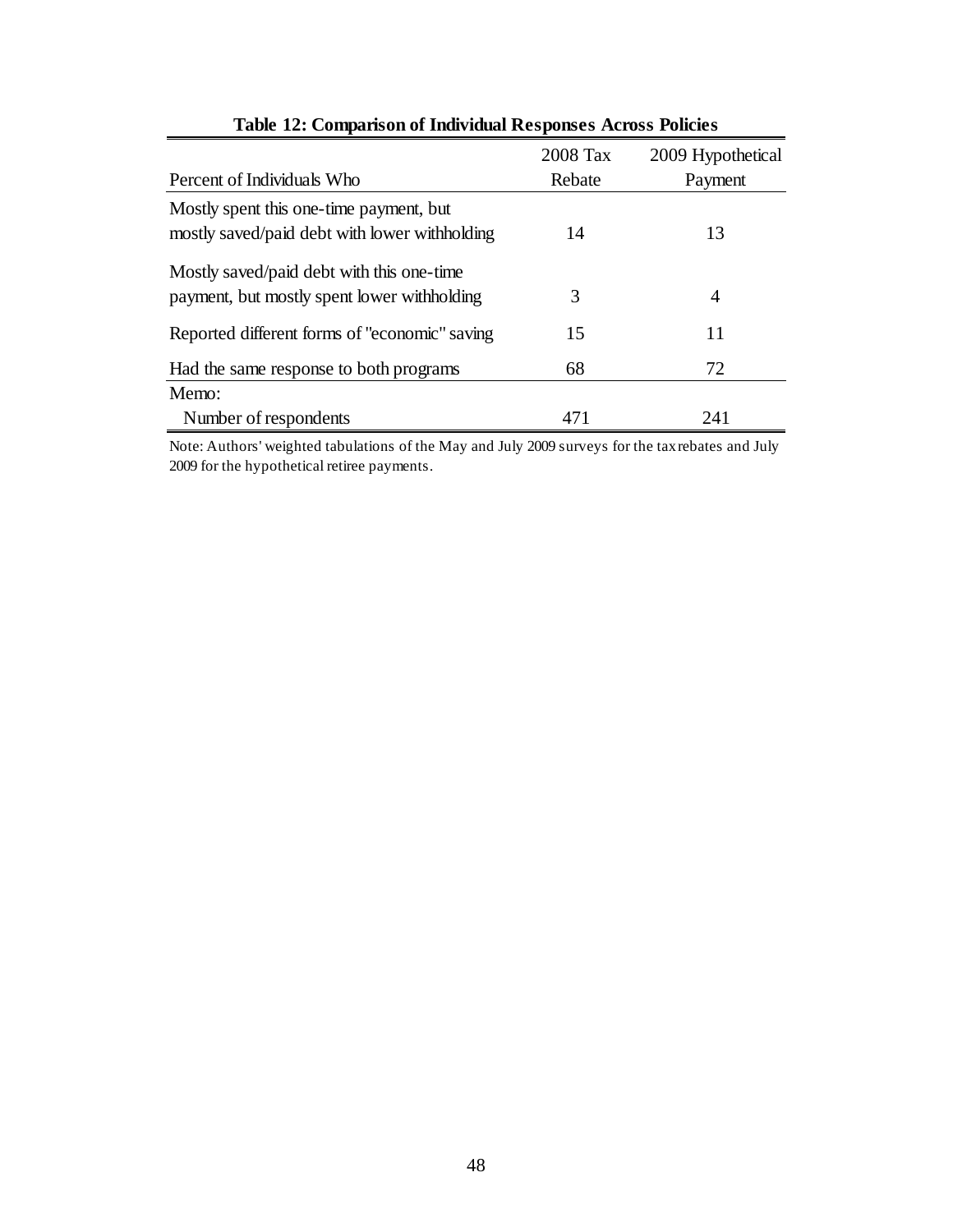|                                                                                           | 2008 Tax | 2009 Hypothetical |
|-------------------------------------------------------------------------------------------|----------|-------------------|
| Percent of Individuals Who                                                                | Rebate   | Payment           |
| Mostly spent this one-time payment, but<br>mostly saved/paid debt with lower with holding | 14       | 13                |
| Mostly saved/paid debt with this one-time<br>payment, but mostly spent lower with holding | 3        | 4                 |
| Reported different forms of "economic" saving                                             | 15       | 11                |
| Had the same response to both programs                                                    | 68       | 72                |
| Memo:                                                                                     |          |                   |
| Number of respondents                                                                     | 471      | 241               |

**Table 12: Comparison of Individual Responses Across Policies**

Note: Authors' weighted tabulations of the May and July 2009 surveys for the tax rebates and July 2009 for the hypothetical retiree payments.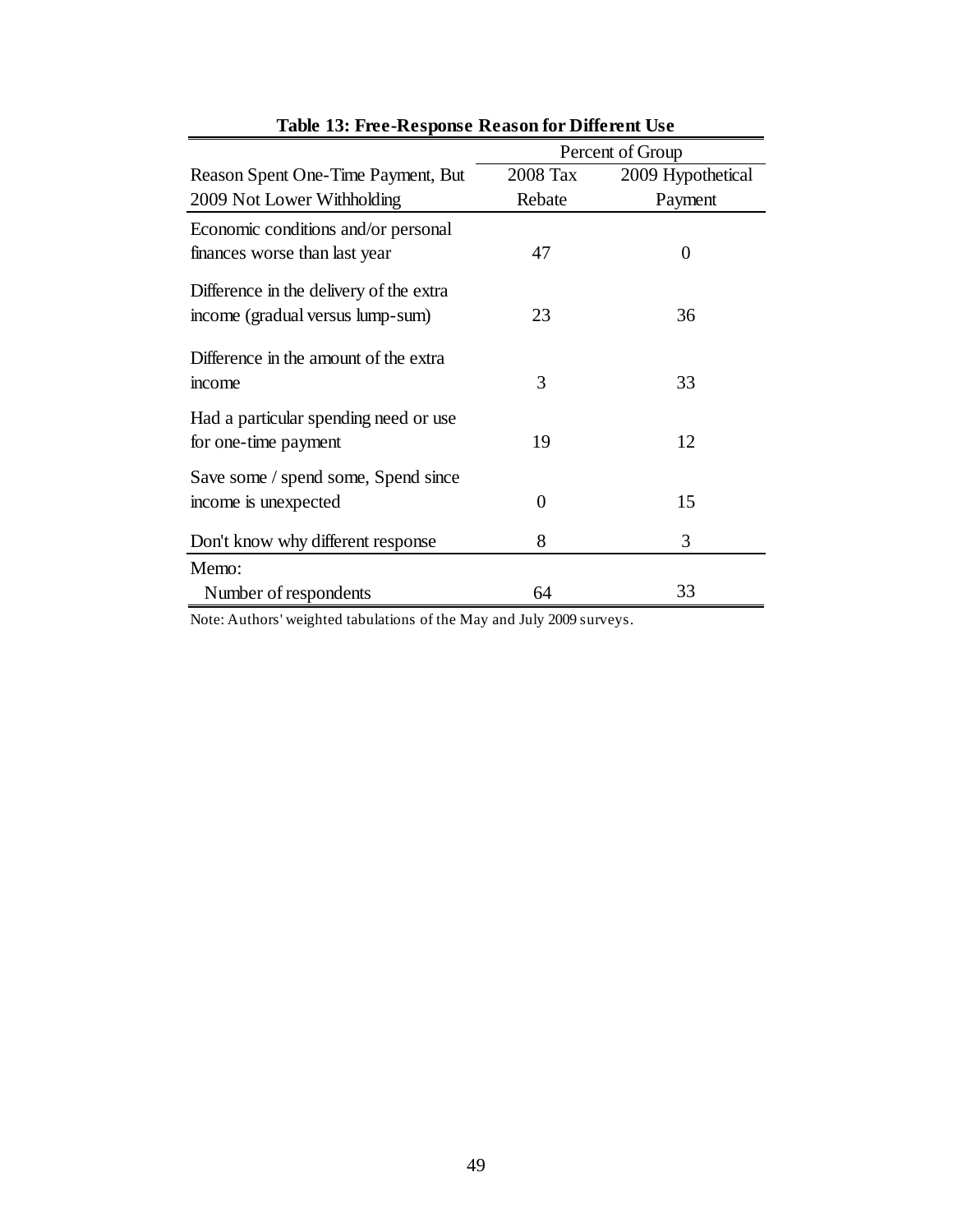|                                         | Percent of Group |                   |  |
|-----------------------------------------|------------------|-------------------|--|
| Reason Spent One-Time Payment, But      | 2008 Tax         | 2009 Hypothetical |  |
| 2009 Not Lower Withholding              | Rebate           | Payment           |  |
| Economic conditions and/or personal     |                  |                   |  |
| finances worse than last year           | 47               | 0                 |  |
| Difference in the delivery of the extra |                  |                   |  |
| income (gradual versus lump-sum)        | 23               | 36                |  |
| Difference in the amount of the extra   |                  |                   |  |
| income                                  | 3                | 33                |  |
| Had a particular spending need or use   |                  |                   |  |
| for one-time payment                    | 19               | 12                |  |
| Save some / spend some, Spend since     |                  |                   |  |
| income is unexpected                    | 0                | 15                |  |
| Don't know why different response       | 8                | 3                 |  |
| Memo:                                   |                  |                   |  |
| Number of respondents                   | 64               | 33                |  |

# **Table 13: Free-Response Reason for Different Use**

Note: Authors' weighted tabulations of the May and July 2009 surveys.